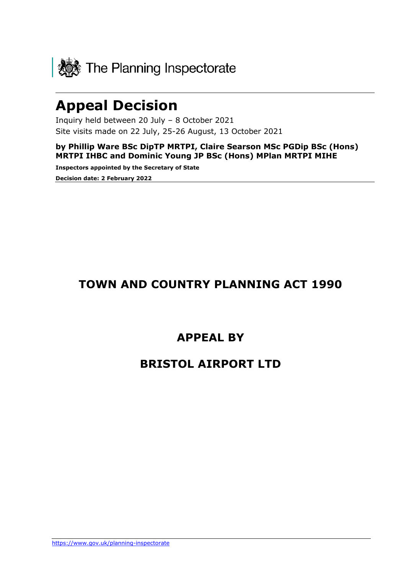

# **Appeal Decision**

Inquiry held between 20 July – 8 October 2021 Site visits made on 22 July, 25-26 August, 13 October 2021

**by Phillip Ware BSc DipTP MRTPI, Claire Searson MSc PGDip BSc (Hons) MRTPI IHBC and Dominic Young JP BSc (Hons) MPlan MRTPI MIHE**

**Inspectors appointed by the Secretary of State Decision date: 2 February 2022**

# **TOWN AND COUNTRY PLANNING ACT 1990**

# **APPEAL BY**

# **BRISTOL AIRPORT LTD**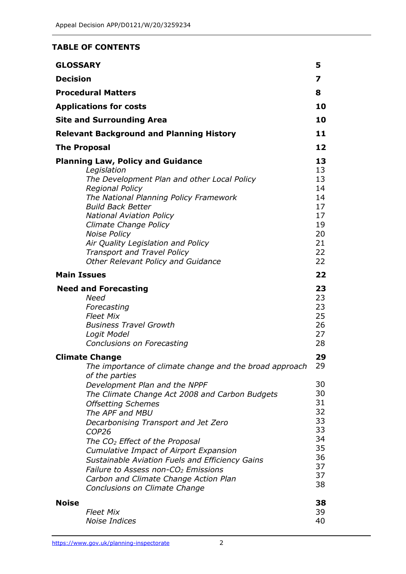#### **TABLE OF CONTENTS**

| <b>GLOSSARY</b>    |                                                                                                                                                                                                                                                                                                                                                                                                                                                                                                                                                                            | 5                                                                                |
|--------------------|----------------------------------------------------------------------------------------------------------------------------------------------------------------------------------------------------------------------------------------------------------------------------------------------------------------------------------------------------------------------------------------------------------------------------------------------------------------------------------------------------------------------------------------------------------------------------|----------------------------------------------------------------------------------|
| <b>Decision</b>    |                                                                                                                                                                                                                                                                                                                                                                                                                                                                                                                                                                            | 7                                                                                |
|                    | <b>Procedural Matters</b>                                                                                                                                                                                                                                                                                                                                                                                                                                                                                                                                                  | 8                                                                                |
|                    | <b>Applications for costs</b>                                                                                                                                                                                                                                                                                                                                                                                                                                                                                                                                              |                                                                                  |
|                    | <b>Site and Surrounding Area</b>                                                                                                                                                                                                                                                                                                                                                                                                                                                                                                                                           | 10                                                                               |
|                    | <b>Relevant Background and Planning History</b>                                                                                                                                                                                                                                                                                                                                                                                                                                                                                                                            | 11                                                                               |
|                    | <b>The Proposal</b>                                                                                                                                                                                                                                                                                                                                                                                                                                                                                                                                                        | 12                                                                               |
|                    | <b>Planning Law, Policy and Guidance</b><br>Legislation<br>The Development Plan and other Local Policy<br><b>Regional Policy</b><br>The National Planning Policy Framework<br><b>Build Back Better</b><br><b>National Aviation Policy</b><br>Climate Change Policy<br><b>Noise Policy</b><br>Air Quality Legislation and Policy<br><b>Transport and Travel Policy</b>                                                                                                                                                                                                      | 13<br>13<br>13<br>14<br>14<br>17<br>17<br>19<br>20<br>21<br>22<br>22             |
| <b>Main Issues</b> | <b>Other Relevant Policy and Guidance</b>                                                                                                                                                                                                                                                                                                                                                                                                                                                                                                                                  | 22                                                                               |
|                    | <b>Need and Forecasting</b><br><b>Need</b><br>Forecasting<br><b>Fleet Mix</b><br><b>Business Travel Growth</b><br>Logit Model<br>Conclusions on Forecasting                                                                                                                                                                                                                                                                                                                                                                                                                | 23<br>23<br>23<br>25<br>26<br>27<br>28                                           |
|                    | <b>Climate Change</b><br>The importance of climate change and the broad approach<br>of the parties<br>Development Plan and the NPPF<br>The Climate Change Act 2008 and Carbon Budgets<br><b>Offsetting Schemes</b><br>The APF and MBU<br>Decarbonising Transport and Jet Zero<br>COP <sub>26</sub><br>The CO <sub>2</sub> Effect of the Proposal<br>Cumulative Impact of Airport Expansion<br>Sustainable Aviation Fuels and Efficiency Gains<br>Failure to Assess non-CO <sub>2</sub> Emissions<br>Carbon and Climate Change Action Plan<br>Conclusions on Climate Change | 29<br>29<br>30<br>30<br>31<br>32<br>33<br>33<br>34<br>35<br>36<br>37<br>37<br>38 |
| <b>Noise</b>       | <b>Fleet Mix</b><br><b>Noise Indices</b>                                                                                                                                                                                                                                                                                                                                                                                                                                                                                                                                   | 38<br>39<br>40                                                                   |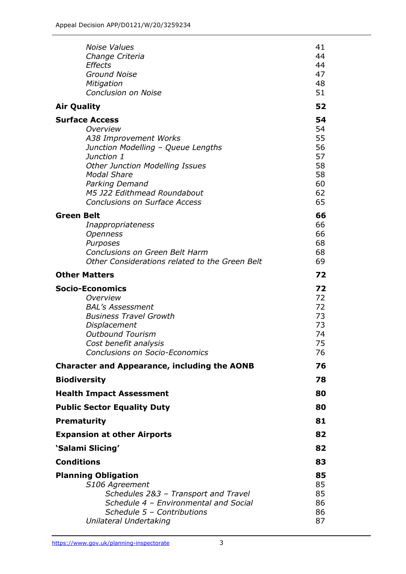| <b>Noise Values</b><br>Change Criteria<br><b>Effects</b><br><b>Ground Noise</b><br>Mitigation<br><b>Conclusion on Noise</b>                                                                                                                                             | 41<br>44<br>44<br>47<br>48<br>51                         |
|-------------------------------------------------------------------------------------------------------------------------------------------------------------------------------------------------------------------------------------------------------------------------|----------------------------------------------------------|
| <b>Air Quality</b>                                                                                                                                                                                                                                                      |                                                          |
| <b>Surface Access</b><br>Overview<br>A38 Improvement Works<br>Junction Modelling - Queue Lengths<br>Junction 1<br><b>Other Junction Modelling Issues</b><br><b>Modal Share</b><br>Parking Demand<br>M5 J22 Edithmead Roundabout<br><b>Conclusions on Surface Access</b> | 54<br>54<br>55<br>56<br>57<br>58<br>58<br>60<br>62<br>65 |
| <b>Green Belt</b><br>Inappropriateness<br><b>Openness</b><br>Purposes<br>Conclusions on Green Belt Harm<br>Other Considerations related to the Green Belt                                                                                                               | 66<br>66<br>66<br>68<br>68<br>69                         |
| <b>Other Matters</b>                                                                                                                                                                                                                                                    | 72                                                       |
| <b>Socio-Economics</b><br>Overview<br><b>BAL's Assessment</b><br><b>Business Travel Growth</b><br>Displacement<br><b>Outbound Tourism</b><br>Cost benefit analysis<br><b>Conclusions on Socio-Economics</b>                                                             | 72<br>72<br>72<br>73<br>73<br>74<br>75<br>76             |
| <b>Character and Appearance, including the AONB</b>                                                                                                                                                                                                                     | 76                                                       |
| <b>Biodiversity</b>                                                                                                                                                                                                                                                     | 78                                                       |
| <b>Health Impact Assessment</b>                                                                                                                                                                                                                                         | 80                                                       |
| <b>Public Sector Equality Duty</b>                                                                                                                                                                                                                                      | 80                                                       |
| <b>Prematurity</b>                                                                                                                                                                                                                                                      | 81                                                       |
| <b>Expansion at other Airports</b>                                                                                                                                                                                                                                      | 82                                                       |
| 'Salami Slicing'                                                                                                                                                                                                                                                        | 82                                                       |
| <b>Conditions</b>                                                                                                                                                                                                                                                       | 83                                                       |
| <b>Planning Obligation</b><br>S106 Agreement<br>Schedules 2&3 - Transport and Travel<br>Schedule 4 - Environmental and Social<br>Schedule 5 - Contributions<br>Unilateral Undertaking                                                                                   | 85<br>85<br>85<br>86<br>86<br>87                         |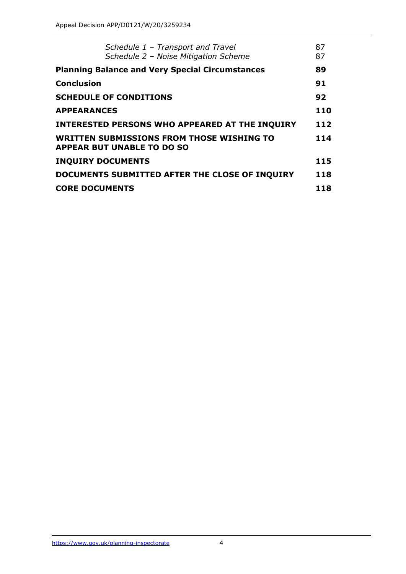| Schedule 1 - Transport and Travel<br>Schedule 2 - Noise Mitigation Scheme             | 87<br>87 |  |
|---------------------------------------------------------------------------------------|----------|--|
| <b>Planning Balance and Very Special Circumstances</b>                                |          |  |
| <b>Conclusion</b>                                                                     | 91       |  |
| <b>SCHEDULE OF CONDITIONS</b>                                                         |          |  |
| <b>APPEARANCES</b>                                                                    |          |  |
| <b>INTERESTED PERSONS WHO APPEARED AT THE INQUIRY</b>                                 | 112      |  |
| <b>WRITTEN SUBMISSIONS FROM THOSE WISHING TO</b><br><b>APPEAR BUT UNABLE TO DO SO</b> |          |  |
| <b>INQUIRY DOCUMENTS</b>                                                              | 115      |  |
| DOCUMENTS SUBMITTED AFTER THE CLOSE OF INQUIRY                                        | 118      |  |
| <b>CORE DOCUMENTS</b>                                                                 | 118      |  |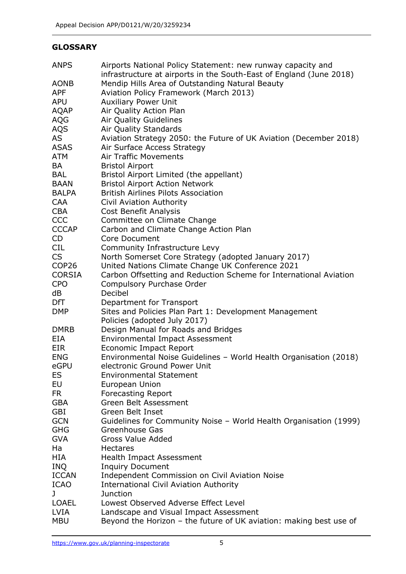# **GLOSSARY**

| <b>ANPS</b>       | Airports National Policy Statement: new runway capacity and<br>infrastructure at airports in the South-East of England (June 2018) |
|-------------------|------------------------------------------------------------------------------------------------------------------------------------|
| <b>AONB</b>       | Mendip Hills Area of Outstanding Natural Beauty                                                                                    |
| <b>APF</b>        | Aviation Policy Framework (March 2013)                                                                                             |
| <b>APU</b>        | <b>Auxiliary Power Unit</b>                                                                                                        |
| <b>AQAP</b>       | Air Quality Action Plan                                                                                                            |
|                   |                                                                                                                                    |
| AQG               | <b>Air Quality Guidelines</b>                                                                                                      |
| <b>AQS</b>        | Air Quality Standards                                                                                                              |
| AS                | Aviation Strategy 2050: the Future of UK Aviation (December 2018)                                                                  |
| <b>ASAS</b>       | Air Surface Access Strategy                                                                                                        |
| <b>ATM</b>        | <b>Air Traffic Movements</b>                                                                                                       |
| BA                | <b>Bristol Airport</b>                                                                                                             |
| <b>BAL</b>        | Bristol Airport Limited (the appellant)                                                                                            |
| <b>BAAN</b>       | <b>Bristol Airport Action Network</b>                                                                                              |
| <b>BALPA</b>      | <b>British Airlines Pilots Association</b>                                                                                         |
| <b>CAA</b>        | Civil Aviation Authority                                                                                                           |
| <b>CBA</b>        | Cost Benefit Analysis                                                                                                              |
| <b>CCC</b>        | Committee on Climate Change                                                                                                        |
| <b>CCCAP</b>      | Carbon and Climate Change Action Plan                                                                                              |
| CD                | <b>Core Document</b>                                                                                                               |
| <b>CIL</b>        | Community Infrastructure Levy                                                                                                      |
| <b>CS</b>         | North Somerset Core Strategy (adopted January 2017)                                                                                |
| COP <sub>26</sub> | United Nations Climate Change UK Conference 2021                                                                                   |
| <b>CORSIA</b>     | Carbon Offsetting and Reduction Scheme for International Aviation                                                                  |
| <b>CPO</b>        | Compulsory Purchase Order                                                                                                          |
| dB                | Decibel                                                                                                                            |
| DfT               | Department for Transport                                                                                                           |
| <b>DMP</b>        | Sites and Policies Plan Part 1: Development Management                                                                             |
|                   | Policies (adopted July 2017)                                                                                                       |
| <b>DMRB</b>       | Design Manual for Roads and Bridges                                                                                                |
| EIA               | <b>Environmental Impact Assessment</b>                                                                                             |
| <b>EIR</b>        | <b>Economic Impact Report</b>                                                                                                      |
| <b>ENG</b>        | Environmental Noise Guidelines - World Health Organisation (2018)                                                                  |
| eGPU              | electronic Ground Power Unit                                                                                                       |
| ES                | <b>Environmental Statement</b>                                                                                                     |
| EU                | European Union                                                                                                                     |
| <b>FR</b>         | <b>Forecasting Report</b>                                                                                                          |
| <b>GBA</b>        | Green Belt Assessment                                                                                                              |
| GBI               | Green Belt Inset                                                                                                                   |
| <b>GCN</b>        | Guidelines for Community Noise - World Health Organisation (1999)                                                                  |
| <b>GHG</b>        | Greenhouse Gas                                                                                                                     |
| <b>GVA</b>        | <b>Gross Value Added</b>                                                                                                           |
| Ha                | <b>Hectares</b>                                                                                                                    |
| HIA               | Health Impact Assessment                                                                                                           |
| <b>INQ</b>        | <b>Inquiry Document</b>                                                                                                            |
| <b>ICCAN</b>      | Independent Commission on Civil Aviation Noise                                                                                     |
| <b>ICAO</b>       | <b>International Civil Aviation Authority</b>                                                                                      |
| J                 | <b>Junction</b>                                                                                                                    |
| <b>LOAEL</b>      | Lowest Observed Adverse Effect Level                                                                                               |
| <b>LVIA</b>       | Landscape and Visual Impact Assessment                                                                                             |
|                   |                                                                                                                                    |
| <b>MBU</b>        | Beyond the Horizon - the future of UK aviation: making best use of                                                                 |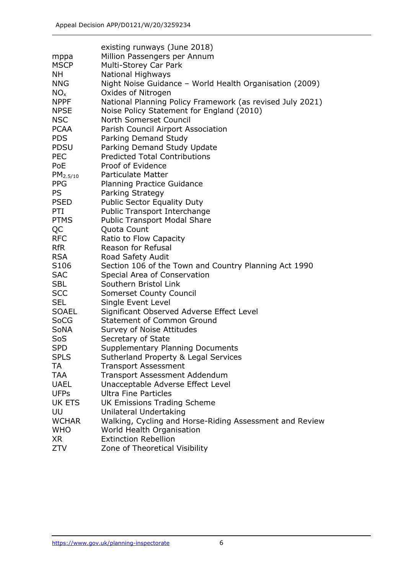|                  | existing runways (June 2018)                              |
|------------------|-----------------------------------------------------------|
| mppa             | Million Passengers per Annum                              |
| <b>MSCP</b>      | Multi-Storey Car Park                                     |
| NΗ               | <b>National Highways</b>                                  |
| <b>NNG</b>       | Night Noise Guidance - World Health Organisation (2009)   |
| $NO_{x}$         | Oxides of Nitrogen                                        |
|                  |                                                           |
| <b>NPPF</b>      | National Planning Policy Framework (as revised July 2021) |
| <b>NPSE</b>      | Noise Policy Statement for England (2010)                 |
| <b>NSC</b>       | North Somerset Council                                    |
| <b>PCAA</b>      | Parish Council Airport Association                        |
| <b>PDS</b>       | Parking Demand Study                                      |
| <b>PDSU</b>      | Parking Demand Study Update                               |
| <b>PEC</b>       | <b>Predicted Total Contributions</b>                      |
| PoE              | Proof of Evidence                                         |
| $PM_{2.5/10}$    | <b>Particulate Matter</b>                                 |
| <b>PPG</b>       | <b>Planning Practice Guidance</b>                         |
| <b>PS</b>        | Parking Strategy                                          |
| <b>PSED</b>      | <b>Public Sector Equality Duty</b>                        |
| PTI              | Public Transport Interchange                              |
| <b>PTMS</b>      | <b>Public Transport Modal Share</b>                       |
| QC               | Quota Count                                               |
| <b>RFC</b>       | Ratio to Flow Capacity                                    |
| <b>RfR</b>       | Reason for Refusal                                        |
| <b>RSA</b>       | Road Safety Audit                                         |
| S <sub>106</sub> | Section 106 of the Town and Country Planning Act 1990     |
| <b>SAC</b>       | Special Area of Conservation                              |
| <b>SBL</b>       | Southern Bristol Link                                     |
| <b>SCC</b>       | Somerset County Council                                   |
| <b>SEL</b>       | Single Event Level                                        |
| <b>SOAEL</b>     | Significant Observed Adverse Effect Level                 |
| SoCG             | <b>Statement of Common Ground</b>                         |
| <b>SoNA</b>      | Survey of Noise Attitudes                                 |
| SoS              | Secretary of State                                        |
| <b>SPD</b>       | <b>Supplementary Planning Documents</b>                   |
| <b>SPLS</b>      | Sutherland Property & Legal Services                      |
| TA               | <b>Transport Assessment</b>                               |
| <b>TAA</b>       | <b>Transport Assessment Addendum</b>                      |
| <b>UAEL</b>      | Unacceptable Adverse Effect Level                         |
| <b>UFPs</b>      | <b>Ultra Fine Particles</b>                               |
| UK ETS           | <b>UK Emissions Trading Scheme</b>                        |
| UU               | Unilateral Undertaking                                    |
| <b>WCHAR</b>     | Walking, Cycling and Horse-Riding Assessment and Review   |
| <b>WHO</b>       | World Health Organisation                                 |
| <b>XR</b>        | <b>Extinction Rebellion</b>                               |
| <b>ZTV</b>       | Zone of Theoretical Visibility                            |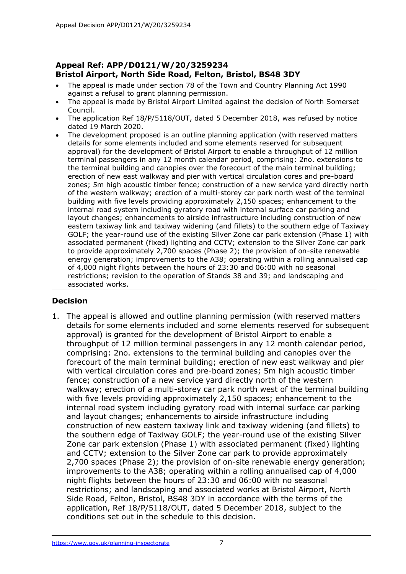# **Appeal Ref: APP/D0121/W/20/3259234 Bristol Airport, North Side Road, Felton, Bristol, BS48 3DY**

- The appeal is made under section 78 of the Town and Country Planning Act 1990 against a refusal to grant planning permission.
- The appeal is made by Bristol Airport Limited against the decision of North Somerset Council.
- The application Ref 18/P/5118/OUT, dated 5 December 2018, was refused by notice dated 19 March 2020.
- The development proposed is an outline planning application (with reserved matters details for some elements included and some elements reserved for subsequent approval) for the development of Bristol Airport to enable a throughput of 12 million terminal passengers in any 12 month calendar period, comprising: 2no. extensions to the terminal building and canopies over the forecourt of the main terminal building; erection of new east walkway and pier with vertical circulation cores and pre-board zones; 5m high acoustic timber fence; construction of a new service yard directly north of the western walkway; erection of a multi-storey car park north west of the terminal building with five levels providing approximately 2,150 spaces; enhancement to the internal road system including gyratory road with internal surface car parking and layout changes; enhancements to airside infrastructure including construction of new eastern taxiway link and taxiway widening (and fillets) to the southern edge of Taxiway GOLF; the year-round use of the existing Silver Zone car park extension (Phase 1) with associated permanent (fixed) lighting and CCTV; extension to the Silver Zone car park to provide approximately 2,700 spaces (Phase 2); the provision of on-site renewable energy generation; improvements to the A38; operating within a rolling annualised cap of 4,000 night flights between the hours of 23:30 and 06:00 with no seasonal restrictions; revision to the operation of Stands 38 and 39; and landscaping and associated works.

# **Decision**

1. The appeal is allowed and outline planning permission (with reserved matters details for some elements included and some elements reserved for subsequent approval) is granted for the development of Bristol Airport to enable a throughput of 12 million terminal passengers in any 12 month calendar period, comprising: 2no. extensions to the terminal building and canopies over the forecourt of the main terminal building; erection of new east walkway and pier with vertical circulation cores and pre-board zones; 5m high acoustic timber fence; construction of a new service yard directly north of the western walkway; erection of a multi-storey car park north west of the terminal building with five levels providing approximately 2,150 spaces; enhancement to the internal road system including gyratory road with internal surface car parking and layout changes; enhancements to airside infrastructure including construction of new eastern taxiway link and taxiway widening (and fillets) to the southern edge of Taxiway GOLF; the year-round use of the existing Silver Zone car park extension (Phase 1) with associated permanent (fixed) lighting and CCTV; extension to the Silver Zone car park to provide approximately 2,700 spaces (Phase 2); the provision of on-site renewable energy generation; improvements to the A38; operating within a rolling annualised cap of 4,000 night flights between the hours of 23:30 and 06:00 with no seasonal restrictions; and landscaping and associated works at Bristol Airport, North Side Road, Felton, Bristol, BS48 3DY in accordance with the terms of the application, Ref 18/P/5118/OUT, dated 5 December 2018, subject to the conditions set out in the schedule to this decision.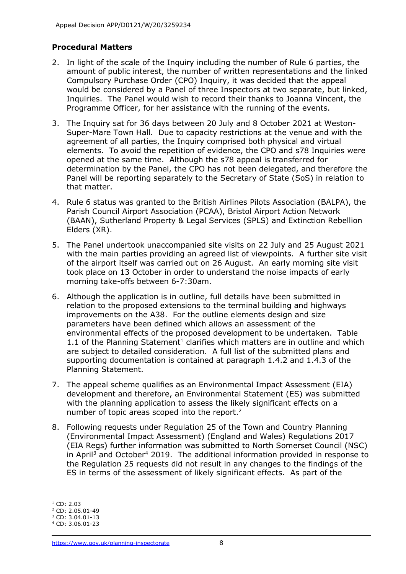# **Procedural Matters**

- 2. In light of the scale of the Inquiry including the number of Rule 6 parties, the amount of public interest, the number of written representations and the linked Compulsory Purchase Order (CPO) Inquiry, it was decided that the appeal would be considered by a Panel of three Inspectors at two separate, but linked, Inquiries. The Panel would wish to record their thanks to Joanna Vincent, the Programme Officer, for her assistance with the running of the events.
- 3. The Inquiry sat for 36 days between 20 July and 8 October 2021 at Weston-Super-Mare Town Hall. Due to capacity restrictions at the venue and with the agreement of all parties, the Inquiry comprised both physical and virtual elements. To avoid the repetition of evidence, the CPO and s78 Inquiries were opened at the same time. Although the s78 appeal is transferred for determination by the Panel, the CPO has not been delegated, and therefore the Panel will be reporting separately to the Secretary of State (SoS) in relation to that matter.
- 4. Rule 6 status was granted to the British Airlines Pilots Association (BALPA), the Parish Council Airport Association (PCAA), Bristol Airport Action Network (BAAN), Sutherland Property & Legal Services (SPLS) and Extinction Rebellion Elders (XR).
- 5. The Panel undertook unaccompanied site visits on 22 July and 25 August 2021 with the main parties providing an agreed list of viewpoints. A further site visit of the airport itself was carried out on 26 August. An early morning site visit took place on 13 October in order to understand the noise impacts of early morning take-offs between 6-7:30am.
- 6. Although the application is in outline, full details have been submitted in relation to the proposed extensions to the terminal building and highways improvements on the A38. For the outline elements design and size parameters have been defined which allows an assessment of the environmental effects of the proposed development to be undertaken. Table 1.1 of the Planning Statement<sup>1</sup> clarifies which matters are in outline and which are subject to detailed consideration. A full list of the submitted plans and supporting documentation is contained at paragraph 1.4.2 and 1.4.3 of the Planning Statement.
- 7. The appeal scheme qualifies as an Environmental Impact Assessment (EIA) development and therefore, an Environmental Statement (ES) was submitted with the planning application to assess the likely significant effects on a number of topic areas scoped into the report.<sup>2</sup>
- 8. Following requests under Regulation 25 of the Town and Country Planning (Environmental Impact Assessment) (England and Wales) Regulations 2017 (EIA Regs) further information was submitted to North Somerset Council (NSC) in April<sup>3</sup> and October<sup>4</sup> 2019. The additional information provided in response to the Regulation 25 requests did not result in any changes to the findings of the ES in terms of the assessment of likely significant effects. As part of the

 $1$  CD: 2.03

<sup>2</sup> CD: 2.05.01-49

<sup>3</sup> CD: 3.04.01-13

<sup>4</sup> CD: 3.06.01-23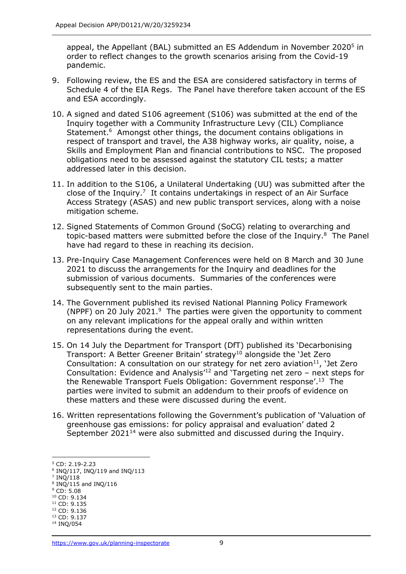appeal, the Appellant (BAL) submitted an ES Addendum in November 2020<sup>5</sup> in order to reflect changes to the growth scenarios arising from the Covid-19 pandemic.

- 9. Following review, the ES and the ESA are considered satisfactory in terms of Schedule 4 of the EIA Regs. The Panel have therefore taken account of the ES and ESA accordingly.
- 10. A signed and dated S106 agreement (S106) was submitted at the end of the Inquiry together with a Community Infrastructure Levy (CIL) Compliance Statement.<sup>6</sup> Amongst other things, the document contains obligations in respect of transport and travel, the A38 highway works, air quality, noise, a Skills and Employment Plan and financial contributions to NSC. The proposed obligations need to be assessed against the statutory CIL tests; a matter addressed later in this decision.
- 11. In addition to the S106, a Unilateral Undertaking (UU) was submitted after the close of the Inquiry.<sup>7</sup> It contains undertakings in respect of an Air Surface Access Strategy (ASAS) and new public transport services, along with a noise mitigation scheme.
- 12. Signed Statements of Common Ground (SoCG) relating to overarching and topic-based matters were submitted before the close of the Inquiry. 8 The Panel have had regard to these in reaching its decision.
- 13. Pre-Inquiry Case Management Conferences were held on 8 March and 30 June 2021 to discuss the arrangements for the Inquiry and deadlines for the submission of various documents. Summaries of the conferences were subsequently sent to the main parties.
- 14. The Government published its revised National Planning Policy Framework (NPPF) on 20 July 2021. $9$  The parties were given the opportunity to comment on any relevant implications for the appeal orally and within written representations during the event.
- 15. On 14 July the Department for Transport (DfT) published its 'Decarbonising Transport: A Better Greener Britain' strategy<sup>10</sup> alongside the 'Jet Zero Consultation: A consultation on our strategy for net zero aviation $11$ , 'Jet Zero Consultation: Evidence and Analysis<sup>12</sup> and 'Targeting net zero – next steps for the Renewable Transport Fuels Obligation: Government response'. <sup>13</sup> The parties were invited to submit an addendum to their proofs of evidence on these matters and these were discussed during the event.
- 16. Written representations following the Government's publication of 'Valuation of greenhouse gas emissions: for policy appraisal and evaluation' dated 2 September 2021<sup>14</sup> were also submitted and discussed during the Inquiry.

<sup>5</sup> CD: 2.19-2.23

<sup>6</sup> INQ/117, INQ/119 and INQ/113

<sup>7</sup> INQ/118

<sup>8</sup> INQ/115 and INQ/116

<sup>9</sup> CD: 5.08

<sup>&</sup>lt;sup>10</sup> CD: 9.134  $11$  CD: 9.135

<sup>12</sup> CD: 9.136

<sup>13</sup> CD: 9.137

<sup>14</sup> INQ/054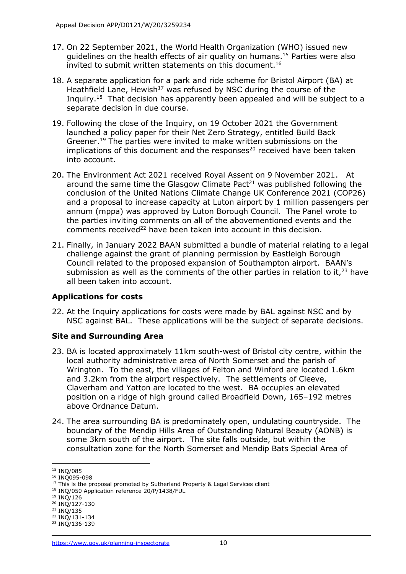- 17. On 22 September 2021, the World Health Organization (WHO) issued new guidelines on the health effects of air quality on humans.<sup>15</sup> Parties were also invited to submit written statements on this document.<sup>16</sup>
- 18. A separate application for a park and ride scheme for Bristol Airport (BA) at Heathfield Lane, Hewish<sup>17</sup> was refused by NSC during the course of the Inquiry.<sup>18</sup> That decision has apparently been appealed and will be subject to a separate decision in due course.
- 19. Following the close of the Inquiry, on 19 October 2021 the Government launched a policy paper for their Net Zero Strategy, entitled Build Back Greener. <sup>19</sup> The parties were invited to make written submissions on the implications of this document and the responses<sup>20</sup> received have been taken into account.
- 20. The Environment Act 2021 received Royal Assent on 9 November 2021. At around the same time the Glasgow Climate Pact<sup>21</sup> was published following the conclusion of the United Nations Climate Change UK Conference 2021 (COP26) and a proposal to increase capacity at Luton airport by 1 million passengers per annum (mppa) was approved by Luton Borough Council. The Panel wrote to the parties inviting comments on all of the abovementioned events and the comments received<sup>22</sup> have been taken into account in this decision.
- 21. Finally, in January 2022 BAAN submitted a bundle of material relating to a legal challenge against the grant of planning permission by Eastleigh Borough Council related to the proposed expansion of Southampton airport. BAAN's submission as well as the comments of the other parties in relation to it, $^{23}$  have all been taken into account.

# **Applications for costs**

22. At the Inquiry applications for costs were made by BAL against NSC and by NSC against BAL. These applications will be the subject of separate decisions.

# **Site and Surrounding Area**

- 23. BA is located approximately 11km south-west of Bristol city centre, within the local authority administrative area of North Somerset and the parish of Wrington. To the east, the villages of Felton and Winford are located 1.6km and 3.2km from the airport respectively. The settlements of Cleeve, Claverham and Yatton are located to the west. BA occupies an elevated position on a ridge of high ground called Broadfield Down, 165–192 metres above Ordnance Datum.
- 24. The area surrounding BA is predominately open, undulating countryside. The boundary of the Mendip Hills Area of Outstanding Natural Beauty (AONB) is some 3km south of the airport. The site falls outside, but within the consultation zone for the North Somerset and Mendip Bats Special Area of

<sup>16</sup> INQ095-098

 $19$  INQ/126

<sup>21</sup> INQ/135

<sup>&</sup>lt;sup>15</sup> INQ/085

<sup>&</sup>lt;sup>17</sup> This is the proposal promoted by Sutherland Property & Legal Services client

<sup>&</sup>lt;sup>18</sup> INQ/050 Application reference 20/P/1438/FUL

<sup>20</sup> INQ/127-130

<sup>22</sup> INQ/131-134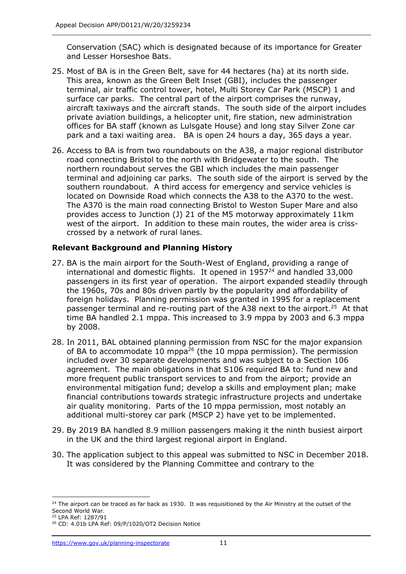Conservation (SAC) which is designated because of its importance for Greater and Lesser Horseshoe Bats.

- 25. Most of BA is in the Green Belt, save for 44 hectares (ha) at its north side. This area, known as the Green Belt Inset (GBI), includes the passenger terminal, air traffic control tower, hotel, Multi Storey Car Park (MSCP) 1 and surface car parks. The central part of the airport comprises the runway, aircraft taxiways and the aircraft stands. The south side of the airport includes private aviation buildings, a helicopter unit, fire station, new administration offices for BA staff (known as Lulsgate House) and long stay Silver Zone car park and a taxi waiting area. BA is open 24 hours a day, 365 days a year.
- 26. Access to BA is from two roundabouts on the A38, a major regional distributor road connecting Bristol to the north with Bridgewater to the south. The northern roundabout serves the GBI which includes the main passenger terminal and adjoining car parks. The south side of the airport is served by the southern roundabout. A third access for emergency and service vehicles is located on Downside Road which connects the A38 to the A370 to the west. The A370 is the main road connecting Bristol to Weston Super Mare and also provides access to Junction (J) 21 of the M5 motorway approximately 11km west of the airport. In addition to these main routes, the wider area is crisscrossed by a network of rural lanes.

# **Relevant Background and Planning History**

- 27. BA is the main airport for the South-West of England, providing a range of international and domestic flights. It opened in  $1957<sup>24</sup>$  and handled 33,000 passengers in its first year of operation. The airport expanded steadily through the 1960s, 70s and 80s driven partly by the popularity and affordability of foreign holidays. Planning permission was granted in 1995 for a replacement passenger terminal and re-routing part of the A38 next to the airport.<sup>25</sup> At that time BA handled 2.1 mppa. This increased to 3.9 mppa by 2003 and 6.3 mppa by 2008.
- 28. In 2011, BAL obtained planning permission from NSC for the major expansion of BA to accommodate 10 mppa<sup>26</sup> (the 10 mppa permission). The permission included over 30 separate developments and was subject to a Section 106 agreement. The main obligations in that S106 required BA to: fund new and more frequent public transport services to and from the airport; provide an environmental mitigation fund; develop a skills and employment plan; make financial contributions towards strategic infrastructure projects and undertake air quality monitoring. Parts of the 10 mppa permission, most notably an additional multi-storey car park (MSCP 2) have yet to be implemented.
- 29. By 2019 BA handled 8.9 million passengers making it the ninth busiest airport in the UK and the third largest regional airport in England.
- 30. The application subject to this appeal was submitted to NSC in December 2018. It was considered by the Planning Committee and contrary to the

<sup>&</sup>lt;sup>24</sup> The airport can be traced as far back as 1930. It was requisitioned by the Air Ministry at the outset of the Second World War.

<sup>25</sup> LPA Ref: 1287/91

<sup>26</sup> CD: 4.01b LPA Ref: 09/P/1020/OT2 Decision Notice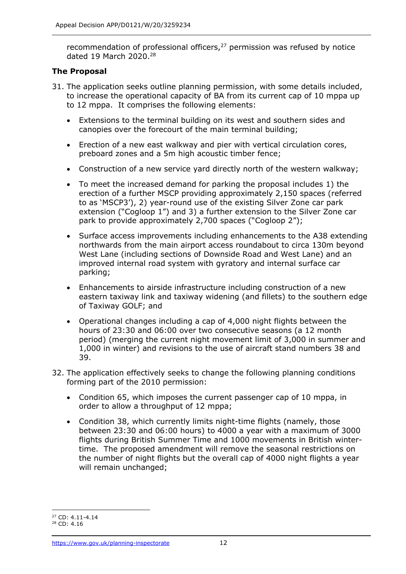recommendation of professional officers, $^{27}$  permission was refused by notice dated 19 March 2020. 28

# **The Proposal**

- 31. The application seeks outline planning permission, with some details included, to increase the operational capacity of BA from its current cap of 10 mppa up to 12 mppa. It comprises the following elements:
	- Extensions to the terminal building on its west and southern sides and canopies over the forecourt of the main terminal building;
	- Erection of a new east walkway and pier with vertical circulation cores, preboard zones and a 5m high acoustic timber fence;
	- Construction of a new service yard directly north of the western walkway;
	- To meet the increased demand for parking the proposal includes 1) the erection of a further MSCP providing approximately 2,150 spaces (referred to as 'MSCP3'), 2) year-round use of the existing Silver Zone car park extension ("Cogloop 1") and 3) a further extension to the Silver Zone car park to provide approximately 2,700 spaces ("Cogloop 2");
	- Surface access improvements including enhancements to the A38 extending northwards from the main airport access roundabout to circa 130m beyond West Lane (including sections of Downside Road and West Lane) and an improved internal road system with gyratory and internal surface car parking;
	- Enhancements to airside infrastructure including construction of a new eastern taxiway link and taxiway widening (and fillets) to the southern edge of Taxiway GOLF; and
	- Operational changes including a cap of 4,000 night flights between the hours of 23:30 and 06:00 over two consecutive seasons (a 12 month period) (merging the current night movement limit of 3,000 in summer and 1,000 in winter) and revisions to the use of aircraft stand numbers 38 and 39.
- 32. The application effectively seeks to change the following planning conditions forming part of the 2010 permission:
	- Condition 65, which imposes the current passenger cap of 10 mppa, in order to allow a throughput of 12 mppa;
	- Condition 38, which currently limits night-time flights (namely, those between 23:30 and 06:00 hours) to 4000 a year with a maximum of 3000 flights during British Summer Time and 1000 movements in British wintertime. The proposed amendment will remove the seasonal restrictions on the number of night flights but the overall cap of 4000 night flights a year will remain unchanged:

<sup>27</sup> CD: 4.11-4.14

<sup>28</sup> CD: 4.16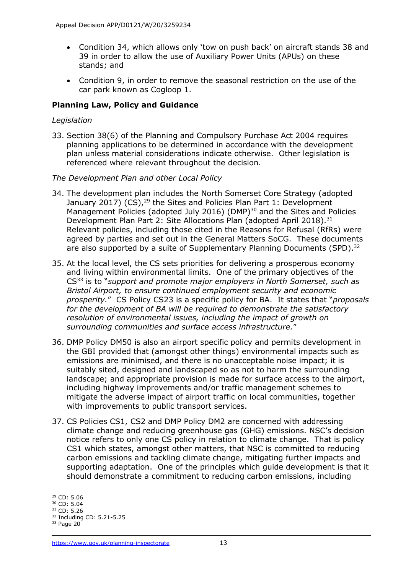- Condition 34, which allows only 'tow on push back' on aircraft stands 38 and 39 in order to allow the use of Auxiliary Power Units (APUs) on these stands; and
- Condition 9, in order to remove the seasonal restriction on the use of the car park known as Cogloop 1.

# **Planning Law, Policy and Guidance**

### *Legislation*

33. Section 38(6) of the Planning and Compulsory Purchase Act 2004 requires planning applications to be determined in accordance with the development plan unless material considerations indicate otherwise. Other legislation is referenced where relevant throughout the decision.

### *The Development Plan and other Local Policy*

- 34. The development plan includes the North Somerset Core Strategy (adopted January 2017) (CS),<sup>29</sup> the Sites and Policies Plan Part 1: Development Management Policies (adopted July 2016) (DMP)<sup>30</sup> and the Sites and Policies Development Plan Part 2: Site Allocations Plan (adopted April 2018).<sup>31</sup> Relevant policies, including those cited in the Reasons for Refusal (RfRs) were agreed by parties and set out in the General Matters SoCG. These documents are also supported by a suite of Supplementary Planning Documents (SPD).<sup>32</sup>
- 35. At the local level, the CS sets priorities for delivering a prosperous economy and living within environmental limits. One of the primary objectives of the CS<sup>33</sup> is to "*support and promote major employers in North Somerset, such as Bristol Airport, to ensure continued employment security and economic prosperity.*" CS Policy CS23 is a specific policy for BA. It states that "*proposals for the development of BA will be required to demonstrate the satisfactory resolution of environmental issues, including the impact of growth on surrounding communities and surface access infrastructure.*"
- 36. DMP Policy DM50 is also an airport specific policy and permits development in the GBI provided that (amongst other things) environmental impacts such as emissions are minimised, and there is no unacceptable noise impact; it is suitably sited, designed and landscaped so as not to harm the surrounding landscape; and appropriate provision is made for surface access to the airport, including highway improvements and/or traffic management schemes to mitigate the adverse impact of airport traffic on local communities, together with improvements to public transport services.
- 37. CS Policies CS1, CS2 and DMP Policy DM2 are concerned with addressing climate change and reducing greenhouse gas (GHG) emissions. NSC's decision notice refers to only one CS policy in relation to climate change. That is policy CS1 which states, amongst other matters, that NSC is committed to reducing carbon emissions and tackling climate change, mitigating further impacts and supporting adaptation. One of the principles which guide development is that it should demonstrate a commitment to reducing carbon emissions, including

<sup>29</sup> CD: 5.06

<sup>30</sup> CD: 5.04

<sup>31</sup> CD: 5.26

<sup>32</sup> Including CD: 5.21-5.25

 $33$  Page 20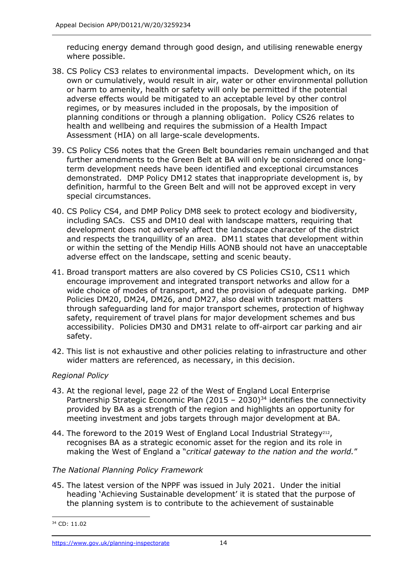reducing energy demand through good design, and utilising renewable energy where possible.

- 38. CS Policy CS3 relates to environmental impacts. Development which, on its own or cumulatively, would result in air, water or other environmental pollution or harm to amenity, health or safety will only be permitted if the potential adverse effects would be mitigated to an acceptable level by other control regimes, or by measures included in the proposals, by the imposition of planning conditions or through a planning obligation. Policy CS26 relates to health and wellbeing and requires the submission of a Health Impact Assessment (HIA) on all large-scale developments.
- 39. CS Policy CS6 notes that the Green Belt boundaries remain unchanged and that further amendments to the Green Belt at BA will only be considered once longterm development needs have been identified and exceptional circumstances demonstrated. DMP Policy DM12 states that inappropriate development is, by definition, harmful to the Green Belt and will not be approved except in very special circumstances.
- 40. CS Policy CS4, and DMP Policy DM8 seek to protect ecology and biodiversity, including SACs. CS5 and DM10 deal with landscape matters, requiring that development does not adversely affect the landscape character of the district and respects the tranquillity of an area. DM11 states that development within or within the setting of the Mendip Hills AONB should not have an unacceptable adverse effect on the landscape, setting and scenic beauty.
- 41. Broad transport matters are also covered by CS Policies CS10, CS11 which encourage improvement and integrated transport networks and allow for a wide choice of modes of transport, and the provision of adequate parking. DMP Policies DM20, DM24, DM26, and DM27, also deal with transport matters through safeguarding land for major transport schemes, protection of highway safety, requirement of travel plans for major development schemes and bus accessibility. Policies DM30 and DM31 relate to off-airport car parking and air safety.
- 42. This list is not exhaustive and other policies relating to infrastructure and other wider matters are referenced, as necessary, in this decision.

# *Regional Policy*

- 43. At the regional level, page 22 of the West of England Local Enterprise Partnership Strategic Economic Plan (2015 – 2030)<sup>34</sup> identifies the connectivity provided by BA as a strength of the region and highlights an opportunity for meeting investment and jobs targets through major development at BA.
- 44. The foreword to the 2019 West of England Local Industrial Strategy<sup>212</sup>, recognises BA as a strategic economic asset for the region and its role in making the West of England a "*critical gateway to the nation and the world.*"

### *The National Planning Policy Framework*

45. The latest version of the NPPF was issued in July 2021. Under the initial heading 'Achieving Sustainable development' it is stated that the purpose of the planning system is to contribute to the achievement of sustainable

<sup>34</sup> CD: 11.02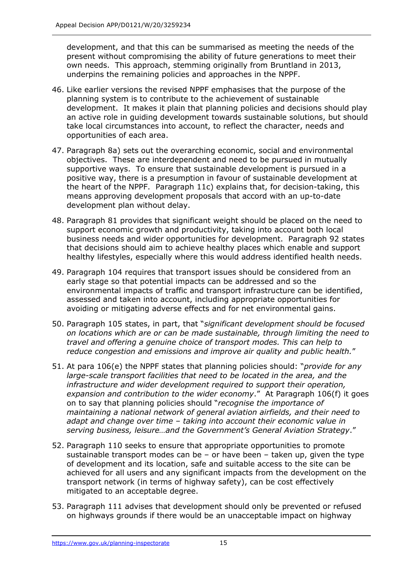development, and that this can be summarised as meeting the needs of the present without compromising the ability of future generations to meet their own needs. This approach, stemming originally from Bruntland in 2013, underpins the remaining policies and approaches in the NPPF.

- 46. Like earlier versions the revised NPPF emphasises that the purpose of the planning system is to contribute to the achievement of sustainable development. It makes it plain that planning policies and decisions should play an active role in guiding development towards sustainable solutions, but should take local circumstances into account, to reflect the character, needs and opportunities of each area.
- 47. Paragraph 8a) sets out the overarching economic, social and environmental objectives. These are interdependent and need to be pursued in mutually supportive ways. To ensure that sustainable development is pursued in a positive way, there is a presumption in favour of sustainable development at the heart of the NPPF. Paragraph 11c) explains that, for decision-taking, this means approving development proposals that accord with an up-to-date development plan without delay.
- 48. Paragraph 81 provides that significant weight should be placed on the need to support economic growth and productivity, taking into account both local business needs and wider opportunities for development. Paragraph 92 states that decisions should aim to achieve healthy places which enable and support healthy lifestyles, especially where this would address identified health needs.
- 49. Paragraph 104 requires that transport issues should be considered from an early stage so that potential impacts can be addressed and so the environmental impacts of traffic and transport infrastructure can be identified, assessed and taken into account, including appropriate opportunities for avoiding or mitigating adverse effects and for net environmental gains.
- 50. Paragraph 105 states, in part, that "*significant development should be focused on locations which are or can be made sustainable, through limiting the need to travel and offering a genuine choice of transport modes. This can help to reduce congestion and emissions and improve air quality and public health.*"
- 51. At para 106(e) the NPPF states that planning policies should: "*provide for any large-scale transport facilities that need to be located in the area, and the infrastructure and wider development required to support their operation, expansion and contribution to the wider economy*." At Paragraph 106(f) it goes on to say that planning policies should "*recognise the importance of maintaining a national network of general aviation airfields, and their need to adapt and change over time – taking into account their economic value in serving business, leisure…and the Government's General Aviation Strategy*."
- 52. Paragraph 110 seeks to ensure that appropriate opportunities to promote sustainable transport modes can be  $-$  or have been  $-$  taken up, given the type of development and its location, safe and suitable access to the site can be achieved for all users and any significant impacts from the development on the transport network (in terms of highway safety), can be cost effectively mitigated to an acceptable degree.
- 53. Paragraph 111 advises that development should only be prevented or refused on highways grounds if there would be an unacceptable impact on highway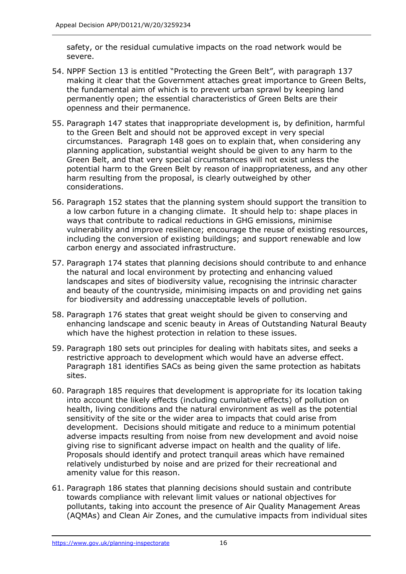safety, or the residual cumulative impacts on the road network would be severe.

- 54. NPPF Section 13 is entitled "Protecting the Green Belt", with paragraph 137 making it clear that the Government attaches great importance to Green Belts, the fundamental aim of which is to prevent urban sprawl by keeping land permanently open; the essential characteristics of Green Belts are their openness and their permanence.
- 55. Paragraph 147 states that inappropriate development is, by definition, harmful to the Green Belt and should not be approved except in very special circumstances. Paragraph 148 goes on to explain that, when considering any planning application, substantial weight should be given to any harm to the Green Belt, and that very special circumstances will not exist unless the potential harm to the Green Belt by reason of inappropriateness, and any other harm resulting from the proposal, is clearly outweighed by other considerations.
- 56. Paragraph 152 states that the planning system should support the transition to a low carbon future in a changing climate. It should help to: shape places in ways that contribute to radical reductions in GHG emissions, minimise vulnerability and improve resilience; encourage the reuse of existing resources, including the conversion of existing buildings; and support renewable and low carbon energy and associated infrastructure.
- 57. Paragraph 174 states that planning decisions should contribute to and enhance the natural and local environment by protecting and enhancing valued landscapes and sites of biodiversity value, recognising the intrinsic character and beauty of the countryside, minimising impacts on and providing net gains for biodiversity and addressing unacceptable levels of pollution.
- 58. Paragraph 176 states that great weight should be given to conserving and enhancing landscape and scenic beauty in Areas of Outstanding Natural Beauty which have the highest protection in relation to these issues.
- 59. Paragraph 180 sets out principles for dealing with habitats sites, and seeks a restrictive approach to development which would have an adverse effect. Paragraph 181 identifies SACs as being given the same protection as habitats sites.
- 60. Paragraph 185 requires that development is appropriate for its location taking into account the likely effects (including cumulative effects) of pollution on health, living conditions and the natural environment as well as the potential sensitivity of the site or the wider area to impacts that could arise from development. Decisions should mitigate and reduce to a minimum potential adverse impacts resulting from noise from new development and avoid noise giving rise to significant adverse impact on health and the quality of life. Proposals should identify and protect tranquil areas which have remained relatively undisturbed by noise and are prized for their recreational and amenity value for this reason.
- 61. Paragraph 186 states that planning decisions should sustain and contribute towards compliance with relevant limit values or national objectives for pollutants, taking into account the presence of Air Quality Management Areas (AQMAs) and Clean Air Zones, and the cumulative impacts from individual sites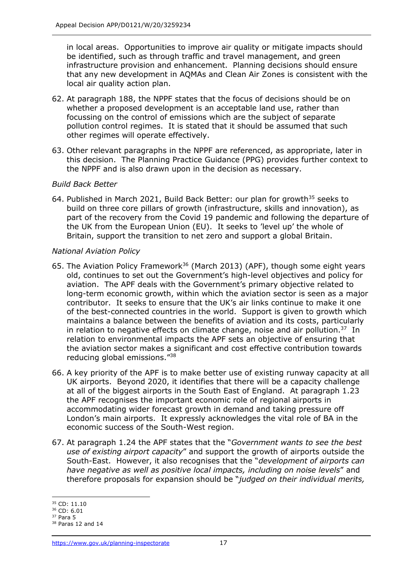in local areas. Opportunities to improve air quality or mitigate impacts should be identified, such as through traffic and travel management, and green infrastructure provision and enhancement. Planning decisions should ensure that any new development in AQMAs and Clean Air Zones is consistent with the local air quality action plan.

- 62. At paragraph 188, the NPPF states that the focus of decisions should be on whether a proposed development is an acceptable land use, rather than focussing on the control of emissions which are the subject of separate pollution control regimes. It is stated that it should be assumed that such other regimes will operate effectively.
- 63. Other relevant paragraphs in the NPPF are referenced, as appropriate, later in this decision. The Planning Practice Guidance (PPG) provides further context to the NPPF and is also drawn upon in the decision as necessary.

# *Build Back Better*

64. Published in March 2021, Build Back Better: our plan for growth<sup>35</sup> seeks to build on three core pillars of growth (infrastructure, skills and innovation), as part of the recovery from the Covid 19 pandemic and following the departure of the UK from the European Union (EU). It seeks to 'level up' the whole of Britain, support the transition to net zero and support a global Britain.

# *National Aviation Policy*

- 65. The Aviation Policy Framework<sup>36</sup> (March 2013) (APF), though some eight years old, continues to set out the Government's high-level objectives and policy for aviation. The APF deals with the Government's primary objective related to long-term economic growth, within which the aviation sector is seen as a major contributor. It seeks to ensure that the UK's air links continue to make it one of the best-connected countries in the world. Support is given to growth which maintains a balance between the benefits of aviation and its costs, particularly in relation to negative effects on climate change, noise and air pollution. $37$  In relation to environmental impacts the APF sets an objective of ensuring that the aviation sector makes a significant and cost effective contribution towards reducing global emissions." 38
- 66. A key priority of the APF is to make better use of existing runway capacity at all UK airports. Beyond 2020, it identifies that there will be a capacity challenge at all of the biggest airports in the South East of England. At paragraph 1.23 the APF recognises the important economic role of regional airports in accommodating wider forecast growth in demand and taking pressure off London's main airports. It expressly acknowledges the vital role of BA in the economic success of the South-West region.
- 67. At paragraph 1.24 the APF states that the "*Government wants to see the best use of existing airport capacity*" and support the growth of airports outside the South-East. However, it also recognises that the "*development of airports can have negative as well as positive local impacts, including on noise levels*" and therefore proposals for expansion should be "*judged on their individual merits,*

<sup>35</sup> CD: 11.10

<sup>36</sup> CD: 6.01

 $37$  Para 5  $38$  Paras 12 and 14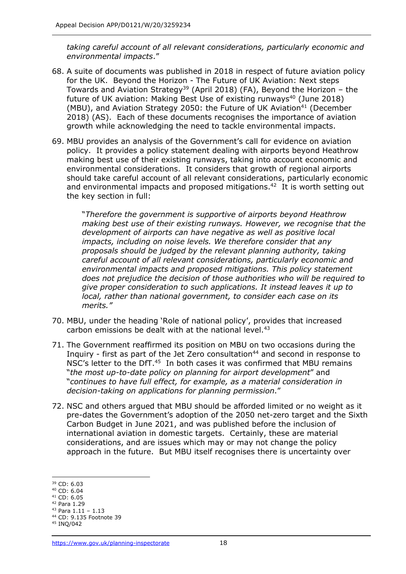*taking careful account of all relevant considerations, particularly economic and environmental impacts*."

- 68. A suite of documents was published in 2018 in respect of future aviation policy for the UK. Beyond the Horizon - The Future of UK Aviation: Next steps Towards and Aviation Strategy<sup>39</sup> (April 2018) (FA), Beyond the Horizon – the future of UK aviation: Making Best Use of existing runways<sup>40</sup> (June 2018) (MBU), and Aviation Strategy 2050: the Future of UK Aviation<sup>41</sup> (December 2018) (AS). Each of these documents recognises the importance of aviation growth while acknowledging the need to tackle environmental impacts.
- 69. MBU provides an analysis of the Government's call for evidence on aviation policy. It provides a policy statement dealing with airports beyond Heathrow making best use of their existing runways, taking into account economic and environmental considerations. It considers that growth of regional airports should take careful account of all relevant considerations, particularly economic and environmental impacts and proposed mitigations.<sup>42</sup> It is worth setting out the key section in full:

"*Therefore the government is supportive of airports beyond Heathrow making best use of their existing runways. However, we recognise that the development of airports can have negative as well as positive local impacts, including on noise levels. We therefore consider that any proposals should be judged by the relevant planning authority, taking careful account of all relevant considerations, particularly economic and environmental impacts and proposed mitigations. This policy statement does not prejudice the decision of those authorities who will be required to give proper consideration to such applications. It instead leaves it up to local, rather than national government, to consider each case on its merits."*

- 70. MBU, under the heading 'Role of national policy', provides that increased carbon emissions be dealt with at the national level.<sup>43</sup>
- 71. The Government reaffirmed its position on MBU on two occasions during the Inquiry - first as part of the Jet Zero consultation $44$  and second in response to NSC's letter to the DfT.<sup>45</sup> In both cases it was confirmed that MBU remains "*the most up-to-date policy on planning for airport development*" and "*continues to have full effect, for example, as a material consideration in decision-taking on applications for planning permission*."
- 72. NSC and others argued that MBU should be afforded limited or no weight as it pre-dates the Government's adoption of the 2050 net-zero target and the Sixth Carbon Budget in June 2021, and was published before the inclusion of international aviation in domestic targets. Certainly, these are material considerations, and are issues which may or may not change the policy approach in the future. But MBU itself recognises there is uncertainty over

<sup>39</sup> CD: 6.03

<sup>40</sup> CD: 6.04

<sup>41</sup> CD: 6.05

<sup>42</sup> Para 1.29

<sup>43</sup> Para 1.11 – 1.13 <sup>44</sup> CD: 9.135 Footnote 39

<sup>45</sup> INQ/042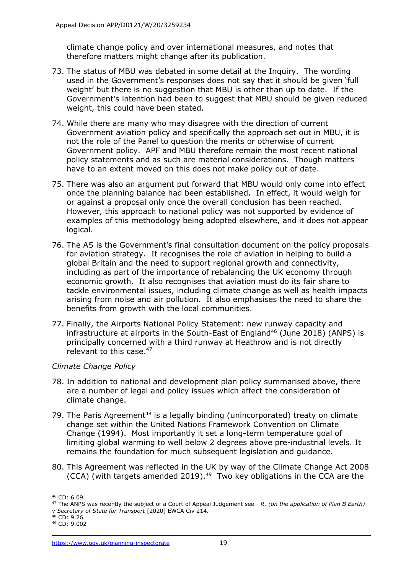climate change policy and over international measures, and notes that therefore matters might change after its publication.

- 73. The status of MBU was debated in some detail at the Inquiry. The wording used in the Government's responses does not say that it should be given 'full weight' but there is no suggestion that MBU is other than up to date. If the Government's intention had been to suggest that MBU should be given reduced weight, this could have been stated.
- 74. While there are many who may disagree with the direction of current Government aviation policy and specifically the approach set out in MBU, it is not the role of the Panel to question the merits or otherwise of current Government policy. APF and MBU therefore remain the most recent national policy statements and as such are material considerations. Though matters have to an extent moved on this does not make policy out of date.
- 75. There was also an argument put forward that MBU would only come into effect once the planning balance had been established. In effect, it would weigh for or against a proposal only once the overall conclusion has been reached. However, this approach to national policy was not supported by evidence of examples of this methodology being adopted elsewhere, and it does not appear logical.
- 76. The AS is the Government's final consultation document on the policy proposals for aviation strategy. It recognises the role of aviation in helping to build a global Britain and the need to support regional growth and connectivity, including as part of the importance of rebalancing the UK economy through economic growth. It also recognises that aviation must do its fair share to tackle environmental issues, including climate change as well as health impacts arising from noise and air pollution. It also emphasises the need to share the benefits from growth with the local communities.
- 77. Finally, the Airports National Policy Statement: new runway capacity and infrastructure at airports in the South-East of England<sup>46</sup> (June 2018) (ANPS) is principally concerned with a third runway at Heathrow and is not directly relevant to this case.<sup>47</sup>

# *Climate Change Policy*

- 78. In addition to national and development plan policy summarised above, there are a number of legal and policy issues which affect the consideration of climate change.
- 79. The Paris Agreement<sup>48</sup> is a legally binding (unincorporated) treaty on climate change set within the United Nations Framework Convention on Climate Change (1994). Most importantly it set a long-term temperature goal of limiting global warming to well below 2 degrees above pre-industrial levels. It remains the foundation for much subsequent legislation and guidance.
- 80. This Agreement was reflected in the UK by way of the Climate Change Act 2008 (CCA) (with targets amended 2019). $49$  Two key obligations in the CCA are the

<sup>46</sup> CD: 6.09

<sup>47</sup> The ANPS was recently the subject of a Court of Appeal Judgement see - *R. (on the application of Plan B Earth) v Secretary of State for Transport* [2020] EWCA Civ 214.

<sup>48</sup> CD: 9.26

<sup>49</sup> CD: 9.002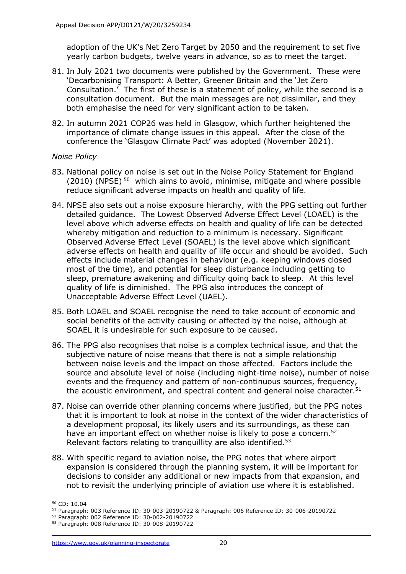adoption of the UK's Net Zero Target by 2050 and the requirement to set five yearly carbon budgets, twelve years in advance, so as to meet the target.

- 81. In July 2021 two documents were published by the Government. These were 'Decarbonising Transport: A Better, Greener Britain and the 'Jet Zero Consultation.' The first of these is a statement of policy, while the second is a consultation document. But the main messages are not dissimilar, and they both emphasise the need for very significant action to be taken.
- 82. In autumn 2021 COP26 was held in Glasgow, which further heightened the importance of climate change issues in this appeal. After the close of the conference the 'Glasgow Climate Pact' was adopted (November 2021).

# *Noise Policy*

- 83. National policy on noise is set out in the Noise Policy Statement for England (2010) (NPSE) <sup>50</sup> which aims to avoid, minimise, mitigate and where possible reduce significant adverse impacts on health and quality of life.
- 84. NPSE also sets out a noise exposure hierarchy, with the PPG setting out further detailed guidance. The Lowest Observed Adverse Effect Level (LOAEL) is the level above which adverse effects on health and quality of life can be detected whereby mitigation and reduction to a minimum is necessary. Significant Observed Adverse Effect Level (SOAEL) is the level above which significant adverse effects on health and quality of life occur and should be avoided. Such effects include material changes in behaviour (e.g. keeping windows closed most of the time), and potential for sleep disturbance including getting to sleep, premature awakening and difficulty going back to sleep. At this level quality of life is diminished. The PPG also introduces the concept of Unacceptable Adverse Effect Level (UAEL).
- 85. Both LOAEL and SOAEL recognise the need to take account of economic and social benefits of the activity causing or affected by the noise, although at SOAEL it is undesirable for such exposure to be caused.
- 86. The PPG also recognises that noise is a complex technical issue, and that the subjective nature of noise means that there is not a simple relationship between noise levels and the impact on those affected. Factors include the source and absolute level of noise (including night-time noise), number of noise events and the frequency and pattern of non-continuous sources, frequency, the acoustic environment, and spectral content and general noise character.<sup>51</sup>
- 87. Noise can override other planning concerns where justified, but the PPG notes that it is important to look at noise in the context of the wider characteristics of a development proposal, its likely users and its surroundings, as these can have an important effect on whether noise is likely to pose a concern.<sup>52</sup> Relevant factors relating to tranquillity are also identified.<sup>53</sup>
- 88. With specific regard to aviation noise, the PPG notes that where airport expansion is considered through the planning system, it will be important for decisions to consider any additional or new impacts from that expansion, and not to revisit the underlying principle of aviation use where it is established.

<sup>50</sup> CD: 10.04

<sup>51</sup> Paragraph: 003 Reference ID: 30-003-20190722 & Paragraph: 006 Reference ID: 30-006-20190722

<sup>52</sup> Paragraph: 002 Reference ID: 30-002-20190722

<sup>53</sup> Paragraph: 008 Reference ID: 30-008-20190722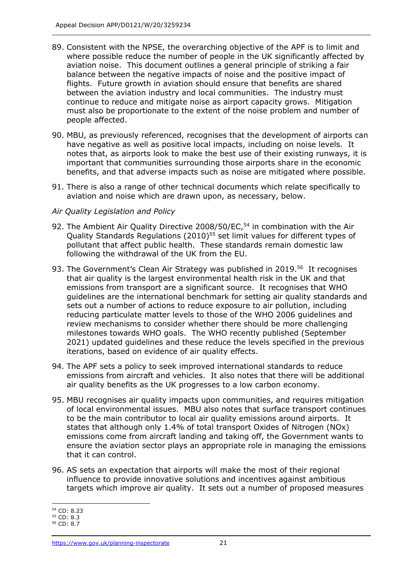- 89. Consistent with the NPSE, the overarching objective of the APF is to limit and where possible reduce the number of people in the UK significantly affected by aviation noise. This document outlines a general principle of striking a fair balance between the negative impacts of noise and the positive impact of flights. Future growth in aviation should ensure that benefits are shared between the aviation industry and local communities. The industry must continue to reduce and mitigate noise as airport capacity grows. Mitigation must also be proportionate to the extent of the noise problem and number of people affected.
- 90. MBU, as previously referenced, recognises that the development of airports can have negative as well as positive local impacts, including on noise levels. It notes that, as airports look to make the best use of their existing runways, it is important that communities surrounding those airports share in the economic benefits, and that adverse impacts such as noise are mitigated where possible.
- 91. There is also a range of other technical documents which relate specifically to aviation and noise which are drawn upon, as necessary, below.

### *Air Quality Legislation and Policy*

- 92. The Ambient Air Quality Directive 2008/50/EC,<sup>54</sup> in combination with the Air Quality Standards Regulations (2010)<sup>55</sup> set limit values for different types of pollutant that affect public health. These standards remain domestic law following the withdrawal of the UK from the EU.
- 93. The Government's Clean Air Strategy was published in 2019.<sup>56</sup> It recognises that air quality is the largest environmental health risk in the UK and that emissions from transport are a significant source. It recognises that WHO guidelines are the international benchmark for setting air quality standards and sets out a number of actions to reduce exposure to air pollution, including reducing particulate matter levels to those of the WHO 2006 guidelines and review mechanisms to consider whether there should be more challenging milestones towards WHO goals. The WHO recently published (September 2021) updated guidelines and these reduce the levels specified in the previous iterations, based on evidence of air quality effects.
- 94. The APF sets a policy to seek improved international standards to reduce emissions from aircraft and vehicles. It also notes that there will be additional air quality benefits as the UK progresses to a low carbon economy.
- 95. MBU recognises air quality impacts upon communities, and requires mitigation of local environmental issues. MBU also notes that surface transport continues to be the main contributor to local air quality emissions around airports. It states that although only 1.4% of total transport Oxides of Nitrogen (NOx) emissions come from aircraft landing and taking off, the Government wants to ensure the aviation sector plays an appropriate role in managing the emissions that it can control.
- 96. AS sets an expectation that airports will make the most of their regional influence to provide innovative solutions and incentives against ambitious targets which improve air quality. It sets out a number of proposed measures

<sup>54</sup> CD: 8.23

<sup>55</sup> CD: 8.3

<sup>56</sup> CD: 8.7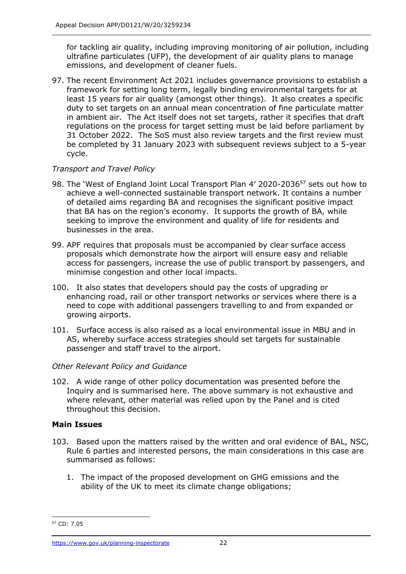for tackling air quality, including improving monitoring of air pollution, including ultrafine particulates (UFP), the development of air quality plans to manage emissions, and development of cleaner fuels.

97. The recent Environment Act 2021 includes governance provisions to establish a framework for setting long term, legally binding environmental targets for at least 15 years for air quality (amongst other things). It also creates a specific duty to set targets on an annual mean concentration of fine particulate matter in ambient air. The Act itself does not set targets, rather it specifies that draft regulations on the process for target setting must be laid before parliament by 31 October 2022. The SoS must also review targets and the first review must be completed by 31 January 2023 with subsequent reviews subject to a 5-year cycle.

# *Transport and Travel Policy*

- 98. The 'West of England Joint Local Transport Plan 4' 2020-2036<sup>57</sup> sets out how to achieve a well-connected sustainable transport network. It contains a number of detailed aims regarding BA and recognises the significant positive impact that BA has on the region's economy. It supports the growth of BA, while seeking to improve the environment and quality of life for residents and businesses in the area.
- 99. APF requires that proposals must be accompanied by clear surface access proposals which demonstrate how the airport will ensure easy and reliable access for passengers, increase the use of public transport by passengers, and minimise congestion and other local impacts.
- 100. It also states that developers should pay the costs of upgrading or enhancing road, rail or other transport networks or services where there is a need to cope with additional passengers travelling to and from expanded or growing airports.
- 101. Surface access is also raised as a local environmental issue in MBU and in AS, whereby surface access strategies should set targets for sustainable passenger and staff travel to the airport.

# *Other Relevant Policy and Guidance*

102. A wide range of other policy documentation was presented before the Inquiry and is summarised here. The above summary is not exhaustive and where relevant, other material was relied upon by the Panel and is cited throughout this decision.

# **Main Issues**

- 103. Based upon the matters raised by the written and oral evidence of BAL, NSC, Rule 6 parties and interested persons, the main considerations in this case are summarised as follows:
	- 1. The impact of the proposed development on GHG emissions and the ability of the UK to meet its climate change obligations;

<sup>57</sup> CD: 7.05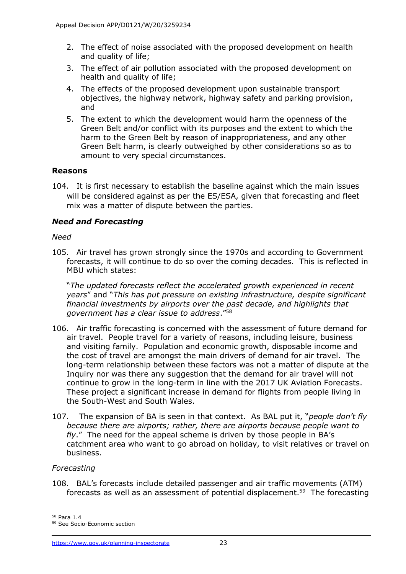- 2. The effect of noise associated with the proposed development on health and quality of life;
- 3. The effect of air pollution associated with the proposed development on health and quality of life;
- 4. The effects of the proposed development upon sustainable transport objectives, the highway network, highway safety and parking provision, and
- 5. The extent to which the development would harm the openness of the Green Belt and/or conflict with its purposes and the extent to which the harm to the Green Belt by reason of inappropriateness, and any other Green Belt harm, is clearly outweighed by other considerations so as to amount to very special circumstances.

### **Reasons**

104. It is first necessary to establish the baseline against which the main issues will be considered against as per the ES/ESA, given that forecasting and fleet mix was a matter of dispute between the parties.

# *Need and Forecasting*

### *Need*

105. Air travel has grown strongly since the 1970s and according to Government forecasts, it will continue to do so over the coming decades. This is reflected in MBU which states:

"*The updated forecasts reflect the accelerated growth experienced in recent years*" and "*This has put pressure on existing infrastructure, despite significant financial investments by airports over the past decade, and highlights that government has a clear issue to address*."<sup>58</sup>

- 106. Air traffic forecasting is concerned with the assessment of future demand for air travel. People travel for a variety of reasons, including leisure, business and visiting family. Population and economic growth, disposable income and the cost of travel are amongst the main drivers of demand for air travel. The long-term relationship between these factors was not a matter of dispute at the Inquiry nor was there any suggestion that the demand for air travel will not continue to grow in the long-term in line with the 2017 UK Aviation Forecasts. These project a significant increase in demand for flights from people living in the South-West and South Wales.
- 107. The expansion of BA is seen in that context. As BAL put it, "*people don't fly because there are airports; rather, there are airports because people want to fly*." The need for the appeal scheme is driven by those people in BA's catchment area who want to go abroad on holiday, to visit relatives or travel on business.

### *Forecasting*

108. BAL's forecasts include detailed passenger and air traffic movements (ATM) forecasts as well as an assessment of potential displacement.<sup>59</sup> The forecasting

<sup>58</sup> Para 1.4

<sup>59</sup> See Socio-Economic section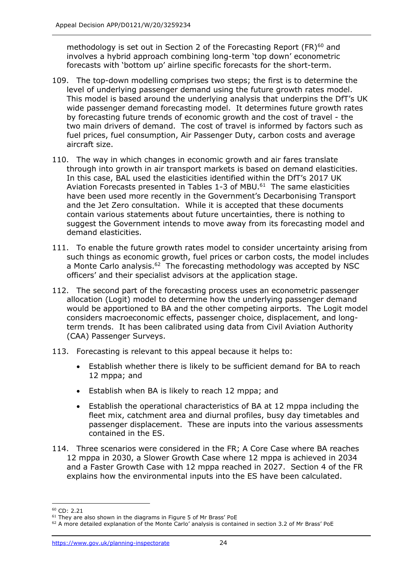methodology is set out in Section 2 of the Forecasting Report  $(FR)^{60}$  and involves a hybrid approach combining long-term 'top down' econometric forecasts with 'bottom up' airline specific forecasts for the short-term.

- 109. The top-down modelling comprises two steps; the first is to determine the level of underlying passenger demand using the future growth rates model. This model is based around the underlying analysis that underpins the DfT's UK wide passenger demand forecasting model. It determines future growth rates by forecasting future trends of economic growth and the cost of travel - the two main drivers of demand. The cost of travel is informed by factors such as fuel prices, fuel consumption, Air Passenger Duty, carbon costs and average aircraft size.
- 110. The way in which changes in economic growth and air fares translate through into growth in air transport markets is based on demand elasticities. In this case, BAL used the elasticities identified within the DfT's 2017 UK Aviation Forecasts presented in Tables 1-3 of MBU.<sup>61</sup> The same elasticities have been used more recently in the Government's Decarbonising Transport and the Jet Zero consultation. While it is accepted that these documents contain various statements about future uncertainties, there is nothing to suggest the Government intends to move away from its forecasting model and demand elasticities.
- 111. To enable the future growth rates model to consider uncertainty arising from such things as economic growth, fuel prices or carbon costs, the model includes a Monte Carlo analysis. $62$  The forecasting methodology was accepted by NSC officers' and their specialist advisors at the application stage.
- 112. The second part of the forecasting process uses an econometric passenger allocation (Logit) model to determine how the underlying passenger demand would be apportioned to BA and the other competing airports. The Logit model considers macroeconomic effects, passenger choice, displacement, and longterm trends. It has been calibrated using data from Civil Aviation Authority (CAA) Passenger Surveys.
- 113. Forecasting is relevant to this appeal because it helps to:
	- Establish whether there is likely to be sufficient demand for BA to reach 12 mppa; and
	- Establish when BA is likely to reach 12 mppa; and
	- Establish the operational characteristics of BA at 12 mppa including the fleet mix, catchment area and diurnal profiles, busy day timetables and passenger displacement. These are inputs into the various assessments contained in the ES.
- 114. Three scenarios were considered in the FR; A Core Case where BA reaches 12 mppa in 2030, a Slower Growth Case where 12 mppa is achieved in 2034 and a Faster Growth Case with 12 mppa reached in 2027. Section 4 of the FR explains how the environmental inputs into the ES have been calculated.

<sup>60</sup> CD: 2.21

<sup>&</sup>lt;sup>61</sup> They are also shown in the diagrams in Figure 5 of Mr Brass' PoE

 $62$  A more detailed explanation of the Monte Carlo' analysis is contained in section 3.2 of Mr Brass' PoE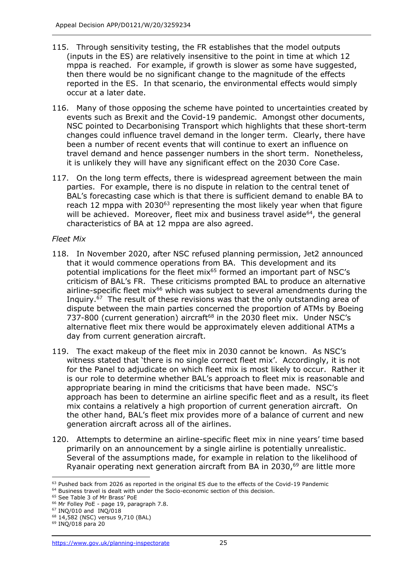- 115. Through sensitivity testing, the FR establishes that the model outputs (inputs in the ES) are relatively insensitive to the point in time at which 12 mppa is reached. For example, if growth is slower as some have suggested, then there would be no significant change to the magnitude of the effects reported in the ES. In that scenario, the environmental effects would simply occur at a later date.
- 116. Many of those opposing the scheme have pointed to uncertainties created by events such as Brexit and the Covid-19 pandemic. Amongst other documents, NSC pointed to Decarbonising Transport which highlights that these short-term changes could influence travel demand in the longer term. Clearly, there have been a number of recent events that will continue to exert an influence on travel demand and hence passenger numbers in the short term. Nonetheless, it is unlikely they will have any significant effect on the 2030 Core Case.
- 117. On the long term effects, there is widespread agreement between the main parties. For example, there is no dispute in relation to the central tenet of BAL's forecasting case which is that there is sufficient demand to enable BA to reach 12 mppa with 2030<sup>63</sup> representing the most likely year when that figure will be achieved. Moreover, fleet mix and business travel aside<sup>64</sup>, the general characteristics of BA at 12 mppa are also agreed.

### *Fleet Mix*

- 118. In November 2020, after NSC refused planning permission, Jet2 announced that it would commence operations from BA. This development and its potential implications for the fleet mix<sup>65</sup> formed an important part of NSC's criticism of BAL's FR. These criticisms prompted BAL to produce an alternative airline-specific fleet mix<sup>66</sup> which was subject to several amendments during the Inquiry.<sup>67</sup> The result of these revisions was that the only outstanding area of dispute between the main parties concerned the proportion of ATMs by Boeing 737-800 (current generation) aircraft<sup>68</sup> in the 2030 fleet mix. Under NSC's alternative fleet mix there would be approximately eleven additional ATMs a day from current generation aircraft.
- 119. The exact makeup of the fleet mix in 2030 cannot be known. As NSC's witness stated that 'there is no single correct fleet mix'. Accordingly, it is not for the Panel to adjudicate on which fleet mix is most likely to occur. Rather it is our role to determine whether BAL's approach to fleet mix is reasonable and appropriate bearing in mind the criticisms that have been made. NSC's approach has been to determine an airline specific fleet and as a result, its fleet mix contains a relatively a high proportion of current generation aircraft. On the other hand, BAL's fleet mix provides more of a balance of current and new generation aircraft across all of the airlines.
- 120. Attempts to determine an airline-specific fleet mix in nine years' time based primarily on an announcement by a single airline is potentially unrealistic. Several of the assumptions made, for example in relation to the likelihood of Ryanair operating next generation aircraft from BA in 2030, <sup>69</sup> are little more

 $63$  Pushed back from 2026 as reported in the original ES due to the effects of the Covid-19 Pandemic

 $64$  Business travel is dealt with under the Socio-economic section of this decision.

<sup>65</sup> See Table 3 of Mr Brass' PoE

<sup>66</sup> Mr Folley PoE - page 19, paragraph 7.8.

 $67$  INQ/010 and INQ/018

<sup>68</sup> 14,582 (NSC) versus 9,710 (BAL)

<sup>69</sup> INQ/018 para 20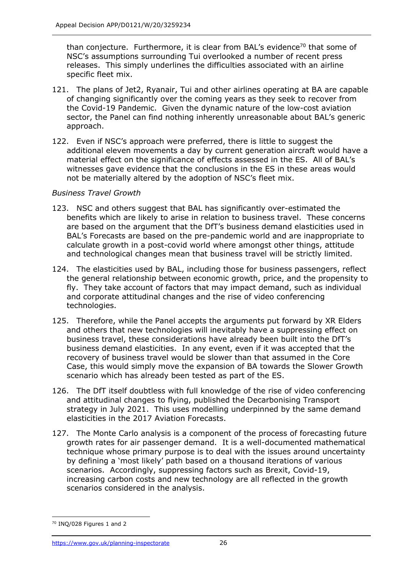than conjecture. Furthermore, it is clear from BAL's evidence<sup>70</sup> that some of NSC's assumptions surrounding Tui overlooked a number of recent press releases. This simply underlines the difficulties associated with an airline specific fleet mix.

- 121. The plans of Jet2, Ryanair, Tui and other airlines operating at BA are capable of changing significantly over the coming years as they seek to recover from the Covid-19 Pandemic. Given the dynamic nature of the low-cost aviation sector, the Panel can find nothing inherently unreasonable about BAL's generic approach.
- 122. Even if NSC's approach were preferred, there is little to suggest the additional eleven movements a day by current generation aircraft would have a material effect on the significance of effects assessed in the ES. All of BAL's witnesses gave evidence that the conclusions in the ES in these areas would not be materially altered by the adoption of NSC's fleet mix.

# *Business Travel Growth*

- 123. NSC and others suggest that BAL has significantly over-estimated the benefits which are likely to arise in relation to business travel. These concerns are based on the argument that the DfT's business demand elasticities used in BAL's Forecasts are based on the pre-pandemic world and are inappropriate to calculate growth in a post-covid world where amongst other things, attitude and technological changes mean that business travel will be strictly limited.
- 124. The elasticities used by BAL, including those for business passengers, reflect the general relationship between economic growth, price, and the propensity to fly. They take account of factors that may impact demand, such as individual and corporate attitudinal changes and the rise of video conferencing technologies.
- 125. Therefore, while the Panel accepts the arguments put forward by XR Elders and others that new technologies will inevitably have a suppressing effect on business travel, these considerations have already been built into the DfT's business demand elasticities. In any event, even if it was accepted that the recovery of business travel would be slower than that assumed in the Core Case, this would simply move the expansion of BA towards the Slower Growth scenario which has already been tested as part of the ES.
- 126. The DfT itself doubtless with full knowledge of the rise of video conferencing and attitudinal changes to flying, published the Decarbonising Transport strategy in July 2021. This uses modelling underpinned by the same demand elasticities in the 2017 Aviation Forecasts.
- 127. The Monte Carlo analysis is a component of the process of forecasting future growth rates for air passenger demand. It is a well-documented mathematical technique whose primary purpose is to deal with the issues around uncertainty by defining a 'most likely' path based on a thousand iterations of various scenarios. Accordingly, suppressing factors such as Brexit, Covid-19, increasing carbon costs and new technology are all reflected in the growth scenarios considered in the analysis.

<sup>70</sup> INQ/028 Figures 1 and 2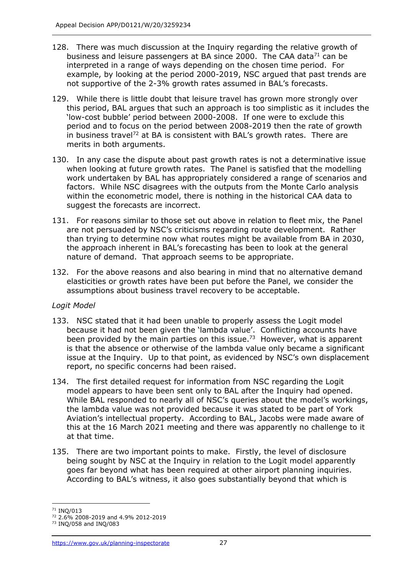- 128. There was much discussion at the Inquiry regarding the relative growth of business and leisure passengers at BA since 2000. The CAA data<sup>71</sup> can be interpreted in a range of ways depending on the chosen time period. For example, by looking at the period 2000-2019, NSC argued that past trends are not supportive of the 2-3% growth rates assumed in BAL's forecasts.
- 129. While there is little doubt that leisure travel has grown more strongly over this period, BAL argues that such an approach is too simplistic as it includes the 'low-cost bubble' period between 2000-2008. If one were to exclude this period and to focus on the period between 2008-2019 then the rate of growth in business travel<sup>72</sup> at BA is consistent with BAL's growth rates. There are merits in both arguments.
- 130. In any case the dispute about past growth rates is not a determinative issue when looking at future growth rates. The Panel is satisfied that the modelling work undertaken by BAL has appropriately considered a range of scenarios and factors. While NSC disagrees with the outputs from the Monte Carlo analysis within the econometric model, there is nothing in the historical CAA data to suggest the forecasts are incorrect.
- 131. For reasons similar to those set out above in relation to fleet mix, the Panel are not persuaded by NSC's criticisms regarding route development. Rather than trying to determine now what routes might be available from BA in 2030, the approach inherent in BAL's forecasting has been to look at the general nature of demand. That approach seems to be appropriate.
- 132. For the above reasons and also bearing in mind that no alternative demand elasticities or growth rates have been put before the Panel, we consider the assumptions about business travel recovery to be acceptable.

### *Logit Model*

- 133. NSC stated that it had been unable to properly assess the Logit model because it had not been given the 'lambda value'. Conflicting accounts have been provided by the main parties on this issue.<sup>73</sup> However, what is apparent is that the absence or otherwise of the lambda value only became a significant issue at the Inquiry. Up to that point, as evidenced by NSC's own displacement report, no specific concerns had been raised.
- 134. The first detailed request for information from NSC regarding the Logit model appears to have been sent only to BAL after the Inquiry had opened. While BAL responded to nearly all of NSC's queries about the model's workings, the lambda value was not provided because it was stated to be part of York Aviation's intellectual property. According to BAL, Jacobs were made aware of this at the 16 March 2021 meeting and there was apparently no challenge to it at that time.
- 135. There are two important points to make. Firstly, the level of disclosure being sought by NSC at the Inquiry in relation to the Logit model apparently goes far beyond what has been required at other airport planning inquiries. According to BAL's witness, it also goes substantially beyond that which is

<sup>71</sup> INQ/013

<sup>72</sup> 2.6% 2008-2019 and 4.9% 2012-2019

<sup>73</sup> INQ/058 and INQ/083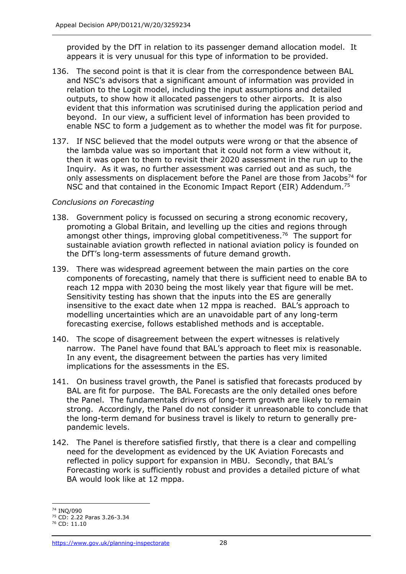provided by the DfT in relation to its passenger demand allocation model. It appears it is very unusual for this type of information to be provided.

- 136. The second point is that it is clear from the correspondence between BAL and NSC's advisors that a significant amount of information was provided in relation to the Logit model, including the input assumptions and detailed outputs, to show how it allocated passengers to other airports. It is also evident that this information was scrutinised during the application period and beyond. In our view, a sufficient level of information has been provided to enable NSC to form a judgement as to whether the model was fit for purpose.
- 137. If NSC believed that the model outputs were wrong or that the absence of the lambda value was so important that it could not form a view without it, then it was open to them to revisit their 2020 assessment in the run up to the Inquiry. As it was, no further assessment was carried out and as such, the only assessments on displacement before the Panel are those from Jacobs<sup>74</sup> for NSC and that contained in the Economic Impact Report (EIR) Addendum.<sup>75</sup>

# *Conclusions on Forecasting*

- 138. Government policy is focussed on securing a strong economic recovery, promoting a Global Britain, and levelling up the cities and regions through amongst other things, improving global competitiveness.<sup>76</sup> The support for sustainable aviation growth reflected in national aviation policy is founded on the DfT's long-term assessments of future demand growth.
- 139. There was widespread agreement between the main parties on the core components of forecasting, namely that there is sufficient need to enable BA to reach 12 mppa with 2030 being the most likely year that figure will be met. Sensitivity testing has shown that the inputs into the ES are generally insensitive to the exact date when 12 mppa is reached. BAL's approach to modelling uncertainties which are an unavoidable part of any long-term forecasting exercise, follows established methods and is acceptable.
- 140. The scope of disagreement between the expert witnesses is relatively narrow. The Panel have found that BAL's approach to fleet mix is reasonable. In any event, the disagreement between the parties has very limited implications for the assessments in the ES.
- 141. On business travel growth, the Panel is satisfied that forecasts produced by BAL are fit for purpose. The BAL Forecasts are the only detailed ones before the Panel. The fundamentals drivers of long-term growth are likely to remain strong. Accordingly, the Panel do not consider it unreasonable to conclude that the long-term demand for business travel is likely to return to generally prepandemic levels.
- 142. The Panel is therefore satisfied firstly, that there is a clear and compelling need for the development as evidenced by the UK Aviation Forecasts and reflected in policy support for expansion in MBU. Secondly, that BAL's Forecasting work is sufficiently robust and provides a detailed picture of what BA would look like at 12 mppa.

<sup>74</sup> INQ/090

<sup>75</sup> CD: 2.22 Paras 3.26-3.34

<sup>76</sup> CD: 11.10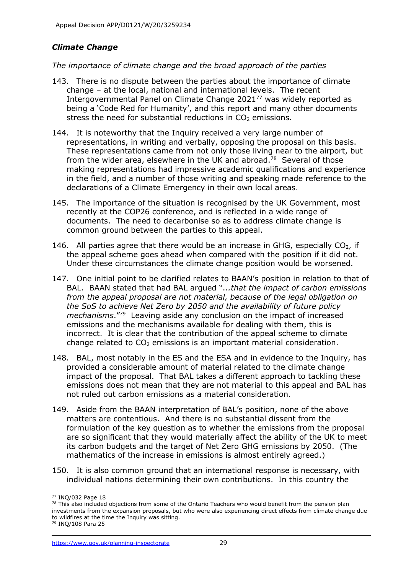# *Climate Change*

### *The importance of climate change and the broad approach of the parties*

- 143. There is no dispute between the parties about the importance of climate change – at the local, national and international levels. The recent Intergovernmental Panel on Climate Change 2021<sup>77</sup> was widely reported as being a 'Code Red for Humanity', and this report and many other documents stress the need for substantial reductions in  $CO<sub>2</sub>$  emissions.
- 144. It is noteworthy that the Inquiry received a very large number of representations, in writing and verbally, opposing the proposal on this basis. These representations came from not only those living near to the airport, but from the wider area, elsewhere in the UK and abroad.<sup>78</sup> Several of those making representations had impressive academic qualifications and experience in the field, and a number of those writing and speaking made reference to the declarations of a Climate Emergency in their own local areas.
- 145. The importance of the situation is recognised by the UK Government, most recently at the COP26 conference, and is reflected in a wide range of documents. The need to decarbonise so as to address climate change is common ground between the parties to this appeal.
- 146. All parties agree that there would be an increase in GHG, especially  $CO<sub>2</sub>$ , if the appeal scheme goes ahead when compared with the position if it did not. Under these circumstances the climate change position would be worsened.
- 147. One initial point to be clarified relates to BAAN's position in relation to that of BAL. BAAN stated that had BAL argued "..*.that the impact of carbon emissions from the appeal proposal are not material, because of the legal obligation on the SoS to achieve Net Zero by 2050 and the availability of future policy mechanisms*." 79 Leaving aside any conclusion on the impact of increased emissions and the mechanisms available for dealing with them, this is incorrect. It is clear that the contribution of the appeal scheme to climate change related to  $CO<sub>2</sub>$  emissions is an important material consideration.
- 148. BAL, most notably in the ES and the ESA and in evidence to the Inquiry, has provided a considerable amount of material related to the climate change impact of the proposal. That BAL takes a different approach to tackling these emissions does not mean that they are not material to this appeal and BAL has not ruled out carbon emissions as a material consideration.
- 149. Aside from the BAAN interpretation of BAL's position, none of the above matters are contentious. And there is no substantial dissent from the formulation of the key question as to whether the emissions from the proposal are so significant that they would materially affect the ability of the UK to meet its carbon budgets and the target of Net Zero GHG emissions by 2050. (The mathematics of the increase in emissions is almost entirely agreed.)
- 150. It is also common ground that an international response is necessary, with individual nations determining their own contributions. In this country the

<sup>77</sup> INQ/032 Page 18

 $78$  This also included objections from some of the Ontario Teachers who would benefit from the pension plan investments from the expansion proposals, but who were also experiencing direct effects from climate change due to wildfires at the time the Inquiry was sitting.

<sup>79</sup> INQ/108 Para 25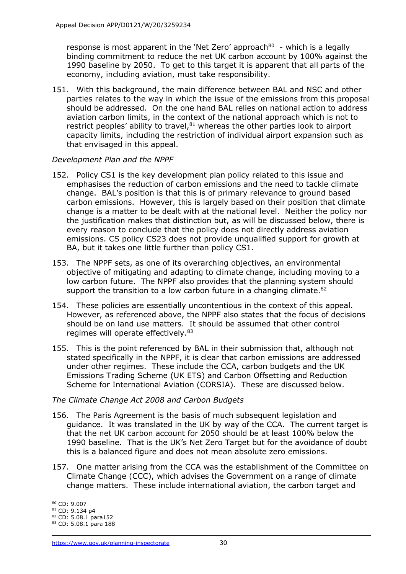response is most apparent in the 'Net Zero' approach $80$  - which is a legally binding commitment to reduce the net UK carbon account by 100% against the 1990 baseline by 2050. To get to this target it is apparent that all parts of the economy, including aviation, must take responsibility.

151. With this background, the main difference between BAL and NSC and other parties relates to the way in which the issue of the emissions from this proposal should be addressed. On the one hand BAL relies on national action to address aviation carbon limits, in the context of the national approach which is not to restrict peoples' ability to travel, $81$  whereas the other parties look to airport capacity limits, including the restriction of individual airport expansion such as that envisaged in this appeal.

# *Development Plan and the NPPF*

- 152. Policy CS1 is the key development plan policy related to this issue and emphasises the reduction of carbon emissions and the need to tackle climate change. BAL's position is that this is of primary relevance to ground based carbon emissions. However, this is largely based on their position that climate change is a matter to be dealt with at the national level. Neither the policy nor the justification makes that distinction but, as will be discussed below, there is every reason to conclude that the policy does not directly address aviation emissions. CS policy CS23 does not provide unqualified support for growth at BA, but it takes one little further than policy CS1.
- 153. The NPPF sets, as one of its overarching objectives, an environmental objective of mitigating and adapting to climate change, including moving to a low carbon future. The NPPF also provides that the planning system should support the transition to a low carbon future in a changing climate.<sup>82</sup>
- 154. These policies are essentially uncontentious in the context of this appeal. However, as referenced above, the NPPF also states that the focus of decisions should be on land use matters. It should be assumed that other control regimes will operate effectively.<sup>83</sup>
- 155. This is the point referenced by BAL in their submission that, although not stated specifically in the NPPF, it is clear that carbon emissions are addressed under other regimes. These include the CCA, carbon budgets and the UK Emissions Trading Scheme (UK ETS) and Carbon Offsetting and Reduction Scheme for International Aviation (CORSIA). These are discussed below.

### *The Climate Change Act 2008 and Carbon Budgets*

- 156. The Paris Agreement is the basis of much subsequent legislation and guidance. It was translated in the UK by way of the CCA. The current target is that the net UK carbon account for 2050 should be at least 100% below the 1990 baseline. That is the UK's Net Zero Target but for the avoidance of doubt this is a balanced figure and does not mean absolute zero emissions.
- 157. One matter arising from the CCA was the establishment of the Committee on Climate Change (CCC), which advises the Government on a range of climate change matters. These include international aviation, the carbon target and

<sup>80</sup> CD: 9.007

<sup>81</sup> CD: 9.134 p4

<sup>82</sup> CD: 5.08.1 para152

<sup>83</sup> CD: 5.08.1 para 188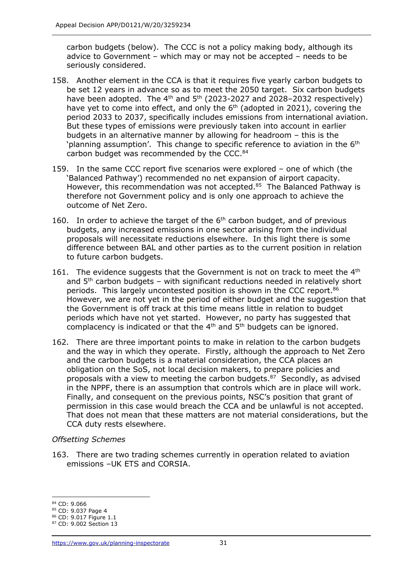carbon budgets (below). The CCC is not a policy making body, although its advice to Government – which may or may not be accepted – needs to be seriously considered.

- 158. Another element in the CCA is that it requires five yearly carbon budgets to be set 12 years in advance so as to meet the 2050 target. Six carbon budgets have been adopted. The  $4<sup>th</sup>$  and  $5<sup>th</sup>$  (2023-2027 and 2028-2032 respectively) have yet to come into effect, and only the  $6<sup>th</sup>$  (adopted in 2021), covering the period 2033 to 2037, specifically includes emissions from international aviation. But these types of emissions were previously taken into account in earlier budgets in an alternative manner by allowing for headroom – this is the 'planning assumption'. This change to specific reference to aviation in the  $6<sup>th</sup>$ carbon budget was recommended by the CCC. $84$
- 159. In the same CCC report five scenarios were explored one of which (the 'Balanced Pathway') recommended no net expansion of airport capacity. However, this recommendation was not accepted.<sup>85</sup> The Balanced Pathway is therefore not Government policy and is only one approach to achieve the outcome of Net Zero.
- 160. In order to achieve the target of the  $6<sup>th</sup>$  carbon budget, and of previous budgets, any increased emissions in one sector arising from the individual proposals will necessitate reductions elsewhere. In this light there is some difference between BAL and other parties as to the current position in relation to future carbon budgets.
- 161. The evidence suggests that the Government is not on track to meet the  $4<sup>th</sup>$ and  $5<sup>th</sup>$  carbon budgets – with significant reductions needed in relatively short periods. This largely uncontested position is shown in the CCC report.<sup>86</sup> However, we are not yet in the period of either budget and the suggestion that the Government is off track at this time means little in relation to budget periods which have not yet started. However, no party has suggested that complacency is indicated or that the  $4<sup>th</sup>$  and  $5<sup>th</sup>$  budgets can be ignored.
- 162. There are three important points to make in relation to the carbon budgets and the way in which they operate. Firstly, although the approach to Net Zero and the carbon budgets is a material consideration, the CCA places an obligation on the SoS, not local decision makers, to prepare policies and proposals with a view to meeting the carbon budgets.<sup>87</sup> Secondly, as advised in the NPPF, there is an assumption that controls which are in place will work. Finally, and consequent on the previous points, NSC's position that grant of permission in this case would breach the CCA and be unlawful is not accepted. That does not mean that these matters are not material considerations, but the CCA duty rests elsewhere.

### *Offsetting Schemes*

163. There are two trading schemes currently in operation related to aviation emissions –UK ETS and CORSIA.

<sup>84</sup> CD: 9.066

<sup>85</sup> CD: 9.037 Page 4

<sup>86</sup> CD: 9.017 Figure 1.1

<sup>87</sup> CD: 9.002 Section 13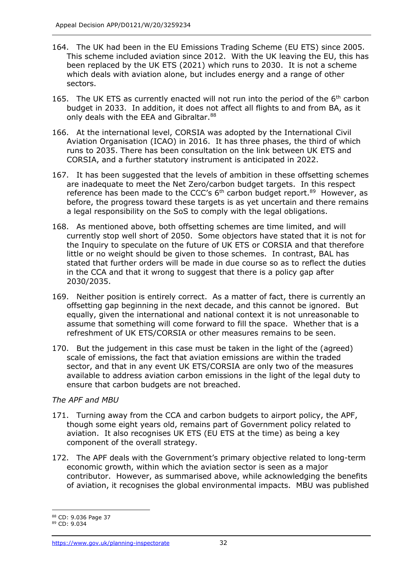- 164. The UK had been in the EU Emissions Trading Scheme (EU ETS) since 2005. This scheme included aviation since 2012. With the UK leaving the EU, this has been replaced by the UK ETS (2021) which runs to 2030. It is not a scheme which deals with aviation alone, but includes energy and a range of other sectors.
- 165. The UK ETS as currently enacted will not run into the period of the 6<sup>th</sup> carbon budget in 2033. In addition, it does not affect all flights to and from BA, as it only deals with the EEA and Gibraltar.<sup>88</sup>
- 166. At the international level, CORSIA was adopted by the International Civil Aviation Organisation (ICAO) in 2016. It has three phases, the third of which runs to 2035. There has been consultation on the link between UK ETS and CORSIA, and a further statutory instrument is anticipated in 2022.
- 167. It has been suggested that the levels of ambition in these offsetting schemes are inadequate to meet the Net Zero/carbon budget targets. In this respect reference has been made to the CCC's  $6<sup>th</sup>$  carbon budget report.<sup>89</sup> However, as before, the progress toward these targets is as yet uncertain and there remains a legal responsibility on the SoS to comply with the legal obligations.
- 168. As mentioned above, both offsetting schemes are time limited, and will currently stop well short of 2050. Some objectors have stated that it is not for the Inquiry to speculate on the future of UK ETS or CORSIA and that therefore little or no weight should be given to those schemes. In contrast, BAL has stated that further orders will be made in due course so as to reflect the duties in the CCA and that it wrong to suggest that there is a policy gap after 2030/2035.
- 169. Neither position is entirely correct. As a matter of fact, there is currently an offsetting gap beginning in the next decade, and this cannot be ignored. But equally, given the international and national context it is not unreasonable to assume that something will come forward to fill the space. Whether that is a refreshment of UK ETS/CORSIA or other measures remains to be seen.
- 170. But the judgement in this case must be taken in the light of the (agreed) scale of emissions, the fact that aviation emissions are within the traded sector, and that in any event UK ETS/CORSIA are only two of the measures available to address aviation carbon emissions in the light of the legal duty to ensure that carbon budgets are not breached.

# *The APF and MBU*

- 171. Turning away from the CCA and carbon budgets to airport policy, the APF, though some eight years old, remains part of Government policy related to aviation. It also recognises UK ETS (EU ETS at the time) as being a key component of the overall strategy.
- 172. The APF deals with the Government's primary objective related to long-term economic growth, within which the aviation sector is seen as a major contributor. However, as summarised above, while acknowledging the benefits of aviation, it recognises the global environmental impacts. MBU was published

<sup>88</sup> CD: 9.036 Page 37

<sup>89</sup> CD: 9.034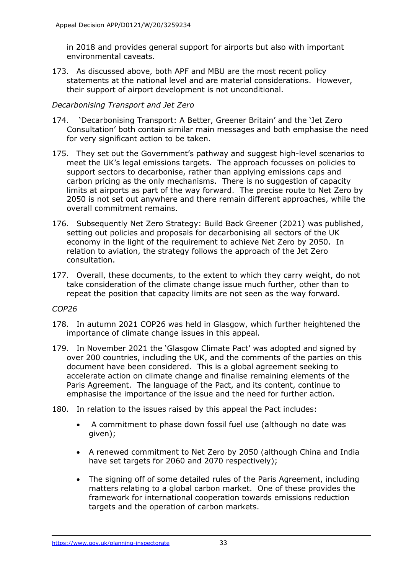in 2018 and provides general support for airports but also with important environmental caveats.

173. As discussed above, both APF and MBU are the most recent policy statements at the national level and are material considerations. However, their support of airport development is not unconditional.

### *Decarbonising Transport and Jet Zero*

- 174. 'Decarbonising Transport: A Better, Greener Britain' and the 'Jet Zero Consultation' both contain similar main messages and both emphasise the need for very significant action to be taken.
- 175. They set out the Government's pathway and suggest high-level scenarios to meet the UK's legal emissions targets. The approach focusses on policies to support sectors to decarbonise, rather than applying emissions caps and carbon pricing as the only mechanisms. There is no suggestion of capacity limits at airports as part of the way forward. The precise route to Net Zero by 2050 is not set out anywhere and there remain different approaches, while the overall commitment remains.
- 176. Subsequently Net Zero Strategy: Build Back Greener (2021) was published, setting out policies and proposals for decarbonising all sectors of the UK economy in the light of the requirement to achieve Net Zero by 2050. In relation to aviation, the strategy follows the approach of the Jet Zero consultation.
- 177. Overall, these documents, to the extent to which they carry weight, do not take consideration of the climate change issue much further, other than to repeat the position that capacity limits are not seen as the way forward.

### *COP26*

- 178. In autumn 2021 COP26 was held in Glasgow, which further heightened the importance of climate change issues in this appeal.
- 179. In November 2021 the 'Glasgow Climate Pact' was adopted and signed by over 200 countries, including the UK, and the comments of the parties on this document have been considered. This is a global agreement seeking to accelerate action on climate change and finalise remaining elements of the Paris Agreement. The language of the Pact, and its content, continue to emphasise the importance of the issue and the need for further action.
- 180. In relation to the issues raised by this appeal the Pact includes:
	- A commitment to phase down fossil fuel use (although no date was given);
	- A renewed commitment to Net Zero by 2050 (although China and India have set targets for 2060 and 2070 respectively);
	- The signing off of some detailed rules of the Paris Agreement, including matters relating to a global carbon market. One of these provides the framework for international cooperation towards emissions reduction targets and the operation of carbon markets.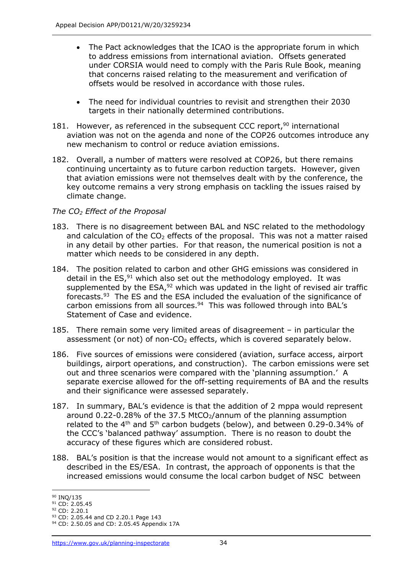- The Pact acknowledges that the ICAO is the appropriate forum in which to address emissions from international aviation. Offsets generated under CORSIA would need to comply with the Paris Rule Book, meaning that concerns raised relating to the measurement and verification of offsets would be resolved in accordance with those rules.
- The need for individual countries to revisit and strengthen their 2030 targets in their nationally determined contributions.
- 181. However, as referenced in the subsequent CCC report,  $90$  international aviation was not on the agenda and none of the COP26 outcomes introduce any new mechanism to control or reduce aviation emissions.
- 182. Overall, a number of matters were resolved at COP26, but there remains continuing uncertainty as to future carbon reduction targets. However, given that aviation emissions were not themselves dealt with by the conference, the key outcome remains a very strong emphasis on tackling the issues raised by climate change.

# *The CO<sup>2</sup> Effect of the Proposal*

- 183. There is no disagreement between BAL and NSC related to the methodology and calculation of the  $CO<sub>2</sub>$  effects of the proposal. This was not a matter raised in any detail by other parties. For that reason, the numerical position is not a matter which needs to be considered in any depth.
- 184. The position related to carbon and other GHG emissions was considered in detail in the  $ES<sub>1</sub><sup>91</sup>$  which also set out the methodology employed. It was supplemented by the  $ESA<sub>2</sub><sup>92</sup>$  which was updated in the light of revised air traffic forecasts.<sup>93</sup> The ES and the ESA included the evaluation of the significance of carbon emissions from all sources.<sup>94</sup> This was followed through into BAL's Statement of Case and evidence.
- 185. There remain some very limited areas of disagreement in particular the assessment (or not) of non- $CO<sub>2</sub>$  effects, which is covered separately below.
- 186. Five sources of emissions were considered (aviation, surface access, airport buildings, airport operations, and construction). The carbon emissions were set out and three scenarios were compared with the 'planning assumption.' A separate exercise allowed for the off-setting requirements of BA and the results and their significance were assessed separately.
- 187. In summary, BAL's evidence is that the addition of 2 mppa would represent around  $0.22$ -0.28% of the 37.5 MtCO $_2$ /annum of the planning assumption related to the  $4<sup>th</sup>$  and  $5<sup>th</sup>$  carbon budgets (below), and between 0.29-0.34% of the CCC's 'balanced pathway' assumption. There is no reason to doubt the accuracy of these figures which are considered robust.
- 188. BAL's position is that the increase would not amount to a significant effect as described in the ES/ESA. In contrast, the approach of opponents is that the increased emissions would consume the local carbon budget of NSC between

<sup>90</sup> INO/135

 $91$  CD: 2.05.45

<sup>92</sup> CD: 2.20.1

<sup>93</sup> CD: 2.05.44 and CD 2.20.1 Page 143

<sup>94</sup> CD: 2.50.05 and CD: 2.05.45 Appendix 17A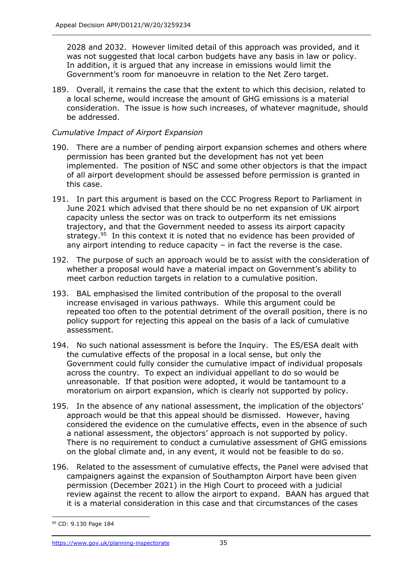2028 and 2032. However limited detail of this approach was provided, and it was not suggested that local carbon budgets have any basis in law or policy. In addition, it is argued that any increase in emissions would limit the Government's room for manoeuvre in relation to the Net Zero target.

189. Overall, it remains the case that the extent to which this decision, related to a local scheme, would increase the amount of GHG emissions is a material consideration. The issue is how such increases, of whatever magnitude, should be addressed.

# *Cumulative Impact of Airport Expansion*

- 190. There are a number of pending airport expansion schemes and others where permission has been granted but the development has not yet been implemented. The position of NSC and some other objectors is that the impact of all airport development should be assessed before permission is granted in this case.
- 191. In part this argument is based on the CCC Progress Report to Parliament in June 2021 which advised that there should be no net expansion of UK airport capacity unless the sector was on track to outperform its net emissions trajectory, and that the Government needed to assess its airport capacity strategy.<sup>95</sup> In this context it is noted that no evidence has been provided of any airport intending to reduce capacity – in fact the reverse is the case.
- 192. The purpose of such an approach would be to assist with the consideration of whether a proposal would have a material impact on Government's ability to meet carbon reduction targets in relation to a cumulative position.
- 193. BAL emphasised the limited contribution of the proposal to the overall increase envisaged in various pathways. While this argument could be repeated too often to the potential detriment of the overall position, there is no policy support for rejecting this appeal on the basis of a lack of cumulative assessment.
- 194. No such national assessment is before the Inquiry. The ES/ESA dealt with the cumulative effects of the proposal in a local sense, but only the Government could fully consider the cumulative impact of individual proposals across the country. To expect an individual appellant to do so would be unreasonable. If that position were adopted, it would be tantamount to a moratorium on airport expansion, which is clearly not supported by policy.
- 195. In the absence of any national assessment, the implication of the objectors' approach would be that this appeal should be dismissed. However, having considered the evidence on the cumulative effects, even in the absence of such a national assessment, the objectors' approach is not supported by policy. There is no requirement to conduct a cumulative assessment of GHG emissions on the global climate and, in any event, it would not be feasible to do so.
- 196. Related to the assessment of cumulative effects, the Panel were advised that campaigners against the expansion of Southampton Airport have been given permission (December 2021) in the High Court to proceed with a judicial review against the recent to allow the airport to expand. BAAN has argued that it is a material consideration in this case and that circumstances of the cases

<sup>95</sup> CD: 9.130 Page 184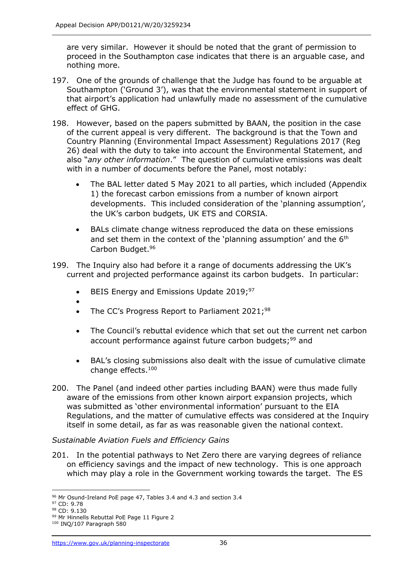are very similar. However it should be noted that the grant of permission to proceed in the Southampton case indicates that there is an arguable case, and nothing more.

- 197. One of the grounds of challenge that the Judge has found to be arguable at Southampton ('Ground 3'), was that the environmental statement in support of that airport's application had unlawfully made no assessment of the cumulative effect of GHG.
- 198. However, based on the papers submitted by BAAN, the position in the case of the current appeal is very different. The background is that the Town and Country Planning (Environmental Impact Assessment) Regulations 2017 (Reg 26) deal with the duty to take into account the Environmental Statement, and also "*any other information*." The question of cumulative emissions was dealt with in a number of documents before the Panel, most notably:
	- The BAL letter dated 5 May 2021 to all parties, which included (Appendix 1) the forecast carbon emissions from a number of known airport developments. This included consideration of the 'planning assumption', the UK's carbon budgets, UK ETS and CORSIA.
	- BALs climate change witness reproduced the data on these emissions and set them in the context of the 'planning assumption' and the  $6<sup>th</sup>$ Carbon Budget.<sup>96</sup>
- 199. The Inquiry also had before it a range of documents addressing the UK's current and projected performance against its carbon budgets. In particular:
	- BEIS Energy and Emissions Update 2019;<sup>97</sup>
	- •
	- The CC's Progress Report to Parliament 2021;<sup>98</sup>
	- The Council's rebuttal evidence which that set out the current net carbon account performance against future carbon budgets;<sup>99</sup> and
	- BAL's closing submissions also dealt with the issue of cumulative climate change effects. 100
- 200. The Panel (and indeed other parties including BAAN) were thus made fully aware of the emissions from other known airport expansion projects, which was submitted as 'other environmental information' pursuant to the EIA Regulations, and the matter of cumulative effects was considered at the Inquiry itself in some detail, as far as was reasonable given the national context.

### *Sustainable Aviation Fuels and Efficiency Gains*

201. In the potential pathways to Net Zero there are varying degrees of reliance on efficiency savings and the impact of new technology. This is one approach which may play a role in the Government working towards the target. The ES

<sup>&</sup>lt;sup>96</sup> Mr Osund-Ireland PoE page 47, Tables 3.4 and 4.3 and section 3.4

<sup>97</sup> CD: 9.78

<sup>98</sup> CD: 9.130

<sup>99</sup> Mr Hinnells Rebuttal PoE Page 11 Figure 2

<sup>100</sup> INQ/107 Paragraph 580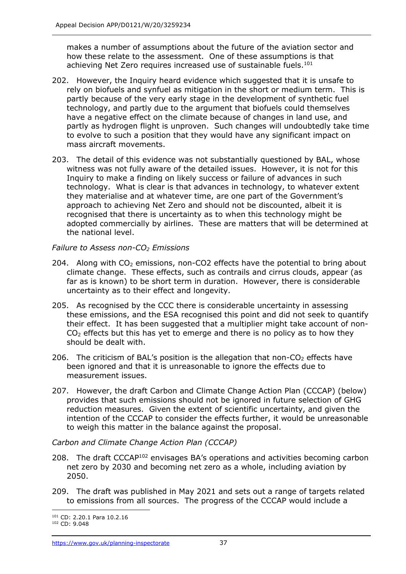makes a number of assumptions about the future of the aviation sector and how these relate to the assessment. One of these assumptions is that achieving Net Zero requires increased use of sustainable fuels.<sup>101</sup>

- 202. However, the Inquiry heard evidence which suggested that it is unsafe to rely on biofuels and synfuel as mitigation in the short or medium term. This is partly because of the very early stage in the development of synthetic fuel technology, and partly due to the argument that biofuels could themselves have a negative effect on the climate because of changes in land use, and partly as hydrogen flight is unproven. Such changes will undoubtedly take time to evolve to such a position that they would have any significant impact on mass aircraft movements.
- 203. The detail of this evidence was not substantially questioned by BAL, whose witness was not fully aware of the detailed issues. However, it is not for this Inquiry to make a finding on likely success or failure of advances in such technology. What is clear is that advances in technology, to whatever extent they materialise and at whatever time, are one part of the Government's approach to achieving Net Zero and should not be discounted, albeit it is recognised that there is uncertainty as to when this technology might be adopted commercially by airlines. These are matters that will be determined at the national level.

### *Failure to Assess non-CO<sup>2</sup> Emissions*

- 204. Along with  $CO<sub>2</sub>$  emissions, non-CO2 effects have the potential to bring about climate change. These effects, such as contrails and cirrus clouds, appear (as far as is known) to be short term in duration. However, there is considerable uncertainty as to their effect and longevity.
- 205. As recognised by the CCC there is considerable uncertainty in assessing these emissions, and the ESA recognised this point and did not seek to quantify their effect. It has been suggested that a multiplier might take account of non- $CO<sub>2</sub>$  effects but this has yet to emerge and there is no policy as to how they should be dealt with.
- 206. The criticism of BAL's position is the allegation that non- $CO<sub>2</sub>$  effects have been ignored and that it is unreasonable to ignore the effects due to measurement issues.
- 207. However, the draft Carbon and Climate Change Action Plan (CCCAP) (below) provides that such emissions should not be ignored in future selection of GHG reduction measures. Given the extent of scientific uncertainty, and given the intention of the CCCAP to consider the effects further, it would be unreasonable to weigh this matter in the balance against the proposal.

# *Carbon and Climate Change Action Plan (CCCAP)*

- 208. The draft CCCAP<sup>102</sup> envisages BA's operations and activities becoming carbon net zero by 2030 and becoming net zero as a whole, including aviation by 2050.
- 209. The draft was published in May 2021 and sets out a range of targets related to emissions from all sources. The progress of the CCCAP would include a

<sup>101</sup> CD: 2.20.1 Para 10.2.16

<sup>102</sup> CD: 9.048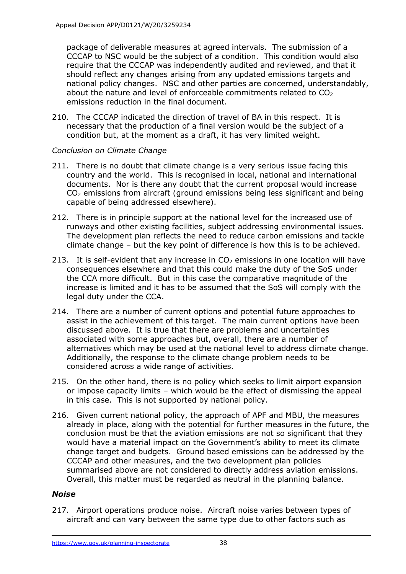package of deliverable measures at agreed intervals. The submission of a CCCAP to NSC would be the subject of a condition. This condition would also require that the CCCAP was independently audited and reviewed, and that it should reflect any changes arising from any updated emissions targets and national policy changes. NSC and other parties are concerned, understandably, about the nature and level of enforceable commitments related to  $CO<sub>2</sub>$ emissions reduction in the final document.

210. The CCCAP indicated the direction of travel of BA in this respect. It is necessary that the production of a final version would be the subject of a condition but, at the moment as a draft, it has very limited weight.

### *Conclusion on Climate Change*

- 211. There is no doubt that climate change is a very serious issue facing this country and the world. This is recognised in local, national and international documents. Nor is there any doubt that the current proposal would increase CO<sup>2</sup> emissions from aircraft (ground emissions being less significant and being capable of being addressed elsewhere).
- 212. There is in principle support at the national level for the increased use of runways and other existing facilities, subject addressing environmental issues. The development plan reflects the need to reduce carbon emissions and tackle climate change – but the key point of difference is how this is to be achieved.
- 213. It is self-evident that any increase in  $CO<sub>2</sub>$  emissions in one location will have consequences elsewhere and that this could make the duty of the SoS under the CCA more difficult. But in this case the comparative magnitude of the increase is limited and it has to be assumed that the SoS will comply with the legal duty under the CCA.
- 214. There are a number of current options and potential future approaches to assist in the achievement of this target. The main current options have been discussed above. It is true that there are problems and uncertainties associated with some approaches but, overall, there are a number of alternatives which may be used at the national level to address climate change. Additionally, the response to the climate change problem needs to be considered across a wide range of activities.
- 215. On the other hand, there is no policy which seeks to limit airport expansion or impose capacity limits – which would be the effect of dismissing the appeal in this case. This is not supported by national policy.
- 216. Given current national policy, the approach of APF and MBU, the measures already in place, along with the potential for further measures in the future, the conclusion must be that the aviation emissions are not so significant that they would have a material impact on the Government's ability to meet its climate change target and budgets. Ground based emissions can be addressed by the CCCAP and other measures, and the two development plan policies summarised above are not considered to directly address aviation emissions. Overall, this matter must be regarded as neutral in the planning balance.

# *Noise*

217. Airport operations produce noise. Aircraft noise varies between types of aircraft and can vary between the same type due to other factors such as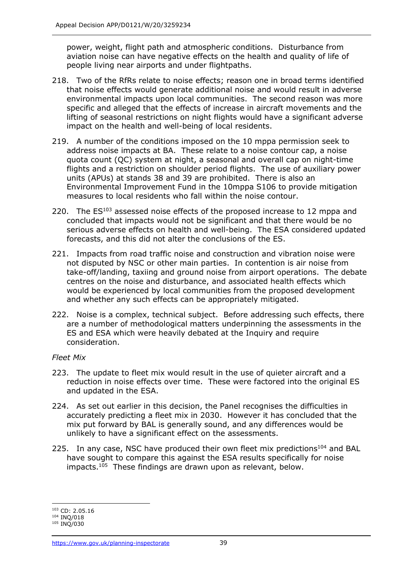power, weight, flight path and atmospheric conditions. Disturbance from aviation noise can have negative effects on the health and quality of life of people living near airports and under flightpaths.

- 218. Two of the RfRs relate to noise effects; reason one in broad terms identified that noise effects would generate additional noise and would result in adverse environmental impacts upon local communities. The second reason was more specific and alleged that the effects of increase in aircraft movements and the lifting of seasonal restrictions on night flights would have a significant adverse impact on the health and well-being of local residents.
- 219. A number of the conditions imposed on the 10 mppa permission seek to address noise impacts at BA. These relate to a noise contour cap, a noise quota count (QC) system at night, a seasonal and overall cap on night-time flights and a restriction on shoulder period flights. The use of auxiliary power units (APUs) at stands 38 and 39 are prohibited. There is also an Environmental Improvement Fund in the 10mppa S106 to provide mitigation measures to local residents who fall within the noise contour.
- 220. The  $ES^{103}$  assessed noise effects of the proposed increase to 12 mppa and concluded that impacts would not be significant and that there would be no serious adverse effects on health and well-being. The ESA considered updated forecasts, and this did not alter the conclusions of the ES.
- 221. Impacts from road traffic noise and construction and vibration noise were not disputed by NSC or other main parties. In contention is air noise from take-off/landing, taxiing and ground noise from airport operations. The debate centres on the noise and disturbance, and associated health effects which would be experienced by local communities from the proposed development and whether any such effects can be appropriately mitigated.
- 222. Noise is a complex, technical subject. Before addressing such effects, there are a number of methodological matters underpinning the assessments in the ES and ESA which were heavily debated at the Inquiry and require consideration.

### *Fleet Mix*

- 223. The update to fleet mix would result in the use of quieter aircraft and a reduction in noise effects over time. These were factored into the original ES and updated in the ESA.
- 224. As set out earlier in this decision, the Panel recognises the difficulties in accurately predicting a fleet mix in 2030. However it has concluded that the mix put forward by BAL is generally sound, and any differences would be unlikely to have a significant effect on the assessments.
- 225. In any case, NSC have produced their own fleet mix predictions<sup>104</sup> and BAL have sought to compare this against the ESA results specifically for noise impacts.<sup>105</sup> These findings are drawn upon as relevant, below.

<sup>103</sup> CD: 2.05.16

<sup>104</sup> INQ/018

<sup>105</sup> INQ/030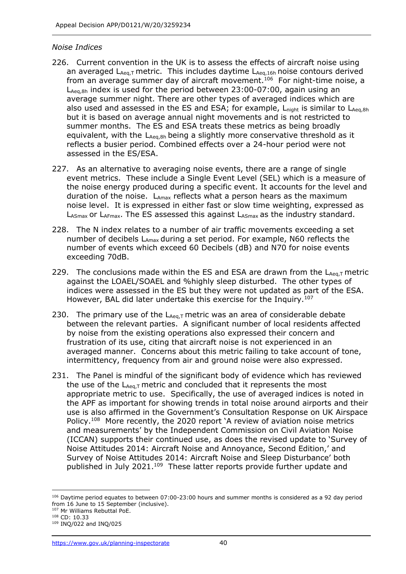#### *Noise Indices*

- 226. Current convention in the UK is to assess the effects of aircraft noise using an averaged  $L_{Aea,T}$  metric. This includes daytime  $L_{Aea,16h}$  noise contours derived from an average summer day of aircraft movement.<sup>106</sup> For night-time noise, a  $L_{Aeq,8h}$  index is used for the period between 23:00-07:00, again using an average summer night. There are other types of averaged indices which are also used and assessed in the ES and ESA; for example,  $L_{\text{nicht}}$  is similar to  $L_{\text{Aea.8h}}$ but it is based on average annual night movements and is not restricted to summer months. The ES and ESA treats these metrics as being broadly equivalent, with the  $L_{Aea,8h}$  being a slightly more conservative threshold as it reflects a busier period. Combined effects over a 24-hour period were not assessed in the ES/ESA.
- 227. As an alternative to averaging noise events, there are a range of single event metrics. These include a Single Event Level (SEL) which is a measure of the noise energy produced during a specific event. It accounts for the level and duration of the noise.  $L_{Amax}$  reflects what a person hears as the maximum noise level. It is expressed in either fast or slow time weighting, expressed as  $L_{ASmax}$  or  $L_{AFmax}$ . The ES assessed this against  $L_{ASmax}$  as the industry standard.
- 228. The N index relates to a number of air traffic movements exceeding a set number of decibels L<sub>Amax</sub> during a set period. For example, N60 reflects the number of events which exceed 60 Decibels (dB) and N70 for noise events exceeding 70dB.
- 229. The conclusions made within the ES and ESA are drawn from the  $L_{Aeq,T}$  metric against the LOAEL/SOAEL and %highly sleep disturbed. The other types of indices were assessed in the ES but they were not updated as part of the ESA. However, BAL did later undertake this exercise for the Inquiry.<sup>107</sup>
- 230. The primary use of the  $L_{Aeq,T}$  metric was an area of considerable debate between the relevant parties. A significant number of local residents affected by noise from the existing operations also expressed their concern and frustration of its use, citing that aircraft noise is not experienced in an averaged manner. Concerns about this metric failing to take account of tone, intermittency, frequency from air and ground noise were also expressed.
- 231. The Panel is mindful of the significant body of evidence which has reviewed the use of the  $L_{Aeq,T}$  metric and concluded that it represents the most appropriate metric to use. Specifically, the use of averaged indices is noted in the APF as important for showing trends in total noise around airports and their use is also affirmed in the Government's Consultation Response on UK Airspace Policy.<sup>108</sup> More recently, the 2020 report 'A review of aviation noise metrics and measurements' by the Independent Commission on Civil Aviation Noise (ICCAN) supports their continued use, as does the revised update to 'Survey of Noise Attitudes 2014: Aircraft Noise and Annoyance, Second Edition,' and Survey of Noise Attitudes 2014: Aircraft Noise and Sleep Disturbance' both published in July 2021.<sup>109</sup> These latter reports provide further update and

 $106$  Daytime period equates to between 07:00-23:00 hours and summer months is considered as a 92 day period from 16 June to 15 September (inclusive).

<sup>107</sup> Mr Williams Rebuttal PoE.

<sup>108</sup> CD: 10.33

<sup>109</sup> INQ/022 and INQ/025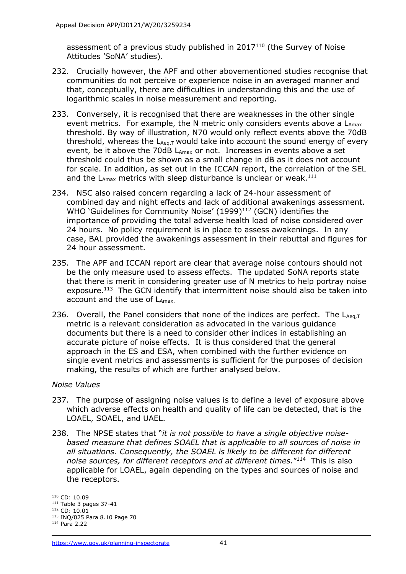assessment of a previous study published in  $2017<sup>110</sup>$  (the Survey of Noise Attitudes 'SoNA' studies).

- 232. Crucially however, the APF and other abovementioned studies recognise that communities do not perceive or experience noise in an averaged manner and that, conceptually, there are difficulties in understanding this and the use of logarithmic scales in noise measurement and reporting.
- 233. Conversely, it is recognised that there are weaknesses in the other single event metrics. For example, the N metric only considers events above a  $L_{\text{max}}$ threshold. By way of illustration, N70 would only reflect events above the 70dB threshold, whereas the  $L_{Aeq,T}$  would take into account the sound energy of every event, be it above the 70dB  $L_{Amax}$  or not. Increases in events above a set threshold could thus be shown as a small change in dB as it does not account for scale. In addition, as set out in the ICCAN report, the correlation of the SEL and the  $L_{Amax}$  metrics with sleep disturbance is unclear or weak.<sup>111</sup>
- 234. NSC also raised concern regarding a lack of 24-hour assessment of combined day and night effects and lack of additional awakenings assessment. WHO 'Guidelines for Community Noise' (1999)<sup>112</sup> (GCN) identifies the importance of providing the total adverse health load of noise considered over 24 hours. No policy requirement is in place to assess awakenings. In any case, BAL provided the awakenings assessment in their rebuttal and figures for 24 hour assessment.
- 235. The APF and ICCAN report are clear that average noise contours should not be the only measure used to assess effects. The updated SoNA reports state that there is merit in considering greater use of N metrics to help portray noise exposure.<sup>113</sup> The GCN identify that intermittent noise should also be taken into account and the use of LAmax.
- 236. Overall, the Panel considers that none of the indices are perfect. The  $L_{Aeq,T}$ metric is a relevant consideration as advocated in the various guidance documents but there is a need to consider other indices in establishing an accurate picture of noise effects. It is thus considered that the general approach in the ES and ESA, when combined with the further evidence on single event metrics and assessments is sufficient for the purposes of decision making, the results of which are further analysed below.

### *Noise Values*

- 237. The purpose of assigning noise values is to define a level of exposure above which adverse effects on health and quality of life can be detected, that is the LOAEL, SOAEL, and UAEL.
- 238. The NPSE states that "*it is not possible to have a single objective noisebased measure that defines SOAEL that is applicable to all sources of noise in all situations. Consequently, the SOAEL is likely to be different for different*  noise sources, for different receptors and at different times.<sup>"114</sup> This is also applicable for LOAEL, again depending on the types and sources of noise and the receptors.

<sup>110</sup> CD: 10.09

 $111$  Table 3 pages 37-41

<sup>&</sup>lt;sup>112</sup> CD: 10.01

<sup>113</sup> INQ/025 Para 8.10 Page 70

<sup>114</sup> Para 2.22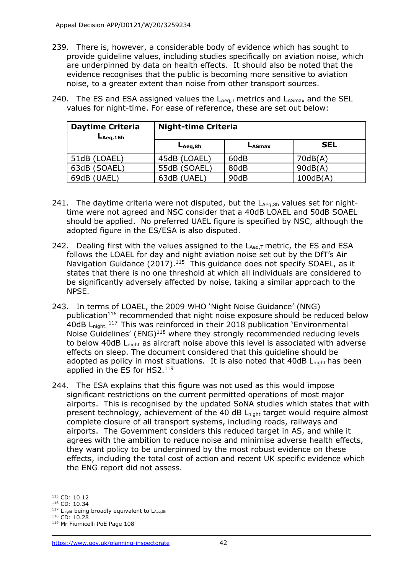239. There is, however, a considerable body of evidence which has sought to provide guideline values, including studies specifically on aviation noise, which are underpinned by data on health effects. It should also be noted that the evidence recognises that the public is becoming more sensitive to aviation noise, to a greater extent than noise from other transport sources.

| <b>Daytime Criteria</b><br>$L_{Aeq,16h}$ | <b>Night-time Criteria</b> |        |            |  |
|------------------------------------------|----------------------------|--------|------------|--|
|                                          | $L_{Aeq,8h}$               | LASmax | <b>SEL</b> |  |
| 51dB (LOAEL)                             | 45dB (LOAEL)               | 60dB   | 70dB(A)    |  |
| 63dB (SOAEL)                             | 55dB (SOAEL)               | 80dB   | 90dB(A)    |  |
| 69dB (UAEL)                              | 63dB (UAEL)                | 90dB   | 100dB(A)   |  |

240. The ES and ESA assigned values the  $L_{Aeq,T}$  metrics and  $L_{ASmax}$  and the SEL values for night-time. For ease of reference, these are set out below:

- 241. The daytime criteria were not disputed, but the  $L_{Aeq,8h}$  values set for nighttime were not agreed and NSC consider that a 40dB LOAEL and 50dB SOAEL should be applied. No preferred UAEL figure is specified by NSC, although the adopted figure in the ES/ESA is also disputed.
- 242. Dealing first with the values assigned to the  $L_{Aeq,T}$  metric, the ES and ESA follows the LOAEL for day and night aviation noise set out by the DfT's Air Navigation Guidance (2017).<sup>115</sup> This guidance does not specify SOAEL, as it states that there is no one threshold at which all individuals are considered to be significantly adversely affected by noise, taking a similar approach to the NPSE.
- 243. In terms of LOAEL, the 2009 WHO 'Night Noise Guidance' (NNG) publication<sup>116</sup> recommended that night noise exposure should be reduced below 40dB L<sub>night.</sub> 117 This was reinforced in their 2018 publication 'Environmental Noise Guidelines' (ENG)<sup>118</sup> where they strongly recommended reducing levels to below 40dB L<sub>night</sub> as aircraft noise above this level is associated with adverse effects on sleep. The document considered that this guideline should be adopted as policy in most situations. It is also noted that 40dB L<sub>night</sub> has been applied in the ES for HS2.<sup>119</sup>
- 244. The ESA explains that this figure was not used as this would impose significant restrictions on the current permitted operations of most major airports. This is recognised by the updated SoNA studies which states that with present technology, achievement of the 40 dB L<sub>night</sub> target would require almost complete closure of all transport systems, including roads, railways and airports. The Government considers this reduced target in AS, and while it agrees with the ambition to reduce noise and minimise adverse health effects, they want policy to be underpinned by the most robust evidence on these effects, including the total cost of action and recent UK specific evidence which the ENG report did not assess.

<sup>115</sup> CD: 10.12

<sup>116</sup> CD: 10.34

 $117$  L<sub>night</sub> being broadly equivalent to LAeq, 8h <sup>118</sup> CD: 10.28

<sup>119</sup> Mr Fiumicelli PoE Page 108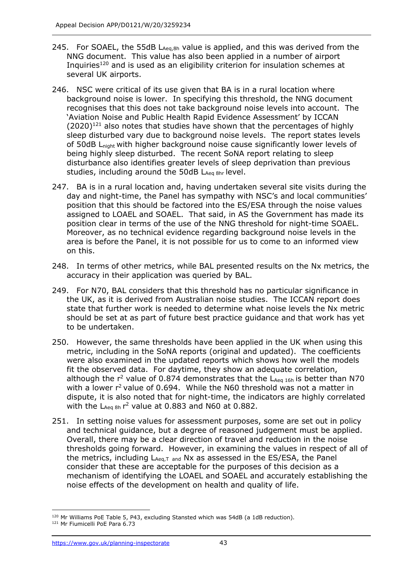- 245. For SOAEL, the 55dB  $L_{Aea,8h}$  value is applied, and this was derived from the NNG document. This value has also been applied in a number of airport Inquiries<sup>120</sup> and is used as an eligibility criterion for insulation schemes at several UK airports.
- 246. NSC were critical of its use given that BA is in a rural location where background noise is lower. In specifying this threshold, the NNG document recognises that this does not take background noise levels into account. The 'Aviation Noise and Public Health Rapid Evidence Assessment' by ICCAN  $(2020)^{121}$  also notes that studies have shown that the percentages of highly sleep disturbed vary due to background noise levels. The report states levels of 50dB Lnight with higher background noise cause significantly lower levels of being highly sleep disturbed. The recent SoNA report relating to sleep disturbance also identifies greater levels of sleep deprivation than previous studies, including around the 50dB  $L_{Aea 8hr}$  level.
- 247. BA is in a rural location and, having undertaken several site visits during the day and night-time, the Panel has sympathy with NSC's and local communities' position that this should be factored into the ES/ESA through the noise values assigned to LOAEL and SOAEL. That said, in AS the Government has made its position clear in terms of the use of the NNG threshold for night-time SOAEL. Moreover, as no technical evidence regarding background noise levels in the area is before the Panel, it is not possible for us to come to an informed view on this.
- 248. In terms of other metrics, while BAL presented results on the Nx metrics, the accuracy in their application was queried by BAL.
- 249. For N70, BAL considers that this threshold has no particular significance in the UK, as it is derived from Australian noise studies. The ICCAN report does state that further work is needed to determine what noise levels the Nx metric should be set at as part of future best practice guidance and that work has yet to be undertaken.
- 250. However, the same thresholds have been applied in the UK when using this metric, including in the SoNA reports (original and updated). The coefficients were also examined in the updated reports which shows how well the models fit the observed data. For daytime, they show an adequate correlation, although the  $r^2$  value of 0.874 demonstrates that the  $L_{Aea 16h}$  is better than N70 with a lower  $r^2$  value of 0.694. While the N60 threshold was not a matter in dispute, it is also noted that for night-time, the indicators are highly correlated with the  $L_{Aeq 8h}$   $r^2$  value at 0.883 and N60 at 0.882.
- 251. In setting noise values for assessment purposes, some are set out in policy and technical guidance, but a degree of reasoned judgement must be applied. Overall, there may be a clear direction of travel and reduction in the noise thresholds going forward. However, in examining the values in respect of all of the metrics, including  $L_{Aeq,T}$  and Nx as assessed in the ES/ESA, the Panel consider that these are acceptable for the purposes of this decision as a mechanism of identifying the LOAEL and SOAEL and accurately establishing the noise effects of the development on health and quality of life.

 $120$  Mr Williams PoE Table 5, P43, excluding Stansted which was 54dB (a 1dB reduction).

<sup>121</sup> Mr Fiumicelli PoE Para 6.73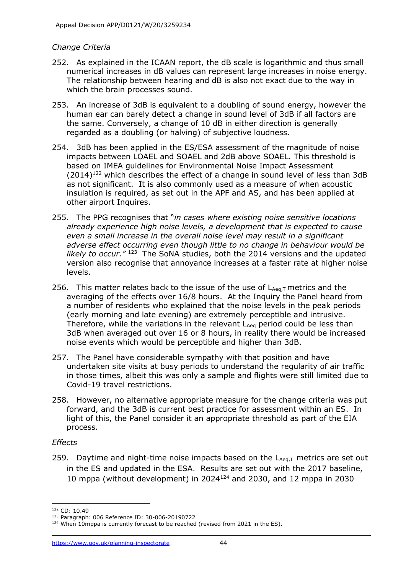### *Change Criteria*

- 252. As explained in the ICAAN report, the dB scale is logarithmic and thus small numerical increases in dB values can represent large increases in noise energy. The relationship between hearing and dB is also not exact due to the way in which the brain processes sound.
- 253. An increase of 3dB is equivalent to a doubling of sound energy, however the human ear can barely detect a change in sound level of 3dB if all factors are the same. Conversely, a change of 10 dB in either direction is generally regarded as a doubling (or halving) of subjective loudness.
- 254. 3dB has been applied in the ES/ESA assessment of the magnitude of noise impacts between LOAEL and SOAEL and 2dB above SOAEL. This threshold is based on IMEA guidelines for Environmental Noise Impact Assessment  $(2014)^{122}$  which describes the effect of a change in sound level of less than 3dB as not significant. It is also commonly used as a measure of when acoustic insulation is required, as set out in the APF and AS, and has been applied at other airport Inquires.
- 255. The PPG recognises that "*in cases where existing noise sensitive locations already experience high noise levels, a development that is expected to cause even a small increase in the overall noise level may result in a significant adverse effect occurring even though little to no change in behaviour would be likely to occur."* <sup>123</sup> The SoNA studies, both the 2014 versions and the updated version also recognise that annoyance increases at a faster rate at higher noise levels.
- 256. This matter relates back to the issue of the use of  $L_{Aea,T}$  metrics and the averaging of the effects over 16/8 hours. At the Inquiry the Panel heard from a number of residents who explained that the noise levels in the peak periods (early morning and late evening) are extremely perceptible and intrusive. Therefore, while the variations in the relevant  $L_{Aea}$  period could be less than 3dB when averaged out over 16 or 8 hours, in reality there would be increased noise events which would be perceptible and higher than 3dB.
- 257. The Panel have considerable sympathy with that position and have undertaken site visits at busy periods to understand the regularity of air traffic in those times, albeit this was only a sample and flights were still limited due to Covid-19 travel restrictions.
- 258. However, no alternative appropriate measure for the change criteria was put forward, and the 3dB is current best practice for assessment within an ES. In light of this, the Panel consider it an appropriate threshold as part of the EIA process.

### *Effects*

259. Daytime and night-time noise impacts based on the  $L_{Aeq,T}$  metrics are set out in the ES and updated in the ESA. Results are set out with the 2017 baseline, 10 mppa (without development) in 2024<sup>124</sup> and 2030, and 12 mppa in 2030

<sup>122</sup> CD: 10.49

<sup>123</sup> Paragraph: 006 Reference ID: 30-006-20190722

 $124$  When 10mppa is currently forecast to be reached (revised from 2021 in the ES).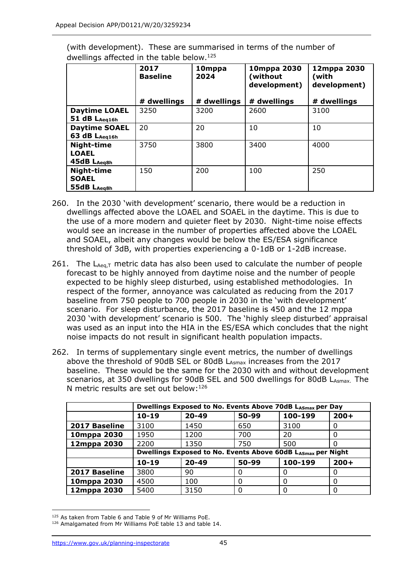|                                                  | 2017<br><b>Baseline</b> | 10mppa<br>2024 | 10mppa 2030<br>(without<br>development) | 12mppa 2030<br>(with<br>development) |  |
|--------------------------------------------------|-------------------------|----------------|-----------------------------------------|--------------------------------------|--|
|                                                  | # dwellings             | # dwellings    | # dwellings                             | # dwellings                          |  |
| <b>Daytime LOAEL</b><br>51 dB LAeg16h            | 3250                    | 3200           | 2600                                    | 3100                                 |  |
| <b>Daytime SOAEL</b><br>63 dB LAeg16h            | 20                      | 20             | 10                                      | 10                                   |  |
| Night-time<br><b>LOAEL</b><br>45dB LAeg8h        | 3750                    | 3800           | 3400                                    | 4000                                 |  |
| <b>Night-time</b><br><b>SOAEL</b><br>55dB LAeg8h | 150                     | 200            | 100                                     | 250                                  |  |

(with development). These are summarised in terms of the number of dwellings affected in the table below.<sup>125</sup>

- 260. In the 2030 'with development' scenario, there would be a reduction in dwellings affected above the LOAEL and SOAEL in the daytime. This is due to the use of a more modern and quieter fleet by 2030. Night-time noise effects would see an increase in the number of properties affected above the LOAEL and SOAEL, albeit any changes would be below the ES/ESA significance threshold of 3dB, with properties experiencing a 0-1dB or 1-2dB increase.
- 261. The  $L_{Aeq,T}$  metric data has also been used to calculate the number of people forecast to be highly annoyed from daytime noise and the number of people expected to be highly sleep disturbed, using established methodologies. In respect of the former, annoyance was calculated as reducing from the 2017 baseline from 750 people to 700 people in 2030 in the 'with development' scenario. For sleep disturbance, the 2017 baseline is 450 and the 12 mppa 2030 'with development' scenario is 500. The 'highly sleep disturbed' appraisal was used as an input into the HIA in the ES/ESA which concludes that the night noise impacts do not result in significant health population impacts.
- 262. In terms of supplementary single event metrics, the number of dwellings above the threshold of 90dB SEL or 80dB LASmax increases from the 2017 baseline. These would be the same for the 2030 with and without development scenarios, at 350 dwellings for 90dB SEL and 500 dwellings for 80dB LASmax. The N metric results are set out below:<sup>126</sup>

|               | Dwellings Exposed to No. Events Above 70dB LASmax per Day   |           |       |              |        |  |  |
|---------------|-------------------------------------------------------------|-----------|-------|--------------|--------|--|--|
|               | $10 - 19$                                                   | $20 - 49$ | 50-99 | 100-199      | $200+$ |  |  |
| 2017 Baseline | 3100                                                        | 1450      | 650   | 3100         | 0      |  |  |
| 10mppa 2030   | 1950                                                        | 1200      | 700   | 20           | 0      |  |  |
| 12mppa 2030   | 2200                                                        | 1350      | 750   | 500          | 0      |  |  |
|               | Dwellings Exposed to No. Events Above 60dB LASmax per Night |           |       |              |        |  |  |
|               | $10 - 19$                                                   | $20 - 49$ | 50-99 | 100-199      | $200+$ |  |  |
| 2017 Baseline | 3800                                                        | 90        | 0     | <sup>0</sup> | 0      |  |  |
| 10mppa 2030   | 4500                                                        | 100       | 0     | $\Omega$     | 0      |  |  |
| 12mppa 2030   | 5400                                                        | 3150      | 0     | 0            | 0      |  |  |

<sup>&</sup>lt;sup>125</sup> As taken from Table 6 and Table 9 of Mr Williams PoE.

<sup>&</sup>lt;sup>126</sup> Amalgamated from Mr Williams PoE table 13 and table 14.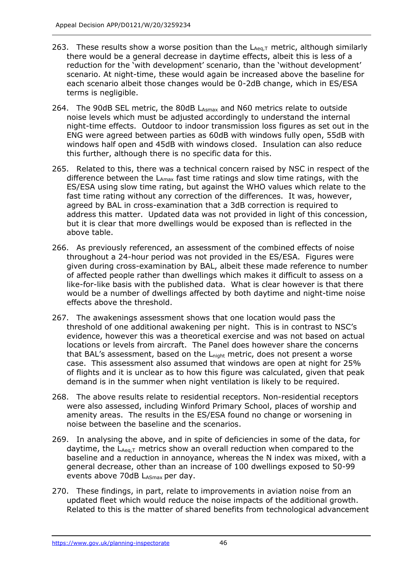- 263. These results show a worse position than the  $L_{Aeq,T}$  metric, although similarly there would be a general decrease in daytime effects, albeit this is less of a reduction for the 'with development' scenario, than the 'without development' scenario. At night-time, these would again be increased above the baseline for each scenario albeit those changes would be 0-2dB change, which in ES/ESA terms is negligible.
- 264. The 90dB SEL metric, the 80dB L<sub>Asmax</sub> and N60 metrics relate to outside noise levels which must be adjusted accordingly to understand the internal night-time effects. Outdoor to indoor transmission loss figures as set out in the ENG were agreed between parties as 60dB with windows fully open, 55dB with windows half open and 45dB with windows closed. Insulation can also reduce this further, although there is no specific data for this.
- 265. Related to this, there was a technical concern raised by NSC in respect of the difference between the  $L_{Amax}$  fast time ratings and slow time ratings, with the ES/ESA using slow time rating, but against the WHO values which relate to the fast time rating without any correction of the differences. It was, however, agreed by BAL in cross-examination that a 3dB correction is required to address this matter. Updated data was not provided in light of this concession, but it is clear that more dwellings would be exposed than is reflected in the above table.
- 266. As previously referenced, an assessment of the combined effects of noise throughout a 24-hour period was not provided in the ES/ESA. Figures were given during cross-examination by BAL, albeit these made reference to number of affected people rather than dwellings which makes it difficult to assess on a like-for-like basis with the published data. What is clear however is that there would be a number of dwellings affected by both daytime and night-time noise effects above the threshold.
- 267. The awakenings assessment shows that one location would pass the threshold of one additional awakening per night. This is in contrast to NSC's evidence, however this was a theoretical exercise and was not based on actual locations or levels from aircraft. The Panel does however share the concerns that BAL's assessment, based on the L<sub>night</sub> metric, does not present a worse case. This assessment also assumed that windows are open at night for 25% of flights and it is unclear as to how this figure was calculated, given that peak demand is in the summer when night ventilation is likely to be required.
- 268. The above results relate to residential receptors. Non-residential receptors were also assessed, including Winford Primary School, places of worship and amenity areas. The results in the ES/ESA found no change or worsening in noise between the baseline and the scenarios.
- 269. In analysing the above, and in spite of deficiencies in some of the data, for daytime, the  $L_{Aea,T}$  metrics show an overall reduction when compared to the baseline and a reduction in annoyance, whereas the N index was mixed, with a general decrease, other than an increase of 100 dwellings exposed to 50-99 events above 70dB LASmax per day.
- 270. These findings, in part, relate to improvements in aviation noise from an updated fleet which would reduce the noise impacts of the additional growth. Related to this is the matter of shared benefits from technological advancement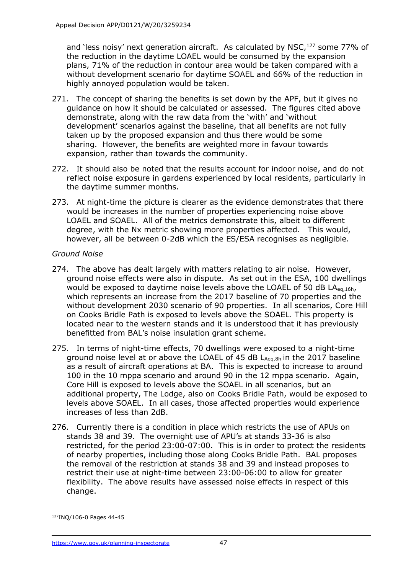and 'less noisy' next generation aircraft. As calculated by NSC,<sup>127</sup> some 77% of the reduction in the daytime LOAEL would be consumed by the expansion plans, 71% of the reduction in contour area would be taken compared with a without development scenario for daytime SOAEL and 66% of the reduction in highly annoyed population would be taken.

- 271. The concept of sharing the benefits is set down by the APF, but it gives no guidance on how it should be calculated or assessed. The figures cited above demonstrate, along with the raw data from the 'with' and 'without development' scenarios against the baseline, that all benefits are not fully taken up by the proposed expansion and thus there would be some sharing. However, the benefits are weighted more in favour towards expansion, rather than towards the community.
- 272. It should also be noted that the results account for indoor noise, and do not reflect noise exposure in gardens experienced by local residents, particularly in the daytime summer months.
- 273. At night-time the picture is clearer as the evidence demonstrates that there would be increases in the number of properties experiencing noise above LOAEL and SOAEL. All of the metrics demonstrate this, albeit to different degree, with the Nx metric showing more properties affected. This would, however, all be between 0-2dB which the ES/ESA recognises as negligible.

### *Ground Noise*

- 274. The above has dealt largely with matters relating to air noise. However, ground noise effects were also in dispute. As set out in the ESA, 100 dwellings would be exposed to daytime noise levels above the LOAEL of 50 dB LA<sub>eq.16h</sub>, which represents an increase from the 2017 baseline of 70 properties and the without development 2030 scenario of 90 properties. In all scenarios, Core Hill on Cooks Bridle Path is exposed to levels above the SOAEL. This property is located near to the western stands and it is understood that it has previously benefitted from BAL's noise insulation grant scheme.
- 275. In terms of night-time effects, 70 dwellings were exposed to a night-time ground noise level at or above the LOAEL of 45 dB  $L_{Aea,8h}$  in the 2017 baseline as a result of aircraft operations at BA. This is expected to increase to around 100 in the 10 mppa scenario and around 90 in the 12 mppa scenario. Again, Core Hill is exposed to levels above the SOAEL in all scenarios, but an additional property, The Lodge, also on Cooks Bridle Path, would be exposed to levels above SOAEL. In all cases, those affected properties would experience increases of less than 2dB.
- 276. Currently there is a condition in place which restricts the use of APUs on stands 38 and 39. The overnight use of APU's at stands 33-36 is also restricted, for the period 23:00-07:00. This is in order to protect the residents of nearby properties, including those along Cooks Bridle Path. BAL proposes the removal of the restriction at stands 38 and 39 and instead proposes to restrict their use at night-time between 23:00-06:00 to allow for greater flexibility. The above results have assessed noise effects in respect of this change.

<sup>127</sup>INQ/106-0 Pages 44-45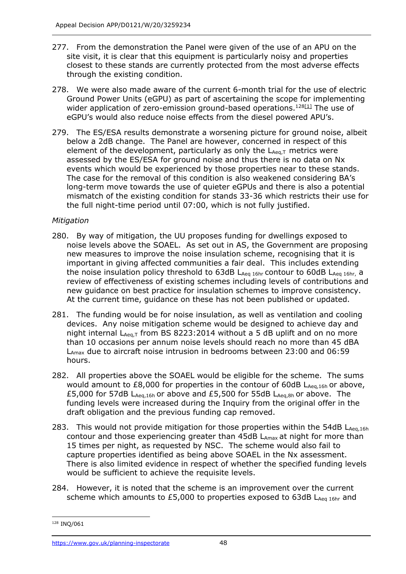- 277. From the demonstration the Panel were given of the use of an APU on the site visit, it is clear that this equipment is particularly noisy and properties closest to these stands are currently protected from the most adverse effects through the existing condition.
- 278. We were also made aware of the current 6-month trial for the use of electric Ground Power Units (eGPU) as part of ascertaining the scope for implementing wider application of zero-emission ground-based operations.<sup>12[8\[1\]](https://ukc-word-edit.officeapps.live.com/we/wordeditorframe.aspx?ui=en%2DGB&rs=en%2DUS&wopisrc=https%3A%2F%2Fpinso365-my.sharepoint.com%2Fpersonal%2Fdominic_young_e1_planninginspectorate_gov_uk%2F_vti_bin%2Fwopi.ashx%2Ffiles%2F01222f500c294665a0192ce33f2fbe9e&wdorigin=TEAMS-ELECTRON.p2p.p2p&wdexp=TEAMS-CONTROL&wdhostclicktime=1638200913859&wdenableroaming=1&mscc=1&wdodb=1&hid=6CD1C06F-F5ED-46CE-9876-0F8A0F50C947&jsapi=1&jsapiver=v1&newsession=1&corrid=c0e51d2b-9c9e-5106-5eea-3d1f4f98af52&usid=c0e51d2b-9c9e-5106-5eea-3d1f4f98af52&sftc=1&mtf=1&sfp=1&instantedit=1&wopicomplete=1&wdredirectionreason=Unified_SingleFlush&preseededsessionkey=d4749091-bae6-7c86-f668-e65a49104113&preseededwacsessionid=c0e51d2b-9c9e-5106-5eea-3d1f4f98af52&rct=Medium&ctp=LeastProtected#_ftn1)</sup> The use of eGPU's would also reduce noise effects from the diesel powered APU's.
- 279. The ES/ESA results demonstrate a worsening picture for ground noise, albeit below a 2dB change. The Panel are however, concerned in respect of this element of the development, particularly as only the  $L_{Aeq,T}$  metrics were assessed by the ES/ESA for ground noise and thus there is no data on Nx events which would be experienced by those properties near to these stands. The case for the removal of this condition is also weakened considering BA's long-term move towards the use of quieter eGPUs and there is also a potential mismatch of the existing condition for stands 33-36 which restricts their use for the full night-time period until 07:00, which is not fully justified.

### *Mitigation*

- 280. By way of mitigation, the UU proposes funding for dwellings exposed to noise levels above the SOAEL. As set out in AS, the Government are proposing new measures to improve the noise insulation scheme, recognising that it is important in giving affected communities a fair deal. This includes extending the noise insulation policy threshold to 63dB LAeq 16hr contour to 60dB LAeq 16hr, a review of effectiveness of existing schemes including levels of contributions and new guidance on best practice for insulation schemes to improve consistency. At the current time, guidance on these has not been published or updated.
- 281. The funding would be for noise insulation, as well as ventilation and cooling devices. Any noise mitigation scheme would be designed to achieve day and night internal  $L_{Aeq,T}$  from BS 8223:2014 without a 5 dB uplift and on no more than 10 occasions per annum noise levels should reach no more than 45 dBA  $L_{\text{Amax}}$  due to aircraft noise intrusion in bedrooms between 23:00 and 06:59 hours.
- 282. All properties above the SOAEL would be eligible for the scheme. The sums would amount to  $£8,000$  for properties in the contour of 60dB  $L_{Aea,16h}$  or above, £5,000 for 57dB LAeq,16h or above and £5,500 for 55dB LAeq,8h or above. The funding levels were increased during the Inquiry from the original offer in the draft obligation and the previous funding cap removed.
- 283. This would not provide mitigation for those properties within the 54dB LAeq,16h contour and those experiencing greater than 45dB L<sub>Amax</sub> at night for more than 15 times per night, as requested by NSC. The scheme would also fail to capture properties identified as being above SOAEL in the Nx assessment. There is also limited evidence in respect of whether the specified funding levels would be sufficient to achieve the requisite levels.
- 284. However, it is noted that the scheme is an improvement over the current scheme which amounts to  $£5,000$  to properties exposed to  $63dB$  L<sub>Aeq 16hr</sub> and

<sup>128</sup> INQ/061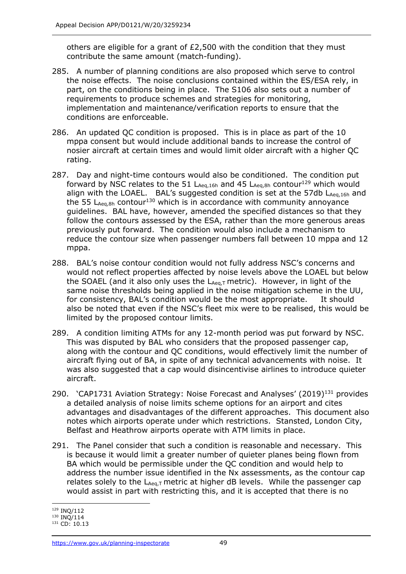others are eligible for a grant of £2,500 with the condition that they must contribute the same amount (match-funding).

- 285. A number of planning conditions are also proposed which serve to control the noise effects. The noise conclusions contained within the ES/ESA rely, in part, on the conditions being in place. The S106 also sets out a number of requirements to produce schemes and strategies for monitoring, implementation and maintenance/verification reports to ensure that the conditions are enforceable.
- 286. An updated QC condition is proposed. This is in place as part of the 10 mppa consent but would include additional bands to increase the control of nosier aircraft at certain times and would limit older aircraft with a higher QC rating.
- 287. Day and night-time contours would also be conditioned. The condition put forward by NSC relates to the 51  $L_{Aeq,16h}$  and 45  $L_{Aeq,8h}$  contour<sup>129</sup> which would align with the LOAEL. BAL's suggested condition is set at the 57db  $L_{Aea,16h}$  and the 55  $L_{Aeq,8h}$  contour<sup>130</sup> which is in accordance with community annoyance guidelines. BAL have, however, amended the specified distances so that they follow the contours assessed by the ESA, rather than the more generous areas previously put forward. The condition would also include a mechanism to reduce the contour size when passenger numbers fall between 10 mppa and 12 mppa.
- 288. BAL's noise contour condition would not fully address NSC's concerns and would not reflect properties affected by noise levels above the LOAEL but below the SOAEL (and it also only uses the  $L_{Aeq,T}$  metric). However, in light of the same noise thresholds being applied in the noise mitigation scheme in the UU, for consistency, BAL's condition would be the most appropriate. It should also be noted that even if the NSC's fleet mix were to be realised, this would be limited by the proposed contour limits.
- 289. A condition limiting ATMs for any 12-month period was put forward by NSC. This was disputed by BAL who considers that the proposed passenger cap, along with the contour and QC conditions, would effectively limit the number of aircraft flying out of BA, in spite of any technical advancements with noise. It was also suggested that a cap would disincentivise airlines to introduce quieter aircraft.
- 290. 'CAP1731 Aviation Strategy: Noise Forecast and Analyses' (2019)<sup>131</sup> provides a detailed analysis of noise limits scheme options for an airport and cites advantages and disadvantages of the different approaches. This document also notes which airports operate under which restrictions. Stansted, London City, Belfast and Heathrow airports operate with ATM limits in place.
- 291. The Panel consider that such a condition is reasonable and necessary. This is because it would limit a greater number of quieter planes being flown from BA which would be permissible under the QC condition and would help to address the number issue identified in the Nx assessments, as the contour cap relates solely to the  $L_{Aeq,T}$  metric at higher dB levels. While the passenger cap would assist in part with restricting this, and it is accepted that there is no

<sup>129</sup> INQ/112

<sup>130</sup> INQ/114

<sup>131</sup> CD: 10.13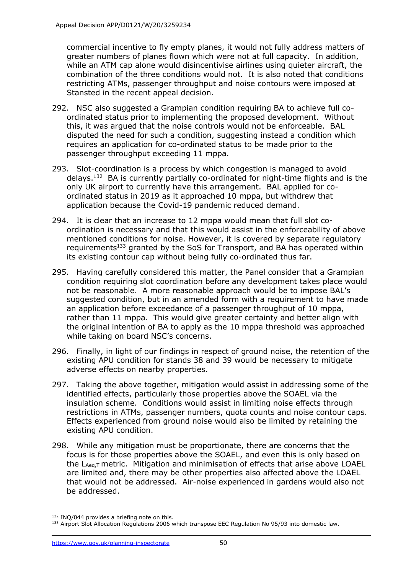commercial incentive to fly empty planes, it would not fully address matters of greater numbers of planes flown which were not at full capacity. In addition, while an ATM cap alone would disincentivise airlines using quieter aircraft, the combination of the three conditions would not. It is also noted that conditions restricting ATMs, passenger throughput and noise contours were imposed at Stansted in the recent appeal decision.

- 292. NSC also suggested a Grampian condition requiring BA to achieve full coordinated status prior to implementing the proposed development. Without this, it was argued that the noise controls would not be enforceable. BAL disputed the need for such a condition, suggesting instead a condition which requires an application for co-ordinated status to be made prior to the passenger throughput exceeding 11 mppa.
- 293. Slot-coordination is a process by which congestion is managed to avoid delays.<sup>132</sup> BA is currently partially co-ordinated for night-time flights and is the only UK airport to currently have this arrangement. BAL applied for coordinated status in 2019 as it approached 10 mppa, but withdrew that application because the Covid-19 pandemic reduced demand.
- 294. It is clear that an increase to 12 mppa would mean that full slot coordination is necessary and that this would assist in the enforceability of above mentioned conditions for noise. However, it is covered by separate regulatory requirements<sup>133</sup> granted by the SoS for Transport, and BA has operated within its existing contour cap without being fully co-ordinated thus far.
- 295. Having carefully considered this matter, the Panel consider that a Grampian condition requiring slot coordination before any development takes place would not be reasonable. A more reasonable approach would be to impose BAL's suggested condition, but in an amended form with a requirement to have made an application before exceedance of a passenger throughput of 10 mppa, rather than 11 mppa. This would give greater certainty and better align with the original intention of BA to apply as the 10 mppa threshold was approached while taking on board NSC's concerns.
- 296. Finally, in light of our findings in respect of ground noise, the retention of the existing APU condition for stands 38 and 39 would be necessary to mitigate adverse effects on nearby properties.
- 297. Taking the above together, mitigation would assist in addressing some of the identified effects, particularly those properties above the SOAEL via the insulation scheme. Conditions would assist in limiting noise effects through restrictions in ATMs, passenger numbers, quota counts and noise contour caps. Effects experienced from ground noise would also be limited by retaining the existing APU condition.
- 298. While any mitigation must be proportionate, there are concerns that the focus is for those properties above the SOAEL, and even this is only based on the  $L_{Aea,T}$  metric. Mitigation and minimisation of effects that arise above LOAEL are limited and, there may be other properties also affected above the LOAEL that would not be addressed. Air-noise experienced in gardens would also not be addressed.

<sup>132</sup> INQ/044 provides a briefing note on this.

<sup>133</sup> Airport Slot Allocation Regulations 2006 which transpose EEC Regulation No 95/93 into domestic law.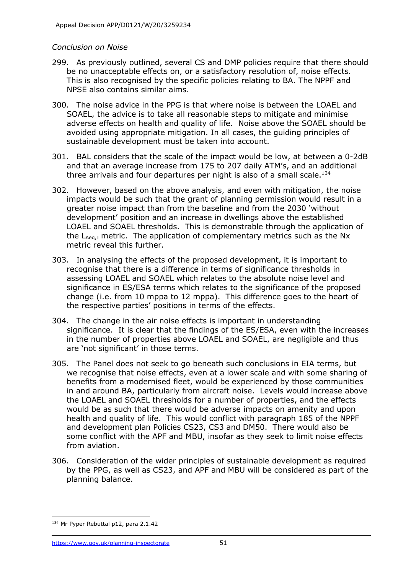### *Conclusion on Noise*

- 299. As previously outlined, several CS and DMP policies require that there should be no unacceptable effects on, or a satisfactory resolution of, noise effects. This is also recognised by the specific policies relating to BA. The NPPF and NPSE also contains similar aims.
- 300. The noise advice in the PPG is that where noise is between the LOAEL and SOAEL, the advice is to take all reasonable steps to mitigate and minimise adverse effects on health and quality of life. Noise above the SOAEL should be avoided using appropriate mitigation. In all cases, the guiding principles of sustainable development must be taken into account.
- 301. BAL considers that the scale of the impact would be low, at between a 0-2dB and that an average increase from 175 to 207 daily ATM's, and an additional three arrivals and four departures per night is also of a small scale.<sup>134</sup>
- 302. However, based on the above analysis, and even with mitigation, the noise impacts would be such that the grant of planning permission would result in a greater noise impact than from the baseline and from the 2030 'without development' position and an increase in dwellings above the established LOAEL and SOAEL thresholds. This is demonstrable through the application of the  $L_{Aeq,T}$  metric. The application of complementary metrics such as the Nx metric reveal this further.
- 303. In analysing the effects of the proposed development, it is important to recognise that there is a difference in terms of significance thresholds in assessing LOAEL and SOAEL which relates to the absolute noise level and significance in ES/ESA terms which relates to the significance of the proposed change (i.e. from 10 mppa to 12 mppa). This difference goes to the heart of the respective parties' positions in terms of the effects.
- 304. The change in the air noise effects is important in understanding significance. It is clear that the findings of the ES/ESA, even with the increases in the number of properties above LOAEL and SOAEL, are negligible and thus are 'not significant' in those terms.
- 305. The Panel does not seek to go beneath such conclusions in EIA terms, but we recognise that noise effects, even at a lower scale and with some sharing of benefits from a modernised fleet, would be experienced by those communities in and around BA, particularly from aircraft noise. Levels would increase above the LOAEL and SOAEL thresholds for a number of properties, and the effects would be as such that there would be adverse impacts on amenity and upon health and quality of life. This would conflict with paragraph 185 of the NPPF and development plan Policies CS23, CS3 and DM50. There would also be some conflict with the APF and MBU, insofar as they seek to limit noise effects from aviation.
- 306. Consideration of the wider principles of sustainable development as required by the PPG, as well as CS23, and APF and MBU will be considered as part of the planning balance.

<sup>134</sup> Mr Pyper Rebuttal p12, para 2.1.42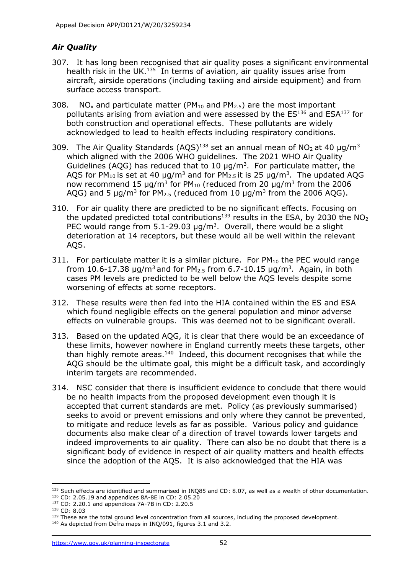# *Air Quality*

- 307. It has long been recognised that air quality poses a significant environmental health risk in the UK. $135$  In terms of aviation, air quality issues arise from aircraft, airside operations (including taxiing and airside equipment) and from surface access transport.
- 308. NO<sub>x</sub> and particulate matter (PM<sub>10</sub> and PM<sub>2.5</sub>) are the most important pollutants arising from aviation and were assessed by the ES<sup>136</sup> and ESA<sup>137</sup> for both construction and operational effects. These pollutants are widely acknowledged to lead to health effects including respiratory conditions.
- 309. The Air Quality Standards (AQS)<sup>138</sup> set an annual mean of  $NO<sub>2</sub>$  at 40  $\mu$ g/m<sup>3</sup> which aligned with the 2006 WHO guidelines. The 2021 WHO Air Quality Guidelines (AQG) has reduced that to 10  $\mu$ g/m<sup>3</sup>. For particulate matter, the AQS for PM<sub>10</sub> is set at 40  $\mu$ g/m<sup>3</sup> and for PM<sub>2.5</sub> it is 25  $\mu$ g/m<sup>3</sup>. The updated AQG now recommend 15  $\mu$ g/m<sup>3</sup> for PM<sub>10</sub> (reduced from 20  $\mu$ g/m<sup>3</sup> from the 2006 AQG) and 5  $\mu$ g/m<sup>3</sup> for PM<sub>2.5</sub> (reduced from 10  $\mu$ g/m<sup>3</sup> from the 2006 AQG).
- 310. For air quality there are predicted to be no significant effects. Focusing on the updated predicted total contributions<sup>139</sup> results in the ESA, by 2030 the  $NO<sub>2</sub>$ PEC would range from  $5.1$ -29.03  $\mu$ g/m<sup>3</sup>. Overall, there would be a slight deterioration at 14 receptors, but these would all be well within the relevant AQS.
- 311. For particulate matter it is a similar picture. For  $PM_{10}$  the PEC would range from 10.6-17.38  $\mu$ g/m<sup>3</sup> and for PM<sub>2.5</sub> from 6.7-10.15  $\mu$ g/m<sup>3</sup>. Again, in both cases PM levels are predicted to be well below the AQS levels despite some worsening of effects at some receptors.
- 312. These results were then fed into the HIA contained within the ES and ESA which found negligible effects on the general population and minor adverse effects on vulnerable groups. This was deemed not to be significant overall.
- 313. Based on the updated AQG, it is clear that there would be an exceedance of these limits, however nowhere in England currently meets these targets, other than highly remote areas. $140$  Indeed, this document recognises that while the AQG should be the ultimate goal, this might be a difficult task, and accordingly interim targets are recommended.
- 314. NSC consider that there is insufficient evidence to conclude that there would be no health impacts from the proposed development even though it is accepted that current standards are met. Policy (as previously summarised) seeks to avoid or prevent emissions and only where they cannot be prevented, to mitigate and reduce levels as far as possible. Various policy and guidance documents also make clear of a direction of travel towards lower targets and indeed improvements to air quality. There can also be no doubt that there is a significant body of evidence in respect of air quality matters and health effects since the adoption of the AQS. It is also acknowledged that the HIA was

 $135$  Such effects are identified and summarised in INQ85 and CD: 8.07, as well as a wealth of other documentation.

<sup>136</sup> CD: 2.05.19 and appendices 8A-8E in CD: 2.05.20 <sup>137</sup> CD: 2.20.1 and appendices 7A-7B in CD: 2.20.5

<sup>138</sup> CD: 8.03

<sup>139</sup> These are the total ground level concentration from all sources, including the proposed development. <sup>140</sup> As depicted from Defra maps in INQ/091, figures 3.1 and 3.2.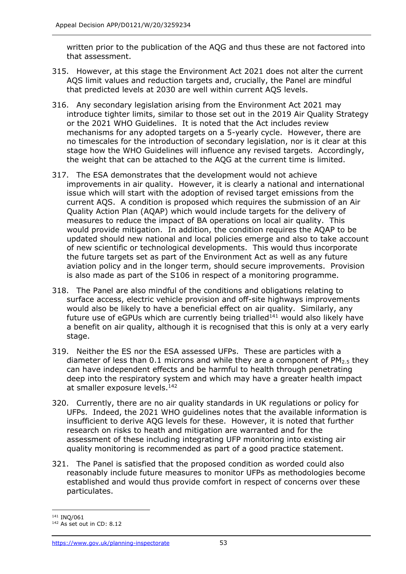written prior to the publication of the AQG and thus these are not factored into that assessment.

- 315. However, at this stage the Environment Act 2021 does not alter the current AQS limit values and reduction targets and, crucially, the Panel are mindful that predicted levels at 2030 are well within current AQS levels.
- 316. Any secondary legislation arising from the Environment Act 2021 may introduce tighter limits, similar to those set out in the 2019 Air Quality Strategy or the 2021 WHO Guidelines. It is noted that the Act includes review mechanisms for any adopted targets on a 5-yearly cycle. However, there are no timescales for the introduction of secondary legislation, nor is it clear at this stage how the WHO Guidelines will influence any revised targets. Accordingly, the weight that can be attached to the AQG at the current time is limited.
- 317. The ESA demonstrates that the development would not achieve improvements in air quality. However, it is clearly a national and international issue which will start with the adoption of revised target emissions from the current AQS. A condition is proposed which requires the submission of an Air Quality Action Plan (AQAP) which would include targets for the delivery of measures to reduce the impact of BA operations on local air quality. This would provide mitigation. In addition, the condition requires the AQAP to be updated should new national and local policies emerge and also to take account of new scientific or technological developments. This would thus incorporate the future targets set as part of the Environment Act as well as any future aviation policy and in the longer term, should secure improvements. Provision is also made as part of the S106 in respect of a monitoring programme.
- 318. The Panel are also mindful of the conditions and obligations relating to surface access, electric vehicle provision and off-site highways improvements would also be likely to have a beneficial effect on air quality. Similarly, any future use of eGPUs which are currently being trialled $141$  would also likely have a benefit on air quality, although it is recognised that this is only at a very early stage.
- 319. Neither the ES nor the ESA assessed UFPs. These are particles with a diameter of less than 0.1 microns and while they are a component of  $PM<sub>2.5</sub>$  they can have independent effects and be harmful to health through penetrating deep into the respiratory system and which may have a greater health impact at smaller exposure levels.<sup>142</sup>
- 320. Currently, there are no air quality standards in UK regulations or policy for UFPs. Indeed, the 2021 WHO guidelines notes that the available information is insufficient to derive AQG levels for these. However, it is noted that further research on risks to heath and mitigation are warranted and for the assessment of these including integrating UFP monitoring into existing air quality monitoring is recommended as part of a good practice statement.
- 321. The Panel is satisfied that the proposed condition as worded could also reasonably include future measures to monitor UFPs as methodologies become established and would thus provide comfort in respect of concerns over these particulates.

<sup>141</sup> INQ/061

<sup>142</sup> As set out in CD: 8.12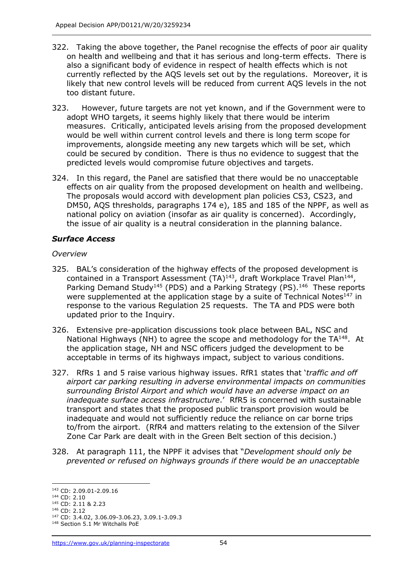- 322. Taking the above together, the Panel recognise the effects of poor air quality on health and wellbeing and that it has serious and long-term effects. There is also a significant body of evidence in respect of health effects which is not currently reflected by the AQS levels set out by the regulations. Moreover, it is likely that new control levels will be reduced from current AQS levels in the not too distant future.
- 323. However, future targets are not yet known, and if the Government were to adopt WHO targets, it seems highly likely that there would be interim measures. Critically, anticipated levels arising from the proposed development would be well within current control levels and there is long term scope for improvements, alongside meeting any new targets which will be set, which could be secured by condition. There is thus no evidence to suggest that the predicted levels would compromise future objectives and targets.
- 324. In this regard, the Panel are satisfied that there would be no unacceptable effects on air quality from the proposed development on health and wellbeing. The proposals would accord with development plan policies CS3, CS23, and DM50, AQS thresholds, paragraphs 174 e), 185 and 185 of the NPPF, as well as national policy on aviation (insofar as air quality is concerned). Accordingly, the issue of air quality is a neutral consideration in the planning balance.

# *Surface Access*

#### *Overview*

- 325. BAL's consideration of the highway effects of the proposed development is contained in a Transport Assessment  $(TA)^{143}$ , draft Workplace Travel Plan<sup>144</sup>, Parking Demand Study<sup>145</sup> (PDS) and a Parking Strategy (PS).<sup>146</sup> These reports were supplemented at the application stage by a suite of Technical Notes $147$  in response to the various Regulation 25 requests. The TA and PDS were both updated prior to the Inquiry.
- 326. Extensive pre-application discussions took place between BAL, NSC and National Highways (NH) to agree the scope and methodology for the  $TA^{148}$ . At the application stage, NH and NSC officers judged the development to be acceptable in terms of its highways impact, subject to various conditions.
- 327. RfRs 1 and 5 raise various highway issues. RfR1 states that '*traffic and off airport car parking resulting in adverse environmental impacts on communities surrounding Bristol Airport and which would have an adverse impact on an inadequate surface access infrastructure*.' RfR5 is concerned with sustainable transport and states that the proposed public transport provision would be inadequate and would not sufficiently reduce the reliance on car borne trips to/from the airport. (RfR4 and matters relating to the extension of the Silver Zone Car Park are dealt with in the Green Belt section of this decision.)
- 328. At paragraph 111, the NPPF it advises that "*Development should only be prevented or refused on highways grounds if there would be an unacceptable*

<sup>145</sup> CD: 2.11 & 2.23 <sup>146</sup> CD: 2.12

<sup>143</sup> CD: 2.09.01-2.09.16

<sup>144</sup> CD: 2.10

<sup>147</sup> CD: 3.4.02, 3.06.09-3.06.23, 3.09.1-3.09.3

<sup>148</sup> Section 5.1 Mr Witchalls PoE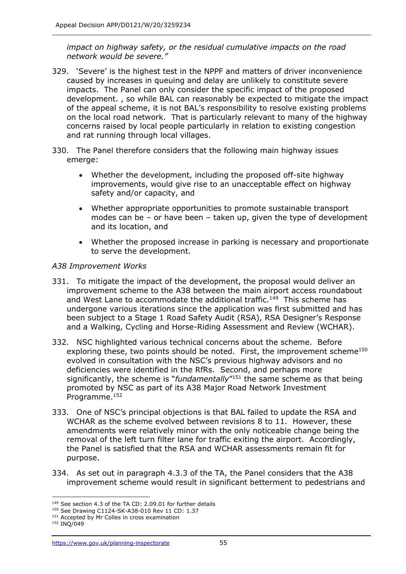*impact on highway safety, or the residual cumulative impacts on the road network would be severe."*

- 329. 'Severe' is the highest test in the NPPF and matters of driver inconvenience caused by increases in queuing and delay are unlikely to constitute severe impacts. The Panel can only consider the specific impact of the proposed development. , so while BAL can reasonably be expected to mitigate the impact of the appeal scheme, it is not BAL's responsibility to resolve existing problems on the local road network. That is particularly relevant to many of the highway concerns raised by local people particularly in relation to existing congestion and rat running through local villages.
- 330. The Panel therefore considers that the following main highway issues emerge:
	- Whether the development, including the proposed off-site highway improvements, would give rise to an unacceptable effect on highway safety and/or capacity, and
	- Whether appropriate opportunities to promote sustainable transport modes can be – or have been – taken up, given the type of development and its location, and
	- Whether the proposed increase in parking is necessary and proportionate to serve the development.

### *A38 Improvement Works*

- 331. To mitigate the impact of the development, the proposal would deliver an improvement scheme to the A38 between the main airport access roundabout and West Lane to accommodate the additional traffic.<sup>149</sup> This scheme has undergone various iterations since the application was first submitted and has been subject to a Stage 1 Road Safety Audit (RSA), RSA Designer's Response and a Walking, Cycling and Horse-Riding Assessment and Review (WCHAR).
- 332. NSC highlighted various technical concerns about the scheme. Before exploring these, two points should be noted. First, the improvement scheme<sup>150</sup> evolved in consultation with the NSC's previous highway advisors and no deficiencies were identified in the RfRs. Second, and perhaps more significantly, the scheme is "*fundamentally*" <sup>151</sup> the same scheme as that being promoted by NSC as part of its A38 Major Road Network Investment Programme. 152
- 333. One of NSC's principal objections is that BAL failed to update the RSA and WCHAR as the scheme evolved between revisions 8 to 11. However, these amendments were relatively minor with the only noticeable change being the removal of the left turn filter lane for traffic exiting the airport. Accordingly, the Panel is satisfied that the RSA and WCHAR assessments remain fit for purpose.
- 334. As set out in paragraph 4.3.3 of the TA, the Panel considers that the A38 improvement scheme would result in significant betterment to pedestrians and

<sup>&</sup>lt;sup>149</sup> See section 4.3 of the TA CD: 2.09.01 for further details

<sup>150</sup> See Drawing C1124-SK-A38-010 Rev 11 CD: 1.37

<sup>&</sup>lt;sup>151</sup> Accepted by Mr Colles in cross examination

<sup>152</sup> INQ/049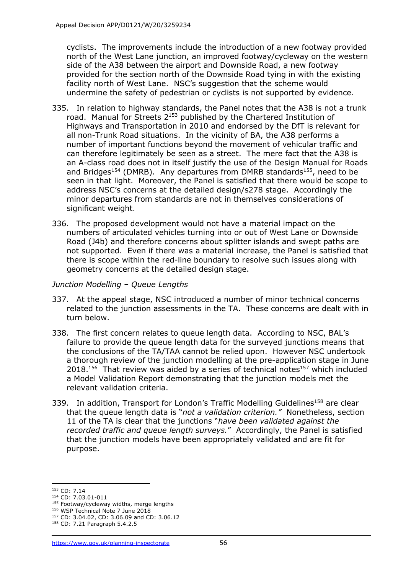cyclists. The improvements include the introduction of a new footway provided north of the West Lane junction, an improved footway/cycleway on the western side of the A38 between the airport and Downside Road, a new footway provided for the section north of the Downside Road tying in with the existing facility north of West Lane. NSC's suggestion that the scheme would undermine the safety of pedestrian or cyclists is not supported by evidence.

- 335. In relation to highway standards, the Panel notes that the A38 is not a trunk road. Manual for Streets 2<sup>153</sup> published by the Chartered Institution of Highways and Transportation in 2010 and endorsed by the DfT is relevant for all non-Trunk Road situations. In the vicinity of BA, the A38 performs a number of important functions beyond the movement of vehicular traffic and can therefore legitimately be seen as a street. The mere fact that the A38 is an A-class road does not in itself justify the use of the Design Manual for Roads and Bridges<sup>154</sup> (DMRB). Any departures from DMRB standards<sup>155</sup>, need to be seen in that light. Moreover, the Panel is satisfied that there would be scope to address NSC's concerns at the detailed design/s278 stage. Accordingly the minor departures from standards are not in themselves considerations of significant weight.
- 336. The proposed development would not have a material impact on the numbers of articulated vehicles turning into or out of West Lane or Downside Road (J4b) and therefore concerns about splitter islands and swept paths are not supported. Even if there was a material increase, the Panel is satisfied that there is scope within the red-line boundary to resolve such issues along with geometry concerns at the detailed design stage.

### *Junction Modelling – Queue Lengths*

- 337. At the appeal stage, NSC introduced a number of minor technical concerns related to the junction assessments in the TA. These concerns are dealt with in turn below.
- 338. The first concern relates to queue length data. According to NSC, BAL's failure to provide the queue length data for the surveyed junctions means that the conclusions of the TA/TAA cannot be relied upon. However NSC undertook a thorough review of the junction modelling at the pre-application stage in June  $2018.<sup>156</sup>$  That review was aided by a series of technical notes<sup>157</sup> which included a Model Validation Report demonstrating that the junction models met the relevant validation criteria.
- 339. In addition, Transport for London's Traffic Modelling Guidelines<sup>158</sup> are clear that the queue length data is "*not a validation criterion."* Nonetheless, section 11 of the TA is clear that the junctions "*have been validated against the recorded traffic and queue length surveys.*" Accordingly, the Panel is satisfied that the junction models have been appropriately validated and are fit for purpose.

<sup>153</sup> CD: 7.14

<sup>154</sup> CD: 7.03.01-011

<sup>&</sup>lt;sup>155</sup> Footway/cycleway widths, merge lengths

<sup>156</sup> WSP Technical Note 7 June 2018

<sup>157</sup> CD: 3.04.02, CD: 3.06.09 and CD: 3.06.12

<sup>158</sup> CD: 7.21 Paragraph 5.4.2.5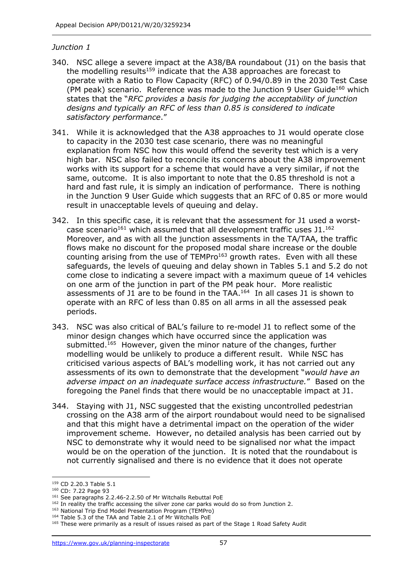### *Junction 1*

- 340. NSC allege a severe impact at the A38/BA roundabout (J1) on the basis that the modelling results<sup>159</sup> indicate that the A38 approaches are forecast to operate with a Ratio to Flow Capacity (RFC) of 0.94/0.89 in the 2030 Test Case (PM peak) scenario. Reference was made to the Junction 9 User Guide<sup>160</sup> which states that the "*RFC provides a basis for judging the acceptability of junction designs and typically an RFC of less than 0.85 is considered to indicate satisfactory performance*."
- 341. While it is acknowledged that the A38 approaches to J1 would operate close to capacity in the 2030 test case scenario, there was no meaningful explanation from NSC how this would offend the severity test which is a very high bar. NSC also failed to reconcile its concerns about the A38 improvement works with its support for a scheme that would have a very similar, if not the same, outcome. It is also important to note that the 0.85 threshold is not a hard and fast rule, it is simply an indication of performance. There is nothing in the Junction 9 User Guide which suggests that an RFC of 0.85 or more would result in unacceptable levels of queuing and delay.
- 342. In this specific case, it is relevant that the assessment for J1 used a worstcase scenario<sup>161</sup> which assumed that all development traffic uses  $J1.^{162}$ Moreover, and as with all the junction assessments in the TA/TAA, the traffic flows make no discount for the proposed modal share increase or the double counting arising from the use of  $TEMPro<sup>163</sup>$  growth rates. Even with all these safeguards, the levels of queuing and delay shown in Tables 5.1 and 5.2 do not come close to indicating a severe impact with a maximum queue of 14 vehicles on one arm of the junction in part of the PM peak hour. More realistic assessments of J1 are to be found in the TAA. 164 In all cases J1 is shown to operate with an RFC of less than 0.85 on all arms in all the assessed peak periods.
- 343. NSC was also critical of BAL's failure to re-model J1 to reflect some of the minor design changes which have occurred since the application was submitted.<sup>165</sup> However, given the minor nature of the changes, further modelling would be unlikely to produce a different result. While NSC has criticised various aspects of BAL's modelling work, it has not carried out any assessments of its own to demonstrate that the development "*would have an adverse impact on an inadequate surface access infrastructure.*" Based on the foregoing the Panel finds that there would be no unacceptable impact at J1.
- 344. Staying with J1, NSC suggested that the existing uncontrolled pedestrian crossing on the A38 arm of the airport roundabout would need to be signalised and that this might have a detrimental impact on the operation of the wider improvement scheme. However, no detailed analysis has been carried out by NSC to demonstrate why it would need to be signalised nor what the impact would be on the operation of the junction. It is noted that the roundabout is not currently signalised and there is no evidence that it does not operate

<sup>&</sup>lt;sup>159</sup> CD 2.20.3 Table 5.1

<sup>160</sup> CD: 7.22 Page 93

<sup>&</sup>lt;sup>161</sup> See paragraphs 2.2.46-2.2.50 of Mr Witchalls Rebuttal PoE

<sup>&</sup>lt;sup>162</sup> In reality the traffic accessing the silver zone car parks would do so from Junction 2.

<sup>163</sup> National Trip End Model Presentation Program (TEMPro)

<sup>164</sup> Table 5.3 of the TAA and Table 2.1 of Mr Witchalls PoE

<sup>&</sup>lt;sup>165</sup> These were primarily as a result of issues raised as part of the Stage 1 Road Safety Audit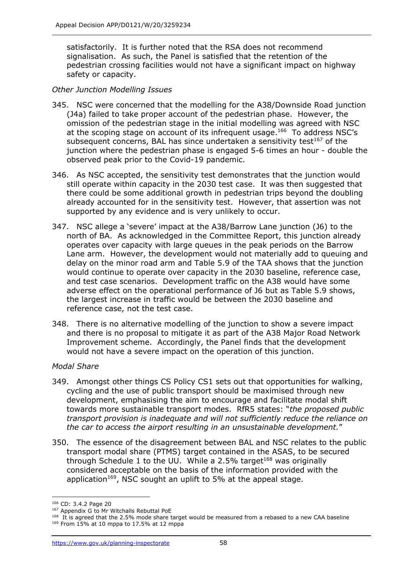satisfactorily. It is further noted that the RSA does not recommend signalisation. As such, the Panel is satisfied that the retention of the pedestrian crossing facilities would not have a significant impact on highway safety or capacity.

### *Other Junction Modelling Issues*

- 345. NSC were concerned that the modelling for the A38/Downside Road junction (J4a) failed to take proper account of the pedestrian phase. However, the omission of the pedestrian stage in the initial modelling was agreed with NSC at the scoping stage on account of its infrequent usage.<sup>166</sup> To address NSC's subsequent concerns, BAL has since undertaken a sensitivity test<sup>167</sup> of the junction where the pedestrian phase is engaged 5-6 times an hour - double the observed peak prior to the Covid-19 pandemic.
- 346. As NSC accepted, the sensitivity test demonstrates that the junction would still operate within capacity in the 2030 test case. It was then suggested that there could be some additional growth in pedestrian trips beyond the doubling already accounted for in the sensitivity test. However, that assertion was not supported by any evidence and is very unlikely to occur.
- 347. NSC allege a 'severe' impact at the A38/Barrow Lane junction (J6) to the north of BA. As acknowledged in the Committee Report, this junction already operates over capacity with large queues in the peak periods on the Barrow Lane arm. However, the development would not materially add to queuing and delay on the minor road arm and Table 5.9 of the TAA shows that the junction would continue to operate over capacity in the 2030 baseline, reference case, and test case scenarios. Development traffic on the A38 would have some adverse effect on the operational performance of J6 but as Table 5.9 shows, the largest increase in traffic would be between the 2030 baseline and reference case, not the test case.
- 348. There is no alternative modelling of the junction to show a severe impact and there is no proposal to mitigate it as part of the A38 Major Road Network Improvement scheme. Accordingly, the Panel finds that the development would not have a severe impact on the operation of this junction.

### *Modal Share*

- 349. Amongst other things CS Policy CS1 sets out that opportunities for walking, cycling and the use of public transport should be maximised through new development, emphasising the aim to encourage and facilitate modal shift towards more sustainable transport modes. RfR5 states: "*the proposed public transport provision is inadequate and will not sufficiently reduce the reliance on the car to access the airport resulting in an unsustainable development.*"
- 350. The essence of the disagreement between BAL and NSC relates to the public transport modal share (PTMS) target contained in the ASAS, to be secured through Schedule 1 to the UU. While a 2.5% target<sup>168</sup> was originally considered acceptable on the basis of the information provided with the application<sup>169</sup>, NSC sought an uplift to 5% at the appeal stage.

<sup>166</sup> CD: 3.4.2 Page 20

<sup>167</sup> Appendix G to Mr Witchalls Rebuttal PoE

<sup>&</sup>lt;sup>168</sup> It is agreed that the 2.5% mode share target would be measured from a rebased to a new CAA baseline  $169$  From 15% at 10 mppa to 17.5% at 12 mppa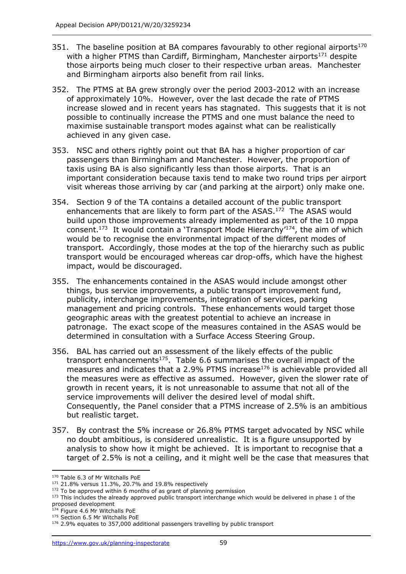- 351. The baseline position at BA compares favourably to other regional airports<sup>170</sup> with a higher PTMS than Cardiff, Birmingham, Manchester airports<sup>171</sup> despite those airports being much closer to their respective urban areas. Manchester and Birmingham airports also benefit from rail links.
- 352. The PTMS at BA grew strongly over the period 2003-2012 with an increase of approximately 10%. However, over the last decade the rate of PTMS increase slowed and in recent years has stagnated. This suggests that it is not possible to continually increase the PTMS and one must balance the need to maximise sustainable transport modes against what can be realistically achieved in any given case.
- 353. NSC and others rightly point out that BA has a higher proportion of car passengers than Birmingham and Manchester. However, the proportion of taxis using BA is also significantly less than those airports. That is an important consideration because taxis tend to make two round trips per airport visit whereas those arriving by car (and parking at the airport) only make one.
- 354. Section 9 of the TA contains a detailed account of the public transport enhancements that are likely to form part of the ASAS.<sup>172</sup> The ASAS would build upon those improvements already implemented as part of the 10 mppa consent. 173 It would contain a 'Transport Mode Hierarchy'<sup>174</sup>, the aim of which would be to recognise the environmental impact of the different modes of transport. Accordingly, those modes at the top of the hierarchy such as public transport would be encouraged whereas car drop-offs, which have the highest impact, would be discouraged.
- 355. The enhancements contained in the ASAS would include amongst other things, bus service improvements, a public transport improvement fund, publicity, interchange improvements, integration of services, parking management and pricing controls. These enhancements would target those geographic areas with the greatest potential to achieve an increase in patronage. The exact scope of the measures contained in the ASAS would be determined in consultation with a Surface Access Steering Group.
- 356. BAL has carried out an assessment of the likely effects of the public transport enhancements<sup>175</sup>. Table 6.6 summarises the overall impact of the measures and indicates that a 2.9% PTMS increase $176$  is achievable provided all the measures were as effective as assumed. However, given the slower rate of growth in recent years, it is not unreasonable to assume that not all of the service improvements will deliver the desired level of modal shift. Consequently, the Panel consider that a PTMS increase of 2.5% is an ambitious but realistic target.
- 357. By contrast the 5% increase or 26.8% PTMS target advocated by NSC while no doubt ambitious, is considered unrealistic. It is a figure unsupported by analysis to show how it might be achieved. It is important to recognise that a target of 2.5% is not a ceiling, and it might well be the case that measures that

<sup>170</sup> Table 6.3 of Mr Witchalls PoE

<sup>171</sup> 21.8% versus 11.3%, 20.7% and 19.8% respectively

 $172$  To be approved within 6 months of as grant of planning permission

<sup>&</sup>lt;sup>173</sup> This includes the already approved public transport interchange which would be delivered in phase 1 of the proposed development

<sup>174</sup> Figure 4.6 Mr Witchalls PoE

<sup>&</sup>lt;sup>175</sup> Section 6.5 Mr Witchalls PoE

<sup>&</sup>lt;sup>176</sup> 2.9% equates to 357,000 additional passengers travelling by public transport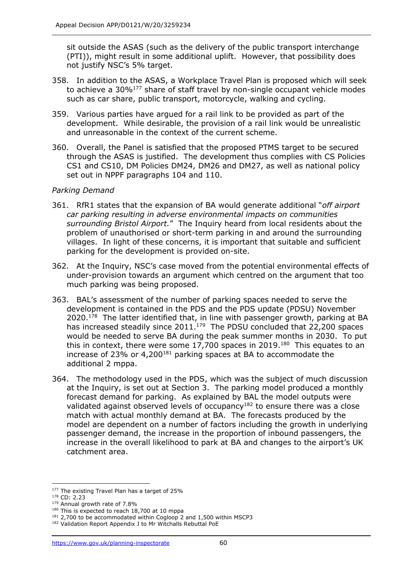sit outside the ASAS (such as the delivery of the public transport interchange (PTI)), might result in some additional uplift. However, that possibility does not justify NSC's 5% target.

- 358. In addition to the ASAS, a Workplace Travel Plan is proposed which will seek to achieve a  $30\%^{177}$  share of staff travel by non-single occupant vehicle modes such as car share, public transport, motorcycle, walking and cycling.
- 359. Various parties have argued for a rail link to be provided as part of the development. While desirable, the provision of a rail link would be unrealistic and unreasonable in the context of the current scheme.
- 360. Overall, the Panel is satisfied that the proposed PTMS target to be secured through the ASAS is justified. The development thus complies with CS Policies CS1 and CS10, DM Policies DM24, DM26 and DM27, as well as national policy set out in NPPF paragraphs 104 and 110.

# *Parking Demand*

- 361. RfR1 states that the expansion of BA would generate additional "*off airport car parking resulting in adverse environmental impacts on communities surrounding Bristol Airport.*" The Inquiry heard from local residents about the problem of unauthorised or short-term parking in and around the surrounding villages. In light of these concerns, it is important that suitable and sufficient parking for the development is provided on-site.
- 362. At the Inquiry, NSC's case moved from the potential environmental effects of under-provision towards an argument which centred on the argument that too much parking was being proposed.
- 363. BAL's assessment of the number of parking spaces needed to serve the development is contained in the PDS and the PDS update (PDSU) November 2020.<sup>178</sup> The latter identified that, in line with passenger growth, parking at BA has increased steadily since 2011.<sup>179</sup> The PDSU concluded that 22,200 spaces would be needed to serve BA during the peak summer months in 2030. To put this in context, there were some 17,700 spaces in 2019.<sup>180</sup> This equates to an increase of 23% or  $4,200^{181}$  parking spaces at BA to accommodate the additional 2 mppa.
- 364. The methodology used in the PDS, which was the subject of much discussion at the Inquiry, is set out at Section 3. The parking model produced a monthly forecast demand for parking. As explained by BAL the model outputs were validated against observed levels of occupancy $182$  to ensure there was a close match with actual monthly demand at BA. The forecasts produced by the model are dependent on a number of factors including the growth in underlying passenger demand, the increase in the proportion of inbound passengers, the increase in the overall likelihood to park at BA and changes to the airport's UK catchment area.

<sup>177</sup> The existing Travel Plan has a target of 25%

<sup>178</sup> CD: 2.23

<sup>179</sup> Annual growth rate of 7.8%

<sup>&</sup>lt;sup>180</sup> This is expected to reach 18,700 at 10 mppa

<sup>&</sup>lt;sup>181</sup> 2,700 to be accommodated within Cogloop 2 and 1,500 within MSCP3

<sup>182</sup> Validation Report Appendix J to Mr Witchalls Rebuttal PoE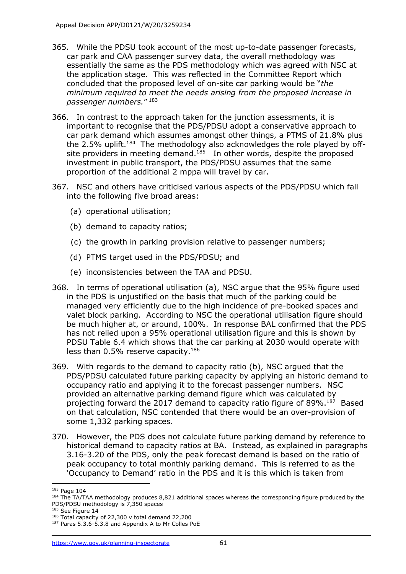- 365. While the PDSU took account of the most up-to-date passenger forecasts, car park and CAA passenger survey data, the overall methodology was essentially the same as the PDS methodology which was agreed with NSC at the application stage. This was reflected in the Committee Report which concluded that the proposed level of on-site car parking would be "*the minimum required to meet the needs arising from the proposed increase in passenger numbers.*" 183
- 366. In contrast to the approach taken for the junction assessments, it is important to recognise that the PDS/PDSU adopt a conservative approach to car park demand which assumes amongst other things, a PTMS of 21.8% plus the 2.5% uplift.<sup>184</sup> The methodology also acknowledges the role played by offsite providers in meeting demand.<sup>185</sup> In other words, despite the proposed investment in public transport, the PDS/PDSU assumes that the same proportion of the additional 2 mppa will travel by car.
- 367. NSC and others have criticised various aspects of the PDS/PDSU which fall into the following five broad areas:
	- (a) operational utilisation;
	- (b) demand to capacity ratios;
	- (c) the growth in parking provision relative to passenger numbers;
	- (d) PTMS target used in the PDS/PDSU; and
	- (e) inconsistencies between the TAA and PDSU.
- 368. In terms of operational utilisation (a), NSC argue that the 95% figure used in the PDS is unjustified on the basis that much of the parking could be managed very efficiently due to the high incidence of pre-booked spaces and valet block parking. According to NSC the operational utilisation figure should be much higher at, or around, 100%. In response BAL confirmed that the PDS has not relied upon a 95% operational utilisation figure and this is shown by PDSU Table 6.4 which shows that the car parking at 2030 would operate with less than 0.5% reserve capacity.<sup>186</sup>
- 369. With regards to the demand to capacity ratio (b), NSC argued that the PDS/PDSU calculated future parking capacity by applying an historic demand to occupancy ratio and applying it to the forecast passenger numbers. NSC provided an alternative parking demand figure which was calculated by projecting forward the 2017 demand to capacity ratio figure of 89%. 187 Based on that calculation, NSC contended that there would be an over-provision of some 1,332 parking spaces.
- 370. However, the PDS does not calculate future parking demand by reference to historical demand to capacity ratios at BA. Instead, as explained in paragraphs 3.16-3.20 of the PDS, only the peak forecast demand is based on the ratio of peak occupancy to total monthly parking demand. This is referred to as the 'Occupancy to Demand' ratio in the PDS and it is this which is taken from

<sup>&</sup>lt;sup>183</sup> Page 104

<sup>&</sup>lt;sup>184</sup> The TA/TAA methodology produces 8,821 additional spaces whereas the corresponding figure produced by the PDS/PDSU methodology is 7,350 spaces

<sup>&</sup>lt;sup>185</sup> See Figure 14

<sup>186</sup> Total capacity of 22,300 v total demand 22,200

<sup>187</sup> Paras 5.3.6-5.3.8 and Appendix A to Mr Colles PoE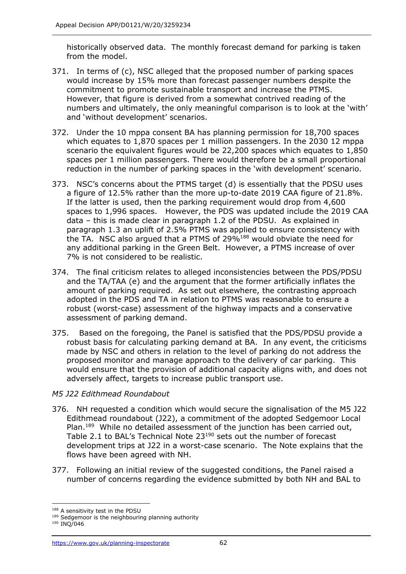historically observed data. The monthly forecast demand for parking is taken from the model.

- 371. In terms of (c), NSC alleged that the proposed number of parking spaces would increase by 15% more than forecast passenger numbers despite the commitment to promote sustainable transport and increase the PTMS. However, that figure is derived from a somewhat contrived reading of the numbers and ultimately, the only meaningful comparison is to look at the 'with' and 'without development' scenarios.
- 372. Under the 10 mppa consent BA has planning permission for 18,700 spaces which equates to 1,870 spaces per 1 million passengers. In the 2030 12 mppa scenario the equivalent figures would be 22,200 spaces which equates to 1,850 spaces per 1 million passengers. There would therefore be a small proportional reduction in the number of parking spaces in the 'with development' scenario.
- 373. NSC's concerns about the PTMS target (d) is essentially that the PDSU uses a figure of 12.5% rather than the more up-to-date 2019 CAA figure of 21.8%. If the latter is used, then the parking requirement would drop from 4,600 spaces to 1,996 spaces. However, the PDS was updated include the 2019 CAA data – this is made clear in paragraph 1.2 of the PDSU. As explained in paragraph 1.3 an uplift of 2.5% PTMS was applied to ensure consistency with the TA. NSC also argued that a PTMS of 29%<sup>188</sup> would obviate the need for any additional parking in the Green Belt. However, a PTMS increase of over 7% is not considered to be realistic.
- 374. The final criticism relates to alleged inconsistencies between the PDS/PDSU and the TA/TAA (e) and the argument that the former artificially inflates the amount of parking required. As set out elsewhere, the contrasting approach adopted in the PDS and TA in relation to PTMS was reasonable to ensure a robust (worst-case) assessment of the highway impacts and a conservative assessment of parking demand.
- 375. Based on the foregoing, the Panel is satisfied that the PDS/PDSU provide a robust basis for calculating parking demand at BA. In any event, the criticisms made by NSC and others in relation to the level of parking do not address the proposed monitor and manage approach to the delivery of car parking. This would ensure that the provision of additional capacity aligns with, and does not adversely affect, targets to increase public transport use.

# *M5 J22 Edithmead Roundabout*

- 376. NH requested a condition which would secure the signalisation of the M5 J22 Edithmead roundabout (J22), a commitment of the adopted Sedgemoor Local Plan.<sup>189</sup> While no detailed assessment of the junction has been carried out, Table 2.1 to BAL's Technical Note 23<sup>190</sup> sets out the number of forecast development trips at J22 in a worst-case scenario. The Note explains that the flows have been agreed with NH.
- 377. Following an initial review of the suggested conditions, the Panel raised a number of concerns regarding the evidence submitted by both NH and BAL to

<sup>188</sup> A sensitivity test in the PDSU

<sup>&</sup>lt;sup>189</sup> Sedgemoor is the neighbouring planning authority

<sup>190</sup> INQ/046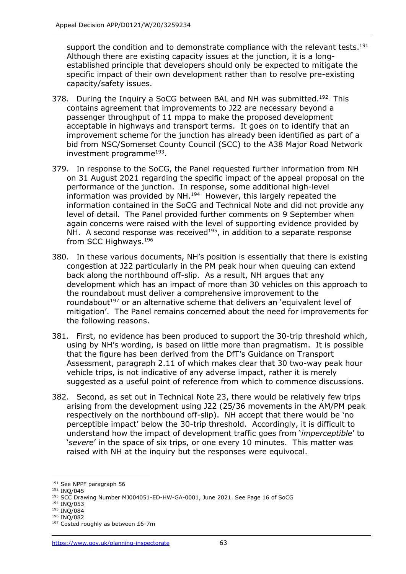support the condition and to demonstrate compliance with the relevant tests.<sup>191</sup> Although there are existing capacity issues at the junction, it is a longestablished principle that developers should only be expected to mitigate the specific impact of their own development rather than to resolve pre-existing capacity/safety issues.

- 378. During the Inquiry a SoCG between BAL and NH was submitted.<sup>192</sup> This contains agreement that improvements to J22 are necessary beyond a passenger throughput of 11 mppa to make the proposed development acceptable in highways and transport terms. It goes on to identify that an improvement scheme for the junction has already been identified as part of a bid from NSC/Somerset County Council (SCC) to the A38 Major Road Network investment programme<sup>193</sup>.
- 379. In response to the SoCG, the Panel requested further information from NH on 31 August 2021 regarding the specific impact of the appeal proposal on the performance of the junction. In response, some additional high-level information was provided by NH. 194 However, this largely repeated the information contained in the SoCG and Technical Note and did not provide any level of detail. The Panel provided further comments on 9 September when again concerns were raised with the level of supporting evidence provided by NH. A second response was received<sup>195</sup>, in addition to a separate response from SCC Highways.<sup>196</sup>
- 380. In these various documents, NH's position is essentially that there is existing congestion at J22 particularly in the PM peak hour when queuing can extend back along the northbound off-slip. As a result, NH argues that any development which has an impact of more than 30 vehicles on this approach to the roundabout must deliver a comprehensive improvement to the roundabout<sup>197</sup> or an alternative scheme that delivers an 'equivalent level of mitigation'. The Panel remains concerned about the need for improvements for the following reasons.
- 381. First, no evidence has been produced to support the 30-trip threshold which, using by NH's wording, is based on little more than pragmatism. It is possible that the figure has been derived from the DfT's Guidance on Transport Assessment, paragraph 2.11 of which makes clear that 30 two-way peak hour vehicle trips, is not indicative of any adverse impact, rather it is merely suggested as a useful point of reference from which to commence discussions.
- 382. Second, as set out in Technical Note 23, there would be relatively few trips arising from the development using J22 (25/36 movements in the AM/PM peak respectively on the northbound off-slip). NH accept that there would be 'no perceptible impact' below the 30-trip threshold. Accordingly, it is difficult to understand how the impact of development traffic goes from '*imperceptible*' to '*severe*' in the space of six trips, or one every 10 minutes. This matter was raised with NH at the inquiry but the responses were equivocal.

<sup>195</sup> INQ/084

<sup>191</sup> See NPPF paragraph 56

<sup>192</sup> INQ/045

<sup>193</sup> SCC Drawing Number MJ004051-ED-HW-GA-0001, June 2021. See Page 16 of SoCG

<sup>194</sup> INQ/053

<sup>196</sup> INQ/082

<sup>&</sup>lt;sup>197</sup> Costed roughly as between £6-7m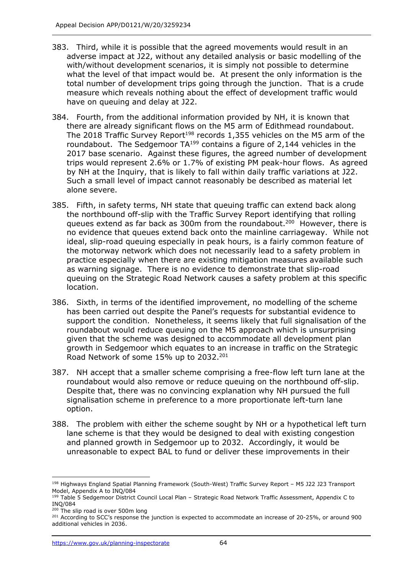- 383. Third, while it is possible that the agreed movements would result in an adverse impact at J22, without any detailed analysis or basic modelling of the with/without development scenarios, it is simply not possible to determine what the level of that impact would be. At present the only information is the total number of development trips going through the junction. That is a crude measure which reveals nothing about the effect of development traffic would have on queuing and delay at J22.
- 384. Fourth, from the additional information provided by NH, it is known that there are already significant flows on the M5 arm of Edithmead roundabout. The 2018 Traffic Survey Report<sup>198</sup> records 1,355 vehicles on the M5 arm of the roundabout. The Sedgemoor  $TA^{199}$  contains a figure of 2,144 vehicles in the 2017 base scenario. Against these figures, the agreed number of development trips would represent 2.6% or 1.7% of existing PM peak-hour flows. As agreed by NH at the Inquiry, that is likely to fall within daily traffic variations at J22. Such a small level of impact cannot reasonably be described as material let alone severe.
- 385. Fifth, in safety terms, NH state that queuing traffic can extend back along the northbound off-slip with the Traffic Survey Report identifying that rolling queues extend as far back as 300m from the roundabout.<sup>200</sup> However, there is no evidence that queues extend back onto the mainline carriageway. While not ideal, slip-road queuing especially in peak hours, is a fairly common feature of the motorway network which does not necessarily lead to a safety problem in practice especially when there are existing mitigation measures available such as warning signage. There is no evidence to demonstrate that slip-road queuing on the Strategic Road Network causes a safety problem at this specific location.
- 386. Sixth, in terms of the identified improvement, no modelling of the scheme has been carried out despite the Panel's requests for substantial evidence to support the condition. Nonetheless, it seems likely that full signalisation of the roundabout would reduce queuing on the M5 approach which is unsurprising given that the scheme was designed to accommodate all development plan growth in Sedgemoor which equates to an increase in traffic on the Strategic Road Network of some 15% up to 2032. 201
- 387. NH accept that a smaller scheme comprising a free-flow left turn lane at the roundabout would also remove or reduce queuing on the northbound off-slip. Despite that, there was no convincing explanation why NH pursued the full signalisation scheme in preference to a more proportionate left-turn lane option.
- 388. The problem with either the scheme sought by NH or a hypothetical left turn lane scheme is that they would be designed to deal with existing congestion and planned growth in Sedgemoor up to 2032. Accordingly, it would be unreasonable to expect BAL to fund or deliver these improvements in their

<sup>198</sup> Highways England Spatial Planning Framework (South-West) Traffic Survey Report – M5 J22 J23 Transport Model, Appendix A to INQ/084

<sup>&</sup>lt;sup>199</sup> Table 5 Sedgemoor District Council Local Plan – Strategic Road Network Traffic Assessment, Appendix C to INQ/084

<sup>&</sup>lt;sup>200</sup> The slip road is over 500m long

<sup>&</sup>lt;sup>201</sup> According to SCC's response the junction is expected to accommodate an increase of 20-25%, or around 900 additional vehicles in 2036.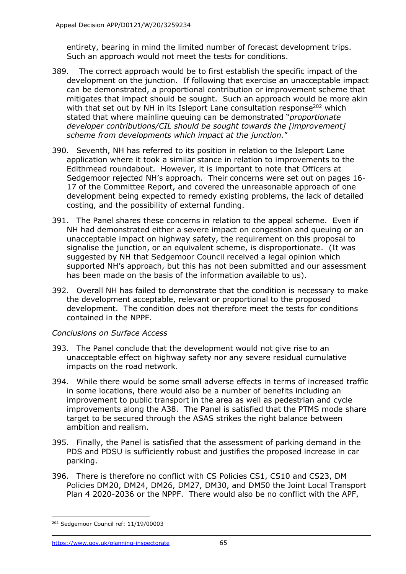entirety, bearing in mind the limited number of forecast development trips. Such an approach would not meet the tests for conditions.

- 389. The correct approach would be to first establish the specific impact of the development on the junction. If following that exercise an unacceptable impact can be demonstrated, a proportional contribution or improvement scheme that mitigates that impact should be sought. Such an approach would be more akin with that set out by NH in its Isleport Lane consultation response<sup>202</sup> which stated that where mainline queuing can be demonstrated "*proportionate developer contributions/CIL should be sought towards the [improvement] scheme from developments which impact at the junction.*"
- 390. Seventh, NH has referred to its position in relation to the Isleport Lane application where it took a similar stance in relation to improvements to the Edithmead roundabout. However, it is important to note that Officers at Sedgemoor rejected NH's approach. Their concerns were set out on pages 16- 17 of the Committee Report, and covered the unreasonable approach of one development being expected to remedy existing problems, the lack of detailed costing, and the possibility of external funding.
- 391. The Panel shares these concerns in relation to the appeal scheme. Even if NH had demonstrated either a severe impact on congestion and queuing or an unacceptable impact on highway safety, the requirement on this proposal to signalise the junction, or an equivalent scheme, is disproportionate. (It was suggested by NH that Sedgemoor Council received a legal opinion which supported NH's approach, but this has not been submitted and our assessment has been made on the basis of the information available to us).
- 392. Overall NH has failed to demonstrate that the condition is necessary to make the development acceptable, relevant or proportional to the proposed development. The condition does not therefore meet the tests for conditions contained in the NPPF.

### *Conclusions on Surface Access*

- 393. The Panel conclude that the development would not give rise to an unacceptable effect on highway safety nor any severe residual cumulative impacts on the road network.
- 394. While there would be some small adverse effects in terms of increased traffic in some locations, there would also be a number of benefits including an improvement to public transport in the area as well as pedestrian and cycle improvements along the A38. The Panel is satisfied that the PTMS mode share target to be secured through the ASAS strikes the right balance between ambition and realism.
- 395. Finally, the Panel is satisfied that the assessment of parking demand in the PDS and PDSU is sufficiently robust and justifies the proposed increase in car parking.
- 396. There is therefore no conflict with CS Policies CS1, CS10 and CS23, DM Policies DM20, DM24, DM26, DM27, DM30, and DM50 the Joint Local Transport Plan 4 2020-2036 or the NPPF. There would also be no conflict with the APF,

<sup>&</sup>lt;sup>202</sup> Sedgemoor Council ref: 11/19/00003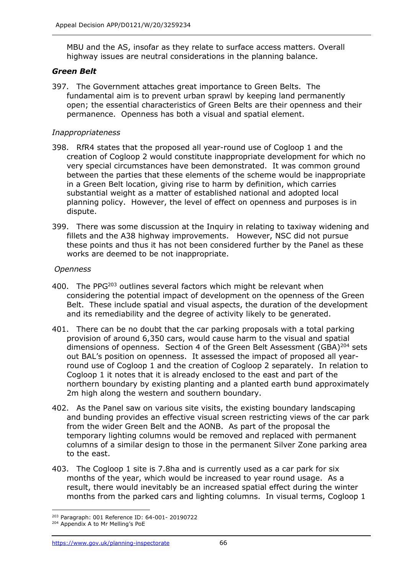MBU and the AS, insofar as they relate to surface access matters. Overall highway issues are neutral considerations in the planning balance.

### *Green Belt*

397. The Government attaches great importance to Green Belts. The fundamental aim is to prevent urban sprawl by keeping land permanently open; the essential characteristics of Green Belts are their openness and their permanence. Openness has both a visual and spatial element.

### *Inappropriateness*

- 398. RfR4 states that the proposed all year-round use of Cogloop 1 and the creation of Cogloop 2 would constitute inappropriate development for which no very special circumstances have been demonstrated. It was common ground between the parties that these elements of the scheme would be inappropriate in a Green Belt location, giving rise to harm by definition, which carries substantial weight as a matter of established national and adopted local planning policy. However, the level of effect on openness and purposes is in dispute.
- 399. There was some discussion at the Inquiry in relating to taxiway widening and fillets and the A38 highway improvements. However, NSC did not pursue these points and thus it has not been considered further by the Panel as these works are deemed to be not inappropriate.

### *Openness*

- 400. The PP $G^{203}$  outlines several factors which might be relevant when considering the potential impact of development on the openness of the Green Belt. These include spatial and visual aspects, the duration of the development and its remediability and the degree of activity likely to be generated.
- 401. There can be no doubt that the car parking proposals with a total parking provision of around 6,350 cars, would cause harm to the visual and spatial dimensions of openness. Section 4 of the Green Belt Assessment (GBA)<sup>204</sup> sets out BAL's position on openness. It assessed the impact of proposed all yearround use of Cogloop 1 and the creation of Cogloop 2 separately. In relation to Cogloop 1 it notes that it is already enclosed to the east and part of the northern boundary by existing planting and a planted earth bund approximately 2m high along the western and southern boundary.
- 402. As the Panel saw on various site visits, the existing boundary landscaping and bunding provides an effective visual screen restricting views of the car park from the wider Green Belt and the AONB. As part of the proposal the temporary lighting columns would be removed and replaced with permanent columns of a similar design to those in the permanent Silver Zone parking area to the east.
- 403. The Cogloop 1 site is 7.8ha and is currently used as a car park for six months of the year, which would be increased to year round usage. As a result, there would inevitably be an increased spatial effect during the winter months from the parked cars and lighting columns. In visual terms, Cogloop 1

<sup>203</sup> Paragraph: 001 Reference ID: 64-001- 20190722

<sup>204</sup> Appendix A to Mr Melling's PoE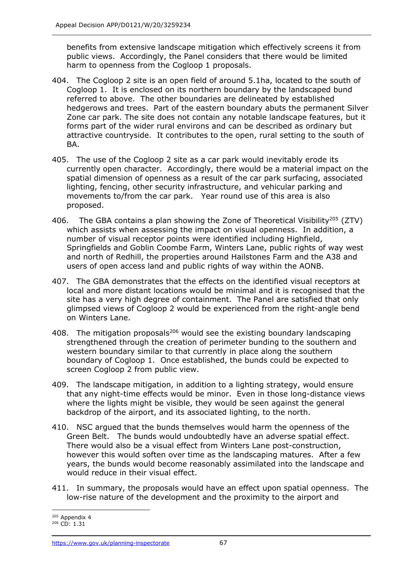benefits from extensive landscape mitigation which effectively screens it from public views. Accordingly, the Panel considers that there would be limited harm to openness from the Cogloop 1 proposals.

- 404. The Cogloop 2 site is an open field of around 5.1ha, located to the south of Cogloop 1. It is enclosed on its northern boundary by the landscaped bund referred to above. The other boundaries are delineated by established hedgerows and trees. Part of the eastern boundary abuts the permanent Silver Zone car park. The site does not contain any notable landscape features, but it forms part of the wider rural environs and can be described as ordinary but attractive countryside. It contributes to the open, rural setting to the south of BA.
- 405. The use of the Cogloop 2 site as a car park would inevitably erode its currently open character. Accordingly, there would be a material impact on the spatial dimension of openness as a result of the car park surfacing, associated lighting, fencing, other security infrastructure, and vehicular parking and movements to/from the car park. Year round use of this area is also proposed.
- 406. The GBA contains a plan showing the Zone of Theoretical Visibility<sup>205</sup> (ZTV) which assists when assessing the impact on visual openness. In addition, a number of visual receptor points were identified including Highfield, Springfields and Goblin Coombe Farm, Winters Lane, public rights of way west and north of Redhill, the properties around Hailstones Farm and the A38 and users of open access land and public rights of way within the AONB.
- 407. The GBA demonstrates that the effects on the identified visual receptors at local and more distant locations would be minimal and it is recognised that the site has a very high degree of containment. The Panel are satisfied that only glimpsed views of Cogloop 2 would be experienced from the right-angle bend on Winters Lane.
- 408. The mitigation proposals<sup>206</sup> would see the existing boundary landscaping strengthened through the creation of perimeter bunding to the southern and western boundary similar to that currently in place along the southern boundary of Cogloop 1. Once established, the bunds could be expected to screen Cogloop 2 from public view.
- 409. The landscape mitigation, in addition to a lighting strategy, would ensure that any night-time effects would be minor. Even in those long-distance views where the lights might be visible, they would be seen against the general backdrop of the airport, and its associated lighting, to the north.
- 410. NSC argued that the bunds themselves would harm the openness of the Green Belt. The bunds would undoubtedly have an adverse spatial effect. There would also be a visual effect from Winters Lane post-construction, however this would soften over time as the landscaping matures. After a few years, the bunds would become reasonably assimilated into the landscape and would reduce in their visual effect.
- 411. In summary, the proposals would have an effect upon spatial openness. The low-rise nature of the development and the proximity to the airport and

<sup>205</sup> Appendix 4

<sup>206</sup> CD: 1.31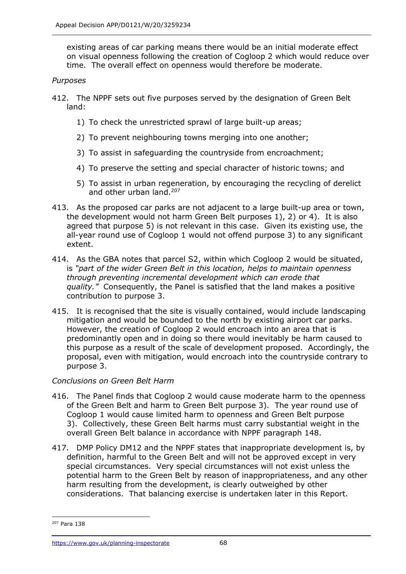existing areas of car parking means there would be an initial moderate effect on visual openness following the creation of Cogloop 2 which would reduce over time. The overall effect on openness would therefore be moderate.

#### *Purposes*

- 412. The NPPF sets out five purposes served by the designation of Green Belt land:
	- 1) To check the unrestricted sprawl of large built-up areas;
	- 2) To prevent neighbouring towns merging into one another;
	- 3) To assist in safeguarding the countryside from encroachment;
	- 4) To preserve the setting and special character of historic towns; and
	- 5) To assist in urban regeneration, by encouraging the recycling of derelict and other urban land.<sup>207</sup>
- 413. As the proposed car parks are not adjacent to a large built-up area or town, the development would not harm Green Belt purposes 1), 2) or 4). It is also agreed that purpose 5) is not relevant in this case. Given its existing use, the all-year round use of Cogloop 1 would not offend purpose 3) to any significant extent.
- 414. As the GBA notes that parcel S2, within which Cogloop 2 would be situated, is *"part of the wider Green Belt in this location, helps to maintain openness through preventing incremental development which can erode that quality."* Consequently, the Panel is satisfied that the land makes a positive contribution to purpose 3.
- 415. It is recognised that the site is visually contained, would include landscaping mitigation and would be bounded to the north by existing airport car parks. However, the creation of Cogloop 2 would encroach into an area that is predominantly open and in doing so there would inevitably be harm caused to this purpose as a result of the scale of development proposed. Accordingly, the proposal, even with mitigation, would encroach into the countryside contrary to purpose 3.

### *Conclusions on Green Belt Harm*

- 416. The Panel finds that Cogloop 2 would cause moderate harm to the openness of the Green Belt and harm to Green Belt purpose 3). The year round use of Cogloop 1 would cause limited harm to openness and Green Belt purpose 3). Collectively, these Green Belt harms must carry substantial weight in the overall Green Belt balance in accordance with NPPF paragraph 148.
- 417. DMP Policy DM12 and the NPPF states that inappropriate development is, by definition, harmful to the Green Belt and will not be approved except in very special circumstances. Very special circumstances will not exist unless the potential harm to the Green Belt by reason of inappropriateness, and any other harm resulting from the development, is clearly outweighed by other considerations. That balancing exercise is undertaken later in this Report.

<sup>207</sup> Para 138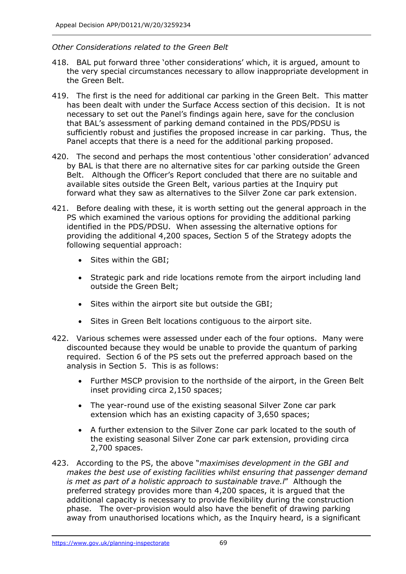### *Other Considerations related to the Green Belt*

- 418. BAL put forward three 'other considerations' which, it is argued, amount to the very special circumstances necessary to allow inappropriate development in the Green Belt.
- 419. The first is the need for additional car parking in the Green Belt. This matter has been dealt with under the Surface Access section of this decision. It is not necessary to set out the Panel's findings again here, save for the conclusion that BAL's assessment of parking demand contained in the PDS/PDSU is sufficiently robust and justifies the proposed increase in car parking. Thus, the Panel accepts that there is a need for the additional parking proposed.
- 420. The second and perhaps the most contentious 'other consideration' advanced by BAL is that there are no alternative sites for car parking outside the Green Belt. Although the Officer's Report concluded that there are no suitable and available sites outside the Green Belt, various parties at the Inquiry put forward what they saw as alternatives to the Silver Zone car park extension.
- 421. Before dealing with these, it is worth setting out the general approach in the PS which examined the various options for providing the additional parking identified in the PDS/PDSU. When assessing the alternative options for providing the additional 4,200 spaces, Section 5 of the Strategy adopts the following sequential approach:
	- Sites within the GBI;
	- Strategic park and ride locations remote from the airport including land outside the Green Belt;
	- Sites within the airport site but outside the GBI;
	- Sites in Green Belt locations contiguous to the airport site.
- 422. Various schemes were assessed under each of the four options. Many were discounted because they would be unable to provide the quantum of parking required. Section 6 of the PS sets out the preferred approach based on the analysis in Section 5. This is as follows:
	- Further MSCP provision to the northside of the airport, in the Green Belt inset providing circa 2,150 spaces;
	- The year-round use of the existing seasonal Silver Zone car park extension which has an existing capacity of 3,650 spaces;
	- A further extension to the Silver Zone car park located to the south of the existing seasonal Silver Zone car park extension, providing circa 2,700 spaces.
- 423. According to the PS, the above "*maximises development in the GBI and makes the best use of existing facilities whilst ensuring that passenger demand is met as part of a holistic approach to sustainable trave.l*" Although the preferred strategy provides more than 4,200 spaces, it is argued that the additional capacity is necessary to provide flexibility during the construction phase. The over-provision would also have the benefit of drawing parking away from unauthorised locations which, as the Inquiry heard, is a significant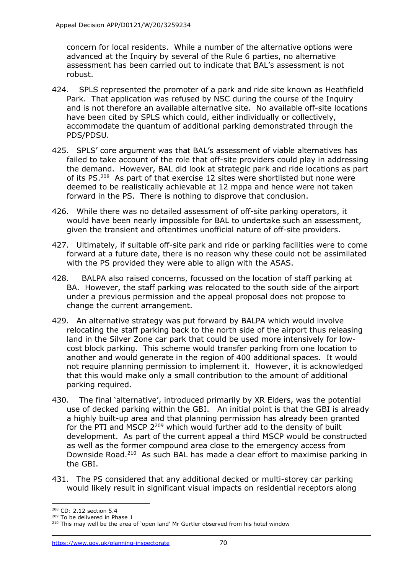concern for local residents. While a number of the alternative options were advanced at the Inquiry by several of the Rule 6 parties, no alternative assessment has been carried out to indicate that BAL's assessment is not robust.

- 424. SPLS represented the promoter of a park and ride site known as Heathfield Park. That application was refused by NSC during the course of the Inquiry and is not therefore an available alternative site. No available off-site locations have been cited by SPLS which could, either individually or collectively, accommodate the quantum of additional parking demonstrated through the PDS/PDSU.
- 425. SPLS' core argument was that BAL's assessment of viable alternatives has failed to take account of the role that off-site providers could play in addressing the demand. However, BAL did look at strategic park and ride locations as part of its PS.<sup>208</sup> As part of that exercise 12 sites were shortlisted but none were deemed to be realistically achievable at 12 mppa and hence were not taken forward in the PS. There is nothing to disprove that conclusion.
- 426. While there was no detailed assessment of off-site parking operators, it would have been nearly impossible for BAL to undertake such an assessment, given the transient and oftentimes unofficial nature of off-site providers.
- 427. Ultimately, if suitable off-site park and ride or parking facilities were to come forward at a future date, there is no reason why these could not be assimilated with the PS provided they were able to align with the ASAS.
- 428. BALPA also raised concerns, focussed on the location of staff parking at BA. However, the staff parking was relocated to the south side of the airport under a previous permission and the appeal proposal does not propose to change the current arrangement.
- 429. An alternative strategy was put forward by BALPA which would involve relocating the staff parking back to the north side of the airport thus releasing land in the Silver Zone car park that could be used more intensively for lowcost block parking. This scheme would transfer parking from one location to another and would generate in the region of 400 additional spaces. It would not require planning permission to implement it. However, it is acknowledged that this would make only a small contribution to the amount of additional parking required.
- 430. The final 'alternative', introduced primarily by XR Elders, was the potential use of decked parking within the GBI. An initial point is that the GBI is already a highly built-up area and that planning permission has already been granted for the PTI and MSCP  $2^{209}$  which would further add to the density of built development. As part of the current appeal a third MSCP would be constructed as well as the former compound area close to the emergency access from Downside Road. <sup>210</sup> As such BAL has made a clear effort to maximise parking in the GBI.
- 431. The PS considered that any additional decked or multi-storey car parking would likely result in significant visual impacts on residential receptors along

<sup>208</sup> CD: 2.12 section 5.4

<sup>209</sup> To be delivered in Phase 1

<sup>&</sup>lt;sup>210</sup> This may well be the area of 'open land' Mr Gurtler observed from his hotel window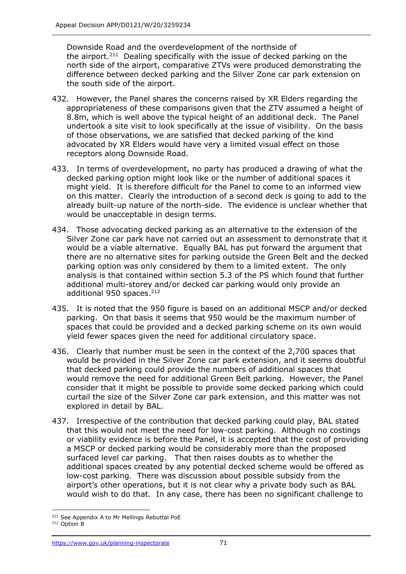Downside Road and the overdevelopment of the northside of the airport.<sup>211</sup> Dealing specifically with the issue of decked parking on the north side of the airport, comparative ZTVs were produced demonstrating the difference between decked parking and the Silver Zone car park extension on the south side of the airport.

- 432. However, the Panel shares the concerns raised by XR Elders regarding the appropriateness of these comparisons given that the ZTV assumed a height of 8.8m, which is well above the typical height of an additional deck. The Panel undertook a site visit to look specifically at the issue of visibility. On the basis of those observations, we are satisfied that decked parking of the kind advocated by XR Elders would have very a limited visual effect on those receptors along Downside Road.
- 433. In terms of overdevelopment, no party has produced a drawing of what the decked parking option might look like or the number of additional spaces it might yield. It is therefore difficult for the Panel to come to an informed view on this matter. Clearly the introduction of a second deck is going to add to the already built-up nature of the north-side. The evidence is unclear whether that would be unacceptable in design terms.
- 434. Those advocating decked parking as an alternative to the extension of the Silver Zone car park have not carried out an assessment to demonstrate that it would be a viable alternative. Equally BAL has put forward the argument that there are no alternative sites for parking outside the Green Belt and the decked parking option was only considered by them to a limited extent. The only analysis is that contained within section 5.3 of the PS which found that further additional multi-storey and/or decked car parking would only provide an additional 950 spaces.<sup>212</sup>
- 435. It is noted that the 950 figure is based on an additional MSCP and/or decked parking. On that basis it seems that 950 would be the maximum number of spaces that could be provided and a decked parking scheme on its own would yield fewer spaces given the need for additional circulatory space.
- 436. Clearly that number must be seen in the context of the 2,700 spaces that would be provided in the Silver Zone car park extension, and it seems doubtful that decked parking could provide the numbers of additional spaces that would remove the need for additional Green Belt parking. However, the Panel consider that it might be possible to provide some decked parking which could curtail the size of the Silver Zone car park extension, and this matter was not explored in detail by BAL.
- 437. Irrespective of the contribution that decked parking could play, BAL stated that this would not meet the need for low-cost parking. Although no costings or viability evidence is before the Panel, it is accepted that the cost of providing a MSCP or decked parking would be considerably more than the proposed surfaced level car parking. That then raises doubts as to whether the additional spaces created by any potential decked scheme would be offered as low-cost parking. There was discussion about possible subsidy from the airport's other operations, but it is not clear why a private body such as BAL would wish to do that. In any case, there has been no significant challenge to

<sup>&</sup>lt;sup>211</sup> See Appendix A to Mr Mellings Rebuttal PoE

<sup>212</sup> Option B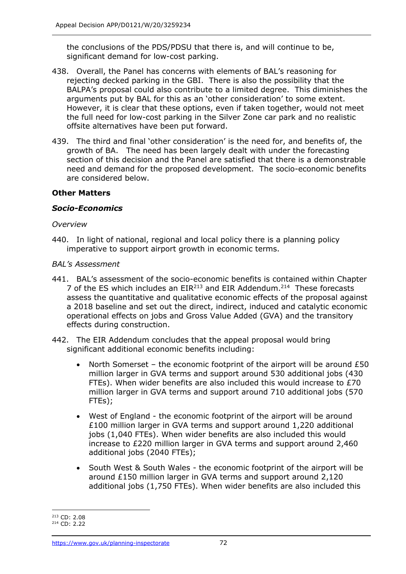the conclusions of the PDS/PDSU that there is, and will continue to be, significant demand for low-cost parking.

- 438. Overall, the Panel has concerns with elements of BAL's reasoning for rejecting decked parking in the GBI. There is also the possibility that the BALPA's proposal could also contribute to a limited degree. This diminishes the arguments put by BAL for this as an 'other consideration' to some extent. However, it is clear that these options, even if taken together, would not meet the full need for low-cost parking in the Silver Zone car park and no realistic offsite alternatives have been put forward.
- 439. The third and final 'other consideration' is the need for, and benefits of, the growth of BA. The need has been largely dealt with under the forecasting section of this decision and the Panel are satisfied that there is a demonstrable need and demand for the proposed development. The socio-economic benefits are considered below.

# **Other Matters**

### *Socio-Economics*

#### *Overview*

440. In light of national, regional and local policy there is a planning policy imperative to support airport growth in economic terms.

#### *BAL's Assessment*

- 441. BAL's assessment of the socio-economic benefits is contained within Chapter 7 of the ES which includes an  $EIR<sup>213</sup>$  and EIR Addendum.<sup>214</sup> These forecasts assess the quantitative and qualitative economic effects of the proposal against a 2018 baseline and set out the direct, indirect, induced and catalytic economic operational effects on jobs and Gross Value Added (GVA) and the transitory effects during construction.
- 442. The EIR Addendum concludes that the appeal proposal would bring significant additional economic benefits including:
	- North Somerset the economic footprint of the airport will be around £50 million larger in GVA terms and support around 530 additional jobs (430 FTEs). When wider benefits are also included this would increase to £70 million larger in GVA terms and support around 710 additional jobs (570 FTEs);
	- West of England the economic footprint of the airport will be around £100 million larger in GVA terms and support around 1,220 additional jobs (1,040 FTEs). When wider benefits are also included this would increase to £220 million larger in GVA terms and support around 2,460 additional jobs (2040 FTEs);
	- South West & South Wales the economic footprint of the airport will be around £150 million larger in GVA terms and support around 2,120 additional jobs (1,750 FTEs). When wider benefits are also included this

<sup>213</sup> CD: 2.08

<sup>214</sup> CD: 2.22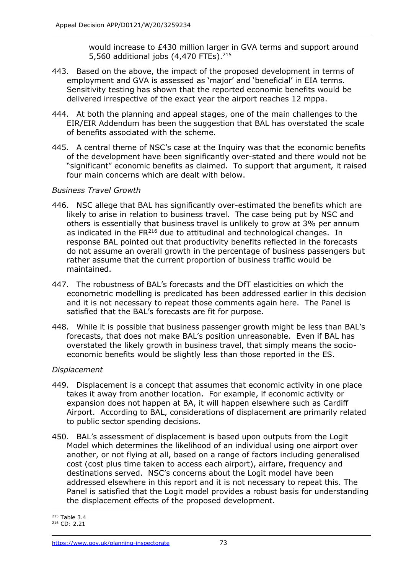would increase to £430 million larger in GVA terms and support around 5,560 additional jobs (4,470 FTEs). 215

- 443. Based on the above, the impact of the proposed development in terms of employment and GVA is assessed as 'major' and 'beneficial' in EIA terms. Sensitivity testing has shown that the reported economic benefits would be delivered irrespective of the exact year the airport reaches 12 mppa.
- 444. At both the planning and appeal stages, one of the main challenges to the EIR/EIR Addendum has been the suggestion that BAL has overstated the scale of benefits associated with the scheme.
- 445. A central theme of NSC's case at the Inquiry was that the economic benefits of the development have been significantly over-stated and there would not be "significant" economic benefits as claimed. To support that argument, it raised four main concerns which are dealt with below.

### *Business Travel Growth*

- 446. NSC allege that BAL has significantly over-estimated the benefits which are likely to arise in relation to business travel. The case being put by NSC and others is essentially that business travel is unlikely to grow at 3% per annum as indicated in the  $FR<sup>216</sup>$  due to attitudinal and technological changes. In response BAL pointed out that productivity benefits reflected in the forecasts do not assume an overall growth in the percentage of business passengers but rather assume that the current proportion of business traffic would be maintained.
- 447. The robustness of BAL's forecasts and the DfT elasticities on which the econometric modelling is predicated has been addressed earlier in this decision and it is not necessary to repeat those comments again here. The Panel is satisfied that the BAL's forecasts are fit for purpose.
- 448. While it is possible that business passenger growth might be less than BAL's forecasts, that does not make BAL's position unreasonable. Even if BAL has overstated the likely growth in business travel, that simply means the socioeconomic benefits would be slightly less than those reported in the ES.

#### *Displacement*

- 449. Displacement is a concept that assumes that economic activity in one place takes it away from another location. For example, if economic activity or expansion does not happen at BA, it will happen elsewhere such as Cardiff Airport. According to BAL, considerations of displacement are primarily related to public sector spending decisions.
- 450. BAL's assessment of displacement is based upon outputs from the Logit Model which determines the likelihood of an individual using one airport over another, or not flying at all, based on a range of factors including generalised cost (cost plus time taken to access each airport), airfare, frequency and destinations served. NSC's concerns about the Logit model have been addressed elsewhere in this report and it is not necessary to repeat this. The Panel is satisfied that the Logit model provides a robust basis for understanding the displacement effects of the proposed development.

 $215$  Table 3.4

<sup>216</sup> CD: 2.21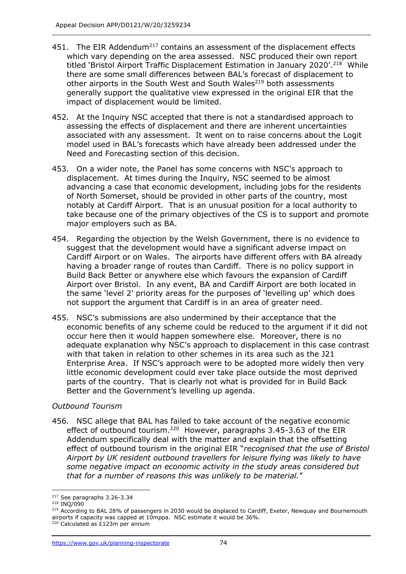- 451. The EIR Addendum<sup>217</sup> contains an assessment of the displacement effects which vary depending on the area assessed. NSC produced their own report titled 'Bristol Airport Traffic Displacement Estimation in January 2020'.<sup>218</sup> While there are some small differences between BAL's forecast of displacement to other airports in the South West and South Wales<sup>219</sup> both assessments generally support the qualitative view expressed in the original EIR that the impact of displacement would be limited.
- 452. At the Inquiry NSC accepted that there is not a standardised approach to assessing the effects of displacement and there are inherent uncertainties associated with any assessment. It went on to raise concerns about the Logit model used in BAL's forecasts which have already been addressed under the Need and Forecasting section of this decision.
- 453. On a wider note, the Panel has some concerns with NSC's approach to displacement. At times during the Inquiry, NSC seemed to be almost advancing a case that economic development, including jobs for the residents of North Somerset, should be provided in other parts of the country, most notably at Cardiff Airport. That is an unusual position for a local authority to take because one of the primary objectives of the CS is to support and promote major employers such as BA.
- 454. Regarding the objection by the Welsh Government, there is no evidence to suggest that the development would have a significant adverse impact on Cardiff Airport or on Wales. The airports have different offers with BA already having a broader range of routes than Cardiff. There is no policy support in Build Back Better or anywhere else which favours the expansion of Cardiff Airport over Bristol. In any event, BA and Cardiff Airport are both located in the same 'level 2' priority areas for the purposes of 'levelling up' which does not support the argument that Cardiff is in an area of greater need.
- 455. NSC's submissions are also undermined by their acceptance that the economic benefits of any scheme could be reduced to the argument if it did not occur here then it would happen somewhere else. Moreover, there is no adequate explanation why NSC's approach to displacement in this case contrast with that taken in relation to other schemes in its area such as the J21 Enterprise Area. If NSC's approach were to be adopted more widely then very little economic development could ever take place outside the most deprived parts of the country. That is clearly not what is provided for in Build Back Better and the Government's levelling up agenda.

#### *Outbound Tourism*

456. NSC allege that BAL has failed to take account of the negative economic effect of outbound tourism.<sup>220</sup> However, paragraphs 3.45-3.63 of the EIR Addendum specifically deal with the matter and explain that the offsetting effect of outbound tourism in the original EIR "*recognised that the use of Bristol Airport by UK resident outbound travellers for leisure flying was likely to have some negative impact on economic activity in the study areas considered but that for a number of reasons this was unlikely to be material.*"

<sup>217</sup> See paragraphs 3.26-3.34

<sup>218</sup> INQ/090

<sup>&</sup>lt;sup>219</sup> According to BAL 28% of passengers in 2030 would be displaced to Cardiff, Exeter, Newquay and Bournemouth airports if capacity was capped at 10mppa. NSC estimate it would be 36%.

<sup>220</sup> Calculated as £123m per annum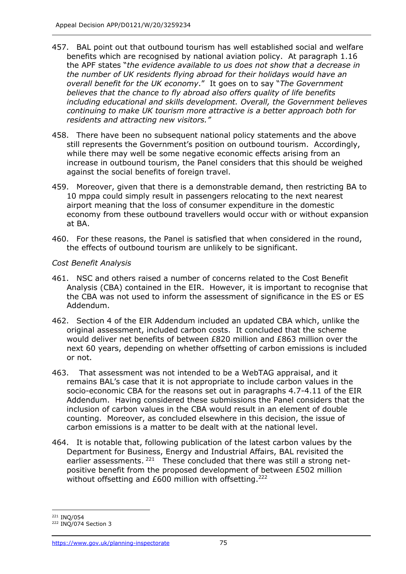- 457. BAL point out that outbound tourism has well established social and welfare benefits which are recognised by national aviation policy. At paragraph 1.16 the APF states "*the evidence available to us does not show that a decrease in the number of UK residents flying abroad for their holidays would have an overall benefit for the UK economy*." It goes on to say "*The Government believes that the chance to fly abroad also offers quality of life benefits including educational and skills development. Overall, the Government believes continuing to make UK tourism more attractive is a better approach both for residents and attracting new visitors."*
- 458. There have been no subsequent national policy statements and the above still represents the Government's position on outbound tourism. Accordingly, while there may well be some negative economic effects arising from an increase in outbound tourism, the Panel considers that this should be weighed against the social benefits of foreign travel.
- 459. Moreover, given that there is a demonstrable demand, then restricting BA to 10 mppa could simply result in passengers relocating to the next nearest airport meaning that the loss of consumer expenditure in the domestic economy from these outbound travellers would occur with or without expansion at BA.
- 460. For these reasons, the Panel is satisfied that when considered in the round, the effects of outbound tourism are unlikely to be significant.

#### *Cost Benefit Analysis*

- 461. NSC and others raised a number of concerns related to the Cost Benefit Analysis (CBA) contained in the EIR. However, it is important to recognise that the CBA was not used to inform the assessment of significance in the ES or ES Addendum.
- 462. Section 4 of the EIR Addendum included an updated CBA which, unlike the original assessment, included carbon costs. It concluded that the scheme would deliver net benefits of between £820 million and £863 million over the next 60 years, depending on whether offsetting of carbon emissions is included or not.
- 463. That assessment was not intended to be a WebTAG appraisal, and it remains BAL's case that it is not appropriate to include carbon values in the socio-economic CBA for the reasons set out in paragraphs 4.7-4.11 of the EIR Addendum. Having considered these submissions the Panel considers that the inclusion of carbon values in the CBA would result in an element of double counting. Moreover, as concluded elsewhere in this decision, the issue of carbon emissions is a matter to be dealt with at the national level.
- 464. It is notable that, following publication of the latest carbon values by the Department for Business, Energy and Industrial Affairs, BAL revisited the earlier assessments.<sup>221</sup> These concluded that there was still a strong netpositive benefit from the proposed development of between £502 million without offsetting and £600 million with offsetting.<sup>222</sup>

<sup>221</sup> INQ/054

<sup>222</sup> INQ/074 Section 3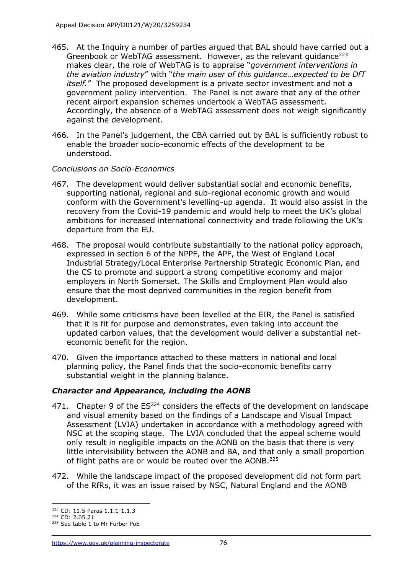- 465. At the Inquiry a number of parties argued that BAL should have carried out a Greenbook or WebTAG assessment. However, as the relevant guidance<sup>223</sup> makes clear, the role of WebTAG is to appraise "*government interventions in the aviation industry*" with "*the main user of this guidance…expected to be DfT itself.*" The proposed development is a private sector investment and not a government policy intervention. The Panel is not aware that any of the other recent airport expansion schemes undertook a WebTAG assessment. Accordingly, the absence of a WebTAG assessment does not weigh significantly against the development.
- 466. In the Panel's judgement, the CBA carried out by BAL is sufficiently robust to enable the broader socio-economic effects of the development to be understood.

#### *Conclusions on Socio-Economics*

- 467. The development would deliver substantial social and economic benefits, supporting national, regional and sub-regional economic growth and would conform with the Government's levelling-up agenda. It would also assist in the recovery from the Covid-19 pandemic and would help to meet the UK's global ambitions for increased international connectivity and trade following the UK's departure from the EU.
- 468. The proposal would contribute substantially to the national policy approach, expressed in section 6 of the NPPF, the APF, the West of England Local Industrial Strategy/Local Enterprise Partnership Strategic Economic Plan, and the CS to promote and support a strong competitive economy and major employers in North Somerset. The Skills and Employment Plan would also ensure that the most deprived communities in the region benefit from development.
- 469. While some criticisms have been levelled at the EIR, the Panel is satisfied that it is fit for purpose and demonstrates, even taking into account the updated carbon values, that the development would deliver a substantial neteconomic benefit for the region.
- 470. Given the importance attached to these matters in national and local planning policy, the Panel finds that the socio-economic benefits carry substantial weight in the planning balance.

### *Character and Appearance, including the AONB*

- 471. Chapter 9 of the  $ES^{224}$  considers the effects of the development on landscape and visual amenity based on the findings of a Landscape and Visual Impact Assessment (LVIA) undertaken in accordance with a methodology agreed with NSC at the scoping stage. The LVIA concluded that the appeal scheme would only result in negligible impacts on the AONB on the basis that there is very little intervisibility between the AONB and BA, and that only a small proportion of flight paths are or would be routed over the AONB.<sup>225</sup>
- 472. While the landscape impact of the proposed development did not form part of the RfRs, it was an issue raised by NSC, Natural England and the AONB

<sup>223</sup> CD: 11.5 Paras 1.1.1-1.1.3

<sup>224</sup> CD: 2.05.21

<sup>225</sup> See table 1 to Mr Furber PoE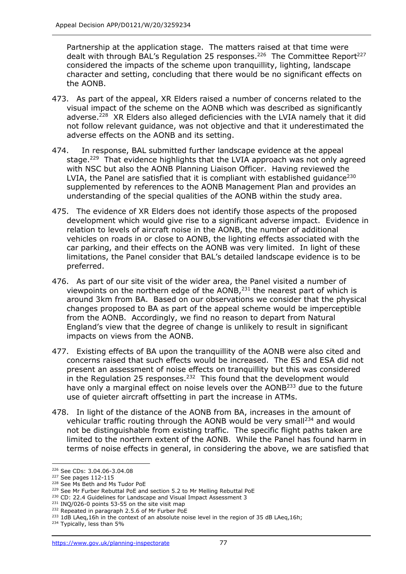Partnership at the application stage. The matters raised at that time were dealt with through BAL's Regulation 25 responses.<sup>226</sup> The Committee Report<sup>227</sup> considered the impacts of the scheme upon tranquillity, lighting, landscape character and setting, concluding that there would be no significant effects on the AONB.

- 473. As part of the appeal, XR Elders raised a number of concerns related to the visual impact of the scheme on the AONB which was described as significantly adverse.<sup>228</sup> XR Elders also alleged deficiencies with the LVIA namely that it did not follow relevant guidance, was not objective and that it underestimated the adverse effects on the AONB and its setting.
- 474. In response, BAL submitted further landscape evidence at the appeal stage.<sup>229</sup> That evidence highlights that the LVIA approach was not only agreed with NSC but also the AONB Planning Liaison Officer. Having reviewed the LVIA, the Panel are satisfied that it is compliant with established quidance<sup>230</sup> supplemented by references to the AONB Management Plan and provides an understanding of the special qualities of the AONB within the study area.
- 475. The evidence of XR Elders does not identify those aspects of the proposed development which would give rise to a significant adverse impact. Evidence in relation to levels of aircraft noise in the AONB, the number of additional vehicles on roads in or close to AONB, the lighting effects associated with the car parking, and their effects on the AONB was very limited. In light of these limitations, the Panel consider that BAL's detailed landscape evidence is to be preferred.
- 476. As part of our site visit of the wider area, the Panel visited a number of viewpoints on the northern edge of the  $AONB<sub>1</sub><sup>231</sup>$  the nearest part of which is around 3km from BA. Based on our observations we consider that the physical changes proposed to BA as part of the appeal scheme would be imperceptible from the AONB. Accordingly, we find no reason to depart from Natural England's view that the degree of change is unlikely to result in significant impacts on views from the AONB.
- 477. Existing effects of BA upon the tranquillity of the AONB were also cited and concerns raised that such effects would be increased. The ES and ESA did not present an assessment of noise effects on tranquillity but this was considered in the Regulation 25 responses.<sup>232</sup> This found that the development would have only a marginal effect on noise levels over the AONB<sup>233</sup> due to the future use of quieter aircraft offsetting in part the increase in ATMs.
- 478. In light of the distance of the AONB from BA, increases in the amount of vehicular traffic routing through the AONB would be very small<sup>234</sup> and would not be distinguishable from existing traffic. The specific flight paths taken are limited to the northern extent of the AONB. While the Panel has found harm in terms of noise effects in general, in considering the above, we are satisfied that

<sup>226</sup> See CDs: 3.04.06-3.04.08

<sup>227</sup> See pages 112-115

<sup>&</sup>lt;sup>228</sup> See Ms Beth and Ms Tudor PoE

<sup>&</sup>lt;sup>229</sup> See Mr Furber Rebuttal PoE and section 5.2 to Mr Melling Rebuttal PoE

<sup>&</sup>lt;sup>230</sup> CD: 22.4 Guidelines for Landscape and Visual Impact Assessment 3

 $231$  INQ/026-0 points 53-55 on the site visit map

<sup>&</sup>lt;sup>232</sup> Repeated in paragraph 2.5.6 of Mr Furber PoE

<sup>&</sup>lt;sup>233</sup> 1dB LAeq,16h in the context of an absolute noise level in the region of 35 dB LAeq,16h;

<sup>234</sup> Typically, less than 5%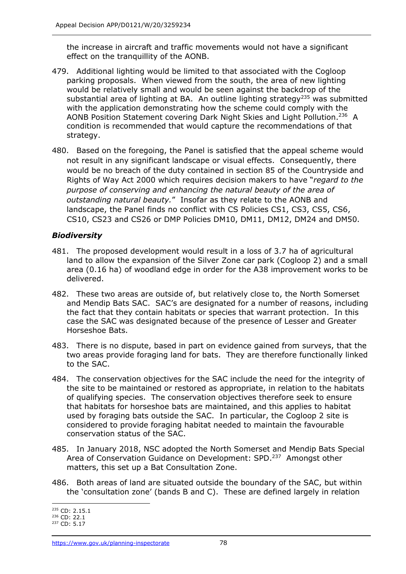the increase in aircraft and traffic movements would not have a significant effect on the tranquillity of the AONB.

- 479. Additional lighting would be limited to that associated with the Cogloop parking proposals. When viewed from the south, the area of new lighting would be relatively small and would be seen against the backdrop of the substantial area of lighting at BA. An outline lighting strategy<sup>235</sup> was submitted with the application demonstrating how the scheme could comply with the AONB Position Statement covering Dark Night Skies and Light Pollution.<sup>236</sup> A condition is recommended that would capture the recommendations of that strategy.
- 480. Based on the foregoing, the Panel is satisfied that the appeal scheme would not result in any significant landscape or visual effects. Consequently, there would be no breach of the duty contained in section 85 of the Countryside and Rights of Way Act 2000 which requires decision makers to have "*regard to the purpose of conserving and enhancing the natural beauty of the area of outstanding natural beauty.*" Insofar as they relate to the AONB and landscape, the Panel finds no conflict with CS Policies CS1, CS3, CS5, CS6, CS10, CS23 and CS26 or DMP Policies DM10, DM11, DM12, DM24 and DM50.

# *Biodiversity*

- 481. The proposed development would result in a loss of 3.7 ha of agricultural land to allow the expansion of the Silver Zone car park (Cogloop 2) and a small area (0.16 ha) of woodland edge in order for the A38 improvement works to be delivered.
- 482. These two areas are outside of, but relatively close to, the North Somerset and Mendip Bats SAC. SAC's are designated for a number of reasons, including the fact that they contain habitats or species that warrant protection. In this case the SAC was designated because of the presence of Lesser and Greater Horseshoe Bats.
- 483. There is no dispute, based in part on evidence gained from surveys, that the two areas provide foraging land for bats. They are therefore functionally linked to the SAC.
- 484. The conservation objectives for the SAC include the need for the integrity of the site to be maintained or restored as appropriate, in relation to the habitats of qualifying species. The conservation objectives therefore seek to ensure that habitats for horseshoe bats are maintained, and this applies to habitat used by foraging bats outside the SAC. In particular, the Cogloop 2 site is considered to provide foraging habitat needed to maintain the favourable conservation status of the SAC.
- 485. In January 2018, NSC adopted the North Somerset and Mendip Bats Special Area of Conservation Guidance on Development: SPD.<sup>237</sup> Amongst other matters, this set up a Bat Consultation Zone.
- 486. Both areas of land are situated outside the boundary of the SAC, but within the 'consultation zone' (bands B and C). These are defined largely in relation

<sup>235</sup> CD: 2.15.1

<sup>236</sup> CD: 22.1

<sup>237</sup> CD: 5.17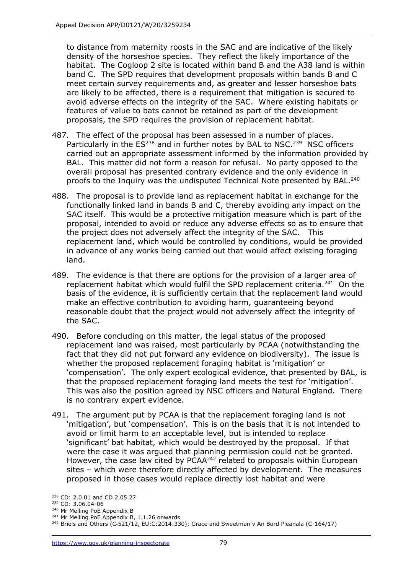to distance from maternity roosts in the SAC and are indicative of the likely density of the horseshoe species. They reflect the likely importance of the habitat. The Cogloop 2 site is located within band B and the A38 land is within band C. The SPD requires that development proposals within bands B and C meet certain survey requirements and, as greater and lesser horseshoe bats are likely to be affected, there is a requirement that mitigation is secured to avoid adverse effects on the integrity of the SAC. Where existing habitats or features of value to bats cannot be retained as part of the development proposals, the SPD requires the provision of replacement habitat.

- 487. The effect of the proposal has been assessed in a number of places. Particularly in the  $ES^{238}$  and in further notes by BAL to NSC.<sup>239</sup> NSC officers carried out an appropriate assessment informed by the information provided by BAL. This matter did not form a reason for refusal. No party opposed to the overall proposal has presented contrary evidence and the only evidence in proofs to the Inquiry was the undisputed Technical Note presented by BAL.<sup>240</sup>
- 488. The proposal is to provide land as replacement habitat in exchange for the functionally linked land in bands B and C, thereby avoiding any impact on the SAC itself. This would be a protective mitigation measure which is part of the proposal, intended to avoid or reduce any adverse effects so as to ensure that the project does not adversely affect the integrity of the SAC. This replacement land, which would be controlled by conditions, would be provided in advance of any works being carried out that would affect existing foraging land.
- 489. The evidence is that there are options for the provision of a larger area of replacement habitat which would fulfil the SPD replacement criteria.<sup>241</sup> On the basis of the evidence, it is sufficiently certain that the replacement land would make an effective contribution to avoiding harm, guaranteeing beyond reasonable doubt that the project would not adversely affect the integrity of the SAC.
- 490. Before concluding on this matter, the legal status of the proposed replacement land was raised, most particularly by PCAA (notwithstanding the fact that they did not put forward any evidence on biodiversity). The issue is whether the proposed replacement foraging habitat is 'mitigation' or 'compensation'. The only expert ecological evidence, that presented by BAL, is that the proposed replacement foraging land meets the test for 'mitigation'. This was also the position agreed by NSC officers and Natural England. There is no contrary expert evidence.
- 491. The argument put by PCAA is that the replacement foraging land is not 'mitigation', but 'compensation'. This is on the basis that it is not intended to avoid or limit harm to an acceptable level, but is intended to replace 'significant' bat habitat, which would be destroyed by the proposal. If that were the case it was argued that planning permission could not be granted. However, the case law cited by PCAA<sup>242</sup> related to proposals within European sites – which were therefore directly affected by development. The measures proposed in those cases would replace directly lost habitat and were

<sup>238</sup> CD: 2.0.01 and CD 2.05.27

<sup>239</sup> CD: 3.06.04-06

<sup>240</sup> Mr Melling PoE Appendix B

<sup>&</sup>lt;sup>241</sup> Mr Melling PoE Appendix B, 1.1.26 onwards

<sup>&</sup>lt;sup>242</sup> Briels and Others (C-521/12, EU:C:2014:330); Grace and Sweetman v An Bord Pleanala (C-164/17)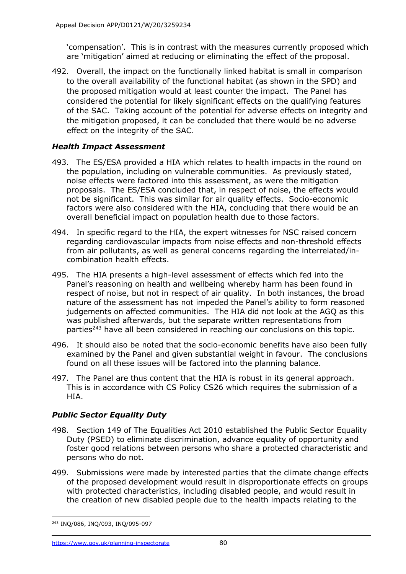'compensation'. This is in contrast with the measures currently proposed which are 'mitigation' aimed at reducing or eliminating the effect of the proposal.

492. Overall, the impact on the functionally linked habitat is small in comparison to the overall availability of the functional habitat (as shown in the SPD) and the proposed mitigation would at least counter the impact. The Panel has considered the potential for likely significant effects on the qualifying features of the SAC. Taking account of the potential for adverse effects on integrity and the mitigation proposed, it can be concluded that there would be no adverse effect on the integrity of the SAC.

# *Health Impact Assessment*

- 493. The ES/ESA provided a HIA which relates to health impacts in the round on the population, including on vulnerable communities. As previously stated, noise effects were factored into this assessment, as were the mitigation proposals. The ES/ESA concluded that, in respect of noise, the effects would not be significant. This was similar for air quality effects. Socio-economic factors were also considered with the HIA, concluding that there would be an overall beneficial impact on population health due to those factors.
- 494. In specific regard to the HIA, the expert witnesses for NSC raised concern regarding cardiovascular impacts from noise effects and non-threshold effects from air pollutants, as well as general concerns regarding the interrelated/incombination health effects.
- 495. The HIA presents a high-level assessment of effects which fed into the Panel's reasoning on health and wellbeing whereby harm has been found in respect of noise, but not in respect of air quality. In both instances, the broad nature of the assessment has not impeded the Panel's ability to form reasoned judgements on affected communities. The HIA did not look at the AGQ as this was published afterwards, but the separate written representations from parties<sup>243</sup> have all been considered in reaching our conclusions on this topic.
- 496. It should also be noted that the socio-economic benefits have also been fully examined by the Panel and given substantial weight in favour. The conclusions found on all these issues will be factored into the planning balance.
- 497. The Panel are thus content that the HIA is robust in its general approach. This is in accordance with CS Policy CS26 which requires the submission of a HIA.

### *Public Sector Equality Duty*

- 498. Section 149 of The Equalities Act 2010 established the Public Sector Equality Duty (PSED) to eliminate discrimination, advance equality of opportunity and foster good relations between persons who share a protected characteristic and persons who do not.
- 499. Submissions were made by interested parties that the climate change effects of the proposed development would result in disproportionate effects on groups with protected characteristics, including disabled people, and would result in the creation of new disabled people due to the health impacts relating to the

<sup>243</sup> INQ/086, INQ/093, INQ/095-097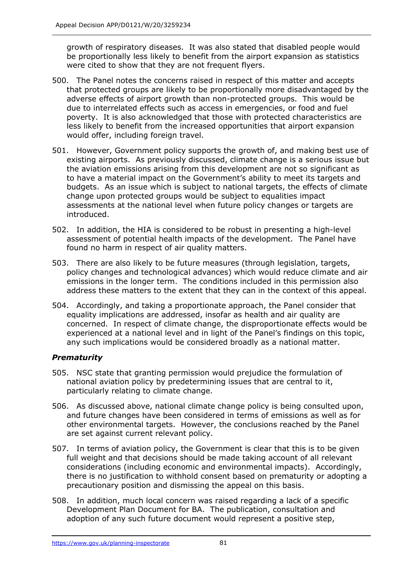growth of respiratory diseases. It was also stated that disabled people would be proportionally less likely to benefit from the airport expansion as statistics were cited to show that they are not frequent flyers.

- 500. The Panel notes the concerns raised in respect of this matter and accepts that protected groups are likely to be proportionally more disadvantaged by the adverse effects of airport growth than non-protected groups. This would be due to interrelated effects such as access in emergencies, or food and fuel poverty. It is also acknowledged that those with protected characteristics are less likely to benefit from the increased opportunities that airport expansion would offer, including foreign travel.
- 501. However, Government policy supports the growth of, and making best use of existing airports. As previously discussed, climate change is a serious issue but the aviation emissions arising from this development are not so significant as to have a material impact on the Government's ability to meet its targets and budgets. As an issue which is subject to national targets, the effects of climate change upon protected groups would be subject to equalities impact assessments at the national level when future policy changes or targets are introduced.
- 502. In addition, the HIA is considered to be robust in presenting a high-level assessment of potential health impacts of the development. The Panel have found no harm in respect of air quality matters.
- 503. There are also likely to be future measures (through legislation, targets, policy changes and technological advances) which would reduce climate and air emissions in the longer term. The conditions included in this permission also address these matters to the extent that they can in the context of this appeal.
- 504. Accordingly, and taking a proportionate approach, the Panel consider that equality implications are addressed, insofar as health and air quality are concerned. In respect of climate change, the disproportionate effects would be experienced at a national level and in light of the Panel's findings on this topic, any such implications would be considered broadly as a national matter.

### *Prematurity*

- 505. NSC state that granting permission would prejudice the formulation of national aviation policy by predetermining issues that are central to it, particularly relating to climate change.
- 506. As discussed above, national climate change policy is being consulted upon, and future changes have been considered in terms of emissions as well as for other environmental targets. However, the conclusions reached by the Panel are set against current relevant policy.
- 507. In terms of aviation policy, the Government is clear that this is to be given full weight and that decisions should be made taking account of all relevant considerations (including economic and environmental impacts). Accordingly, there is no justification to withhold consent based on prematurity or adopting a precautionary position and dismissing the appeal on this basis.
- 508. In addition, much local concern was raised regarding a lack of a specific Development Plan Document for BA. The publication, consultation and adoption of any such future document would represent a positive step,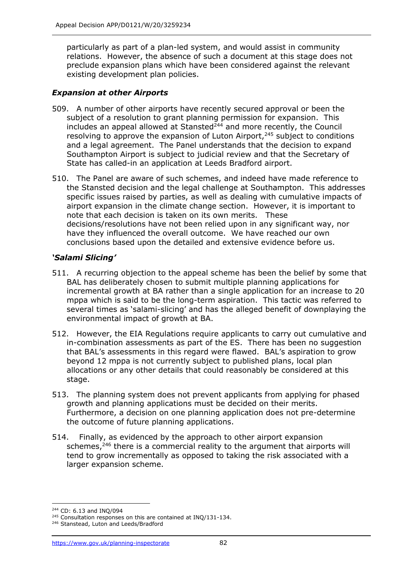particularly as part of a plan-led system, and would assist in community relations. However, the absence of such a document at this stage does not preclude expansion plans which have been considered against the relevant existing development plan policies.

# *Expansion at other Airports*

- 509. A number of other airports have recently secured approval or been the subject of a resolution to grant planning permission for expansion. This includes an appeal allowed at Stansted $^{244}$  and more recently, the Council resolving to approve the expansion of Luton Airport, $245$  subject to conditions and a legal agreement. The Panel understands that the decision to expand Southampton Airport is subject to judicial review and that the Secretary of State has called-in an application at Leeds Bradford airport.
- 510. The Panel are aware of such schemes, and indeed have made reference to the Stansted decision and the legal challenge at Southampton. This addresses specific issues raised by parties, as well as dealing with cumulative impacts of airport expansion in the climate change section. However, it is important to note that each decision is taken on its own merits. These decisions/resolutions have not been relied upon in any significant way, nor have they influenced the overall outcome. We have reached our own conclusions based upon the detailed and extensive evidence before us.

# *'Salami Slicing'*

- 511. A recurring objection to the appeal scheme has been the belief by some that BAL has deliberately chosen to submit multiple planning applications for incremental growth at BA rather than a single application for an increase to 20 mppa which is said to be the long-term aspiration. This tactic was referred to several times as 'salami-slicing' and has the alleged benefit of downplaying the environmental impact of growth at BA.
- 512. However, the EIA Regulations require applicants to carry out cumulative and in-combination assessments as part of the ES. There has been no suggestion that BAL's assessments in this regard were flawed. BAL's aspiration to grow beyond 12 mppa is not currently subject to published plans, local plan allocations or any other details that could reasonably be considered at this stage.
- 513. The planning system does not prevent applicants from applying for phased growth and planning applications must be decided on their merits. Furthermore, a decision on one planning application does not pre-determine the outcome of future planning applications.
- 514. Finally, as evidenced by the approach to other airport expansion schemes,<sup>246</sup> there is a commercial reality to the argument that airports will tend to grow incrementally as opposed to taking the risk associated with a larger expansion scheme.

<sup>244</sup> CD: 6.13 and INQ/094

<sup>&</sup>lt;sup>245</sup> Consultation responses on this are contained at INQ/131-134.

<sup>&</sup>lt;sup>246</sup> Stanstead, Luton and Leeds/Bradford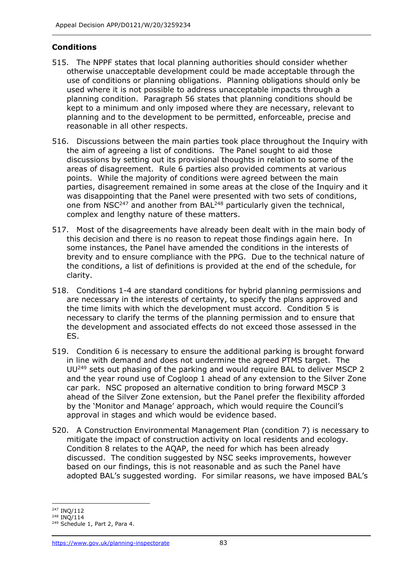### **Conditions**

- 515. The NPPF states that local planning authorities should consider whether otherwise unacceptable development could be made acceptable through the use of conditions or planning obligations. Planning obligations should only be used where it is not possible to address unacceptable impacts through a planning condition. Paragraph 56 states that planning conditions should be kept to a minimum and only imposed where they are necessary, relevant to planning and to the development to be permitted, enforceable, precise and reasonable in all other respects.
- 516. Discussions between the main parties took place throughout the Inquiry with the aim of agreeing a list of conditions. The Panel sought to aid those discussions by setting out its provisional thoughts in relation to some of the areas of disagreement. Rule 6 parties also provided comments at various points. While the majority of conditions were agreed between the main parties, disagreement remained in some areas at the close of the Inquiry and it was disappointing that the Panel were presented with two sets of conditions, one from  $NSC<sup>247</sup>$  and another from BAL<sup>248</sup> particularly given the technical, complex and lengthy nature of these matters.
- 517. Most of the disagreements have already been dealt with in the main body of this decision and there is no reason to repeat those findings again here. In some instances, the Panel have amended the conditions in the interests of brevity and to ensure compliance with the PPG. Due to the technical nature of the conditions, a list of definitions is provided at the end of the schedule, for clarity.
- 518. Conditions 1-4 are standard conditions for hybrid planning permissions and are necessary in the interests of certainty, to specify the plans approved and the time limits with which the development must accord. Condition 5 is necessary to clarify the terms of the planning permission and to ensure that the development and associated effects do not exceed those assessed in the ES.
- 519. Condition 6 is necessary to ensure the additional parking is brought forward in line with demand and does not undermine the agreed PTMS target. The UU<sup>249</sup> sets out phasing of the parking and would require BAL to deliver MSCP 2 and the year round use of Cogloop 1 ahead of any extension to the Silver Zone car park. NSC proposed an alternative condition to bring forward MSCP 3 ahead of the Silver Zone extension, but the Panel prefer the flexibility afforded by the 'Monitor and Manage' approach, which would require the Council's approval in stages and which would be evidence based.
- 520. A Construction Environmental Management Plan (condition 7) is necessary to mitigate the impact of construction activity on local residents and ecology. Condition 8 relates to the AQAP, the need for which has been already discussed. The condition suggested by NSC seeks improvements, however based on our findings, this is not reasonable and as such the Panel have adopted BAL's suggested wording. For similar reasons, we have imposed BAL's

<sup>247</sup> INQ/112

<sup>248</sup> INQ/114

<sup>249</sup> Schedule 1, Part 2, Para 4.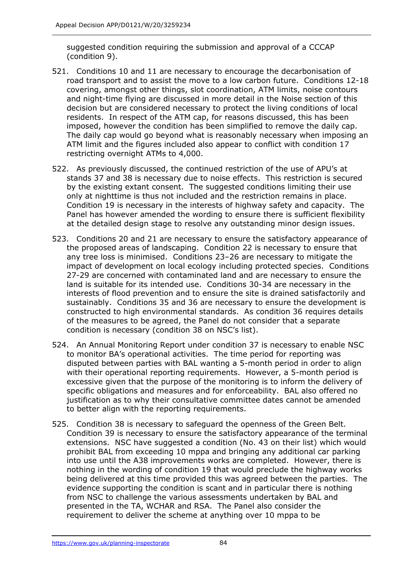suggested condition requiring the submission and approval of a CCCAP (condition 9).

- 521. Conditions 10 and 11 are necessary to encourage the decarbonisation of road transport and to assist the move to a low carbon future. Conditions 12-18 covering, amongst other things, slot coordination, ATM limits, noise contours and night-time flying are discussed in more detail in the Noise section of this decision but are considered necessary to protect the living conditions of local residents. In respect of the ATM cap, for reasons discussed, this has been imposed, however the condition has been simplified to remove the daily cap. The daily cap would go beyond what is reasonably necessary when imposing an ATM limit and the figures included also appear to conflict with condition 17 restricting overnight ATMs to 4,000.
- 522. As previously discussed, the continued restriction of the use of APU's at stands 37 and 38 is necessary due to noise effects. This restriction is secured by the existing extant consent. The suggested conditions limiting their use only at nighttime is thus not included and the restriction remains in place. Condition 19 is necessary in the interests of highway safety and capacity. The Panel has however amended the wording to ensure there is sufficient flexibility at the detailed design stage to resolve any outstanding minor design issues.
- 523. Conditions 20 and 21 are necessary to ensure the satisfactory appearance of the proposed areas of landscaping. Condition 22 is necessary to ensure that any tree loss is minimised. Conditions 23–26 are necessary to mitigate the impact of development on local ecology including protected species. Conditions 27-29 are concerned with contaminated land and are necessary to ensure the land is suitable for its intended use. Conditions 30-34 are necessary in the interests of flood prevention and to ensure the site is drained satisfactorily and sustainably. Conditions 35 and 36 are necessary to ensure the development is constructed to high environmental standards. As condition 36 requires details of the measures to be agreed, the Panel do not consider that a separate condition is necessary (condition 38 on NSC's list).
- 524. An Annual Monitoring Report under condition 37 is necessary to enable NSC to monitor BA's operational activities. The time period for reporting was disputed between parties with BAL wanting a 5-month period in order to align with their operational reporting requirements. However, a 5-month period is excessive given that the purpose of the monitoring is to inform the delivery of specific obligations and measures and for enforceability. BAL also offered no justification as to why their consultative committee dates cannot be amended to better align with the reporting requirements.
- 525. Condition 38 is necessary to safeguard the openness of the Green Belt. Condition 39 is necessary to ensure the satisfactory appearance of the terminal extensions. NSC have suggested a condition (No. 43 on their list) which would prohibit BAL from exceeding 10 mppa and bringing any additional car parking into use until the A38 improvements works are completed. However, there is nothing in the wording of condition 19 that would preclude the highway works being delivered at this time provided this was agreed between the parties. The evidence supporting the condition is scant and in particular there is nothing from NSC to challenge the various assessments undertaken by BAL and presented in the TA, WCHAR and RSA. The Panel also consider the requirement to deliver the scheme at anything over 10 mppa to be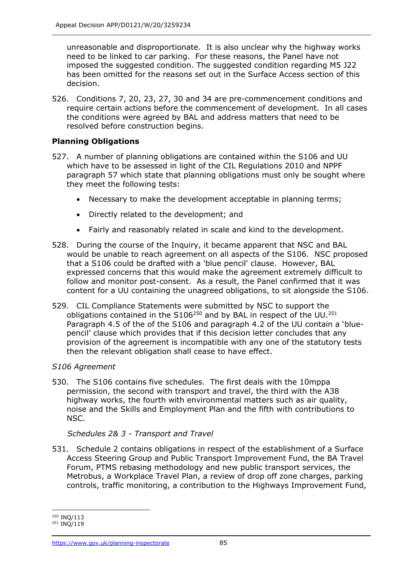unreasonable and disproportionate. It is also unclear why the highway works need to be linked to car parking. For these reasons, the Panel have not imposed the suggested condition. The suggested condition regarding M5 J22 has been omitted for the reasons set out in the Surface Access section of this decision.

526. Conditions 7, 20, 23, 27, 30 and 34 are pre-commencement conditions and require certain actions before the commencement of development. In all cases the conditions were agreed by BAL and address matters that need to be resolved before construction begins.

### **Planning Obligations**

- 527. A number of planning obligations are contained within the S106 and UU which have to be assessed in light of the CIL Regulations 2010 and NPPF paragraph 57 which state that planning obligations must only be sought where they meet the following tests:
	- Necessary to make the development acceptable in planning terms;
	- Directly related to the development; and
	- Fairly and reasonably related in scale and kind to the development.
- 528. During the course of the Inquiry, it became apparent that NSC and BAL would be unable to reach agreement on all aspects of the S106. NSC proposed that a S106 could be drafted with a 'blue pencil' clause. However, BAL expressed concerns that this would make the agreement extremely difficult to follow and monitor post-consent. As a result, the Panel confirmed that it was content for a UU containing the unagreed obligations, to sit alongside the S106.
- 529. CIL Compliance Statements were submitted by NSC to support the obligations contained in the  $S106^{250}$  and by BAL in respect of the UU.<sup>251</sup> Paragraph 4.5 of the of the S106 and paragraph 4.2 of the UU contain a 'bluepencil' clause which provides that if this decision letter concludes that any provision of the agreement is incompatible with any one of the statutory tests then the relevant obligation shall cease to have effect.

### *S106 Agreement*

530. The S106 contains five schedules. The first deals with the 10mppa permission, the second with transport and travel, the third with the A38 highway works, the fourth with environmental matters such as air quality, noise and the Skills and Employment Plan and the fifth with contributions to NSC.

### *Schedules 2& 3 - Transport and Travel*

531. Schedule 2 contains obligations in respect of the establishment of a Surface Access Steering Group and Public Transport Improvement Fund, the BA Travel Forum, PTMS rebasing methodology and new public transport services, the Metrobus, a Workplace Travel Plan, a review of drop off zone charges, parking controls, traffic monitoring, a contribution to the Highways Improvement Fund,

<sup>250</sup> INQ/113

<sup>&</sup>lt;sup>251</sup> INQ/119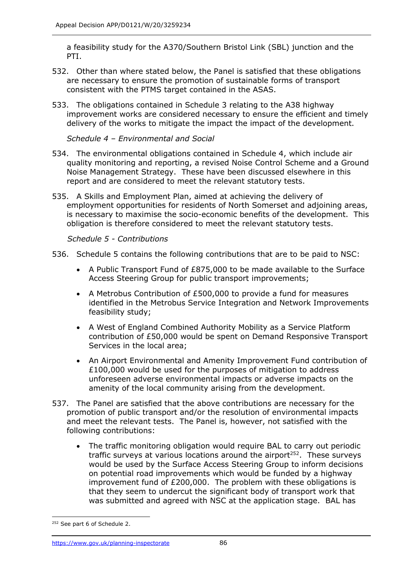a feasibility study for the A370/Southern Bristol Link (SBL) junction and the PTI.

- 532. Other than where stated below, the Panel is satisfied that these obligations are necessary to ensure the promotion of sustainable forms of transport consistent with the PTMS target contained in the ASAS.
- 533. The obligations contained in Schedule 3 relating to the A38 highway improvement works are considered necessary to ensure the efficient and timely delivery of the works to mitigate the impact the impact of the development.

*Schedule 4 – Environmental and Social* 

- 534. The environmental obligations contained in Schedule 4, which include air quality monitoring and reporting, a revised Noise Control Scheme and a Ground Noise Management Strategy. These have been discussed elsewhere in this report and are considered to meet the relevant statutory tests.
- 535. A Skills and Employment Plan, aimed at achieving the delivery of employment opportunities for residents of North Somerset and adjoining areas, is necessary to maximise the socio-economic benefits of the development. This obligation is therefore considered to meet the relevant statutory tests.

*Schedule 5 - Contributions*

- 536. Schedule 5 contains the following contributions that are to be paid to NSC:
	- A Public Transport Fund of £875,000 to be made available to the Surface Access Steering Group for public transport improvements;
	- A Metrobus Contribution of £500,000 to provide a fund for measures identified in the Metrobus Service Integration and Network Improvements feasibility study;
	- A West of England Combined Authority Mobility as a Service Platform contribution of £50,000 would be spent on Demand Responsive Transport Services in the local area;
	- An Airport Environmental and Amenity Improvement Fund contribution of £100,000 would be used for the purposes of mitigation to address unforeseen adverse environmental impacts or adverse impacts on the amenity of the local community arising from the development.
- 537. The Panel are satisfied that the above contributions are necessary for the promotion of public transport and/or the resolution of environmental impacts and meet the relevant tests. The Panel is, however, not satisfied with the following contributions:
	- The traffic monitoring obligation would require BAL to carry out periodic traffic surveys at various locations around the airport<sup>252</sup>. These surveys would be used by the Surface Access Steering Group to inform decisions on potential road improvements which would be funded by a highway improvement fund of £200,000. The problem with these obligations is that they seem to undercut the significant body of transport work that was submitted and agreed with NSC at the application stage. BAL has

<sup>&</sup>lt;sup>252</sup> See part 6 of Schedule 2.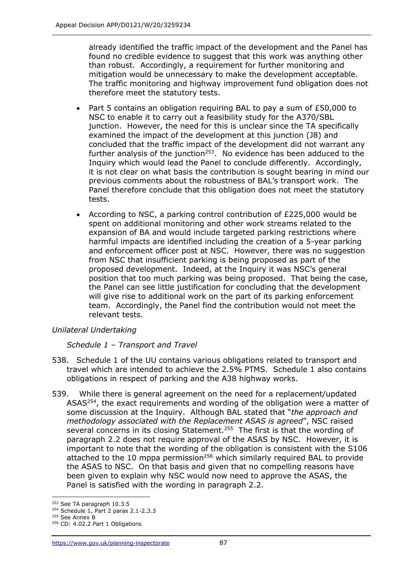already identified the traffic impact of the development and the Panel has found no credible evidence to suggest that this work was anything other than robust. Accordingly, a requirement for further monitoring and mitigation would be unnecessary to make the development acceptable. The traffic monitoring and highway improvement fund obligation does not therefore meet the statutory tests.

- Part 5 contains an obligation requiring BAL to pay a sum of £50,000 to NSC to enable it to carry out a feasibility study for the A370/SBL junction. However, the need for this is unclear since the TA specifically examined the impact of the development at this junction (J8) and concluded that the traffic impact of the development did not warrant any further analysis of the junction<sup>253</sup>. No evidence has been adduced to the Inquiry which would lead the Panel to conclude differently. Accordingly, it is not clear on what basis the contribution is sought bearing in mind our previous comments about the robustness of BAL's transport work. The Panel therefore conclude that this obligation does not meet the statutory tests.
- According to NSC, a parking control contribution of £225,000 would be spent on additional monitoring and other work streams related to the expansion of BA and would include targeted parking restrictions where harmful impacts are identified including the creation of a 5-year parking and enforcement officer post at NSC. However, there was no suggestion from NSC that insufficient parking is being proposed as part of the proposed development. Indeed, at the Inquiry it was NSC's general position that too much parking was being proposed. That being the case, the Panel can see little justification for concluding that the development will give rise to additional work on the part of its parking enforcement team. Accordingly, the Panel find the contribution would not meet the relevant tests.

### *Unilateral Undertaking*

#### *Schedule 1 – Transport and Travel*

- 538. Schedule 1 of the UU contains various obligations related to transport and travel which are intended to achieve the 2.5% PTMS. Schedule 1 also contains obligations in respect of parking and the A38 highway works.
- 539. While there is general agreement on the need for a replacement/updated ASAS<sup>254</sup>, the exact requirements and wording of the obligation were a matter of some discussion at the Inquiry. Although BAL stated that "*the approach and methodology associated with the Replacement ASAS is agreed*", NSC raised several concerns in its closing Statement.<sup>255</sup> The first is that the wording of paragraph 2.2 does not require approval of the ASAS by NSC. However, it is important to note that the wording of the obligation is consistent with the S106 attached to the 10 mppa permission<sup>256</sup> which similarly required BAL to provide the ASAS to NSC. On that basis and given that no compelling reasons have been given to explain why NSC would now need to approve the ASAS, the Panel is satisfied with the wording in paragraph 2.2.

<sup>253</sup> See TA paragraph 10.3.5

<sup>254</sup> Schedule 1, Part 2 paras 2.1-2.3.3

<sup>&</sup>lt;sup>255</sup> See Annex B <sup>256</sup> CD: 4.02.2 Part 1 Obligations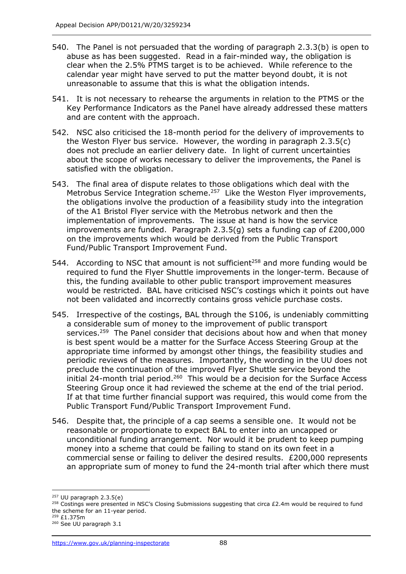- 540. The Panel is not persuaded that the wording of paragraph 2.3.3(b) is open to abuse as has been suggested. Read in a fair-minded way, the obligation is clear when the 2.5% PTMS target is to be achieved. While reference to the calendar year might have served to put the matter beyond doubt, it is not unreasonable to assume that this is what the obligation intends.
- 541. It is not necessary to rehearse the arguments in relation to the PTMS or the Key Performance Indicators as the Panel have already addressed these matters and are content with the approach.
- 542. NSC also criticised the 18-month period for the delivery of improvements to the Weston Flyer bus service. However, the wording in paragraph 2.3.5(c) does not preclude an earlier delivery date. In light of current uncertainties about the scope of works necessary to deliver the improvements, the Panel is satisfied with the obligation.
- 543. The final area of dispute relates to those obligations which deal with the Metrobus Service Integration scheme.<sup>257</sup> Like the Weston Flyer improvements, the obligations involve the production of a feasibility study into the integration of the A1 Bristol Flyer service with the Metrobus network and then the implementation of improvements. The issue at hand is how the service improvements are funded. Paragraph 2.3.5(g) sets a funding cap of £200,000 on the improvements which would be derived from the Public Transport Fund/Public Transport Improvement Fund.
- 544. According to NSC that amount is not sufficient<sup>258</sup> and more funding would be required to fund the Flyer Shuttle improvements in the longer-term. Because of this, the funding available to other public transport improvement measures would be restricted. BAL have criticised NSC's costings which it points out have not been validated and incorrectly contains gross vehicle purchase costs.
- 545. Irrespective of the costings, BAL through the S106, is undeniably committing a considerable sum of money to the improvement of public transport services.<sup>259</sup> The Panel consider that decisions about how and when that money is best spent would be a matter for the Surface Access Steering Group at the appropriate time informed by amongst other things, the feasibility studies and periodic reviews of the measures. Importantly, the wording in the UU does not preclude the continuation of the improved Flyer Shuttle service beyond the initial 24-month trial period.<sup>260</sup> This would be a decision for the Surface Access Steering Group once it had reviewed the scheme at the end of the trial period. If at that time further financial support was required, this would come from the Public Transport Fund/Public Transport Improvement Fund.
- 546. Despite that, the principle of a cap seems a sensible one. It would not be reasonable or proportionate to expect BAL to enter into an uncapped or unconditional funding arrangement. Nor would it be prudent to keep pumping money into a scheme that could be failing to stand on its own feet in a commercial sense or failing to deliver the desired results. £200,000 represents an appropriate sum of money to fund the 24-month trial after which there must

 $257$  UU paragraph 2.3.5(e)

<sup>&</sup>lt;sup>258</sup> Costings were presented in NSC's Closing Submissions suggesting that circa £2.4m would be required to fund the scheme for an 11-year period.

<sup>259</sup> £1.375m

<sup>260</sup> See UU paragraph 3.1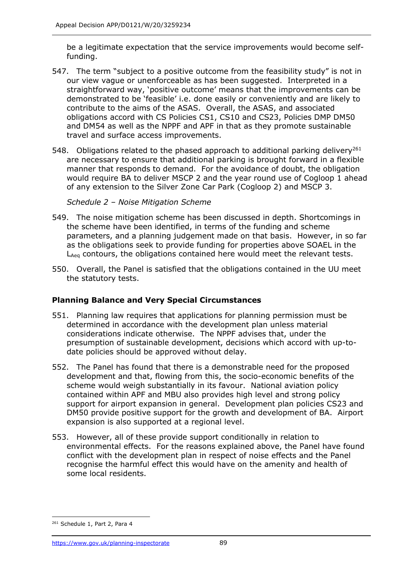be a legitimate expectation that the service improvements would become selffunding.

- 547. The term "subject to a positive outcome from the feasibility study" is not in our view vague or unenforceable as has been suggested. Interpreted in a straightforward way, 'positive outcome' means that the improvements can be demonstrated to be 'feasible' i.e. done easily or conveniently and are likely to contribute to the aims of the ASAS. Overall, the ASAS, and associated obligations accord with CS Policies CS1, CS10 and CS23, Policies DMP DM50 and DM54 as well as the NPPF and APF in that as they promote sustainable travel and surface access improvements.
- 548. Obligations related to the phased approach to additional parking delivery<sup>261</sup> are necessary to ensure that additional parking is brought forward in a flexible manner that responds to demand. For the avoidance of doubt, the obligation would require BA to deliver MSCP 2 and the year round use of Cogloop 1 ahead of any extension to the Silver Zone Car Park (Cogloop 2) and MSCP 3.

*Schedule 2 – Noise Mitigation Scheme*

- 549. The noise mitigation scheme has been discussed in depth. Shortcomings in the scheme have been identified, in terms of the funding and scheme parameters, and a planning judgement made on that basis. However, in so far as the obligations seek to provide funding for properties above SOAEL in the L<sub>Aeg</sub> contours, the obligations contained here would meet the relevant tests.
- 550. Overall, the Panel is satisfied that the obligations contained in the UU meet the statutory tests.

### **Planning Balance and Very Special Circumstances**

- 551. Planning law requires that applications for planning permission must be determined in accordance with the development plan unless material considerations indicate otherwise. The NPPF advises that, under the presumption of sustainable development, decisions which accord with up-todate policies should be approved without delay.
- 552. The Panel has found that there is a demonstrable need for the proposed development and that, flowing from this, the socio-economic benefits of the scheme would weigh substantially in its favour. National aviation policy contained within APF and MBU also provides high level and strong policy support for airport expansion in general. Development plan policies CS23 and DM50 provide positive support for the growth and development of BA. Airport expansion is also supported at a regional level.
- 553. However, all of these provide support conditionally in relation to environmental effects. For the reasons explained above, the Panel have found conflict with the development plan in respect of noise effects and the Panel recognise the harmful effect this would have on the amenity and health of some local residents.

<sup>&</sup>lt;sup>261</sup> Schedule 1, Part 2, Para 4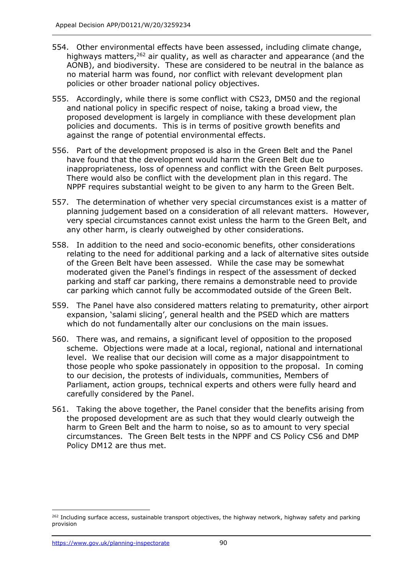- 554. Other environmental effects have been assessed, including climate change, highways matters, <sup>262</sup> air quality, as well as character and appearance (and the AONB), and biodiversity. These are considered to be neutral in the balance as no material harm was found, nor conflict with relevant development plan policies or other broader national policy objectives.
- 555. Accordingly, while there is some conflict with CS23, DM50 and the regional and national policy in specific respect of noise, taking a broad view, the proposed development is largely in compliance with these development plan policies and documents. This is in terms of positive growth benefits and against the range of potential environmental effects.
- 556. Part of the development proposed is also in the Green Belt and the Panel have found that the development would harm the Green Belt due to inappropriateness, loss of openness and conflict with the Green Belt purposes. There would also be conflict with the development plan in this regard. The NPPF requires substantial weight to be given to any harm to the Green Belt.
- 557. The determination of whether very special circumstances exist is a matter of planning judgement based on a consideration of all relevant matters. However, very special circumstances cannot exist unless the harm to the Green Belt, and any other harm, is clearly outweighed by other considerations.
- 558. In addition to the need and socio-economic benefits, other considerations relating to the need for additional parking and a lack of alternative sites outside of the Green Belt have been assessed. While the case may be somewhat moderated given the Panel's findings in respect of the assessment of decked parking and staff car parking, there remains a demonstrable need to provide car parking which cannot fully be accommodated outside of the Green Belt.
- 559. The Panel have also considered matters relating to prematurity, other airport expansion, 'salami slicing', general health and the PSED which are matters which do not fundamentally alter our conclusions on the main issues.
- 560. There was, and remains, a significant level of opposition to the proposed scheme. Objections were made at a local, regional, national and international level. We realise that our decision will come as a major disappointment to those people who spoke passionately in opposition to the proposal. In coming to our decision, the protests of individuals, communities, Members of Parliament, action groups, technical experts and others were fully heard and carefully considered by the Panel.
- 561. Taking the above together, the Panel consider that the benefits arising from the proposed development are as such that they would clearly outweigh the harm to Green Belt and the harm to noise, so as to amount to very special circumstances. The Green Belt tests in the NPPF and CS Policy CS6 and DMP Policy DM12 are thus met.

<sup>&</sup>lt;sup>262</sup> Including surface access, sustainable transport objectives, the highway network, highway safety and parking provision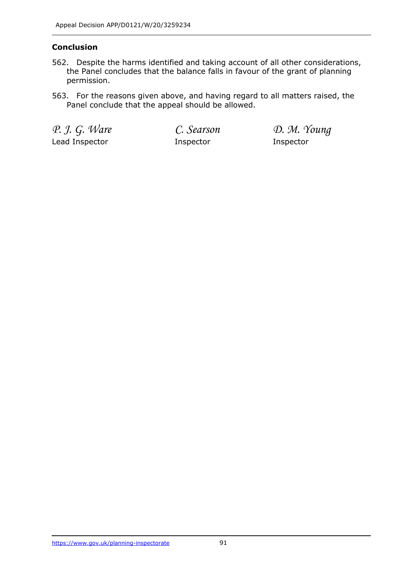# **Conclusion**

- 562. Despite the harms identified and taking account of all other considerations, the Panel concludes that the balance falls in favour of the grant of planning permission.
- 563. For the reasons given above, and having regard to all matters raised, the Panel conclude that the appeal should be allowed.

Lead Inspector **Inspector** Inspector **Inspector** 

*P. J. G. Ware C. Searson D. M. Young*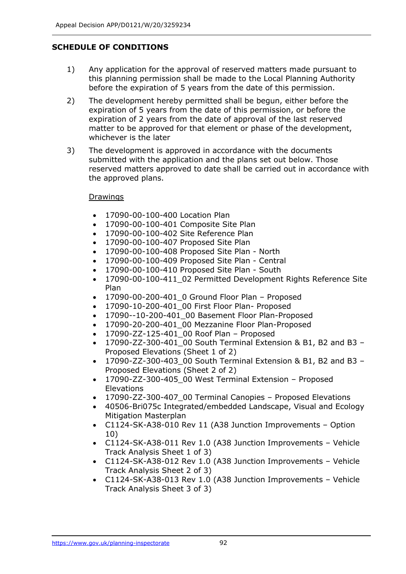# **SCHEDULE OF CONDITIONS**

- 1) Any application for the approval of reserved matters made pursuant to this planning permission shall be made to the Local Planning Authority before the expiration of 5 years from the date of this permission.
- 2) The development hereby permitted shall be begun, either before the expiration of 5 years from the date of this permission, or before the expiration of 2 years from the date of approval of the last reserved matter to be approved for that element or phase of the development, whichever is the later
- 3) The development is approved in accordance with the documents submitted with the application and the plans set out below. Those reserved matters approved to date shall be carried out in accordance with the approved plans.

#### **Drawings**

- 17090-00-100-400 Location Plan
- 17090-00-100-401 Composite Site Plan
- 17090-00-100-402 Site Reference Plan
- 17090-00-100-407 Proposed Site Plan
- 17090-00-100-408 Proposed Site Plan North
- 17090-00-100-409 Proposed Site Plan Central
- 17090-00-100-410 Proposed Site Plan South
- 17090-00-100-411 02 Permitted Development Rights Reference Site Plan
- 17090-00-200-401\_0 Ground Floor Plan Proposed
- 17090-10-200-401\_00 First Floor Plan- Proposed
- 17090--10-200-401\_00 Basement Floor Plan-Proposed
- 17090-20-200-401 00 Mezzanine Floor Plan-Proposed
- 17090-ZZ-125-401\_00 Roof Plan Proposed
- 17090-ZZ-300-401\_00 South Terminal Extension & B1, B2 and B3 Proposed Elevations (Sheet 1 of 2)
- 17090-ZZ-300-403\_00 South Terminal Extension & B1, B2 and B3 Proposed Elevations (Sheet 2 of 2)
- 17090-ZZ-300-405\_00 West Terminal Extension Proposed **Elevations**
- 17090-ZZ-300-407\_00 Terminal Canopies Proposed Elevations
- 40506-Bri075c Integrated/embedded Landscape, Visual and Ecology Mitigation Masterplan
- C1124-SK-A38-010 Rev 11 (A38 Junction Improvements Option 10)
- C1124-SK-A38-011 Rev 1.0 (A38 Junction Improvements Vehicle Track Analysis Sheet 1 of 3)
- C1124-SK-A38-012 Rev 1.0 (A38 Junction Improvements Vehicle Track Analysis Sheet 2 of 3)
- C1124-SK-A38-013 Rev 1.0 (A38 Junction Improvements Vehicle Track Analysis Sheet 3 of 3)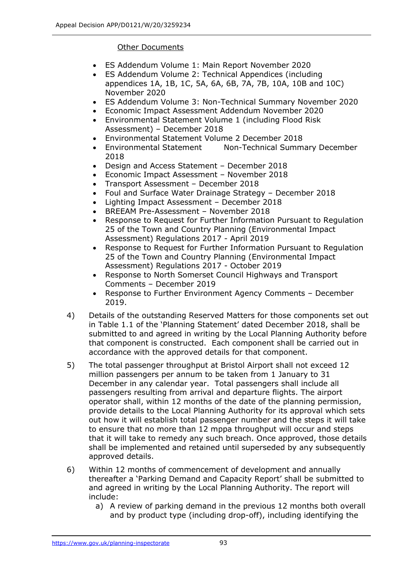#### Other Documents

- ES Addendum Volume 1: Main Report November 2020
- ES Addendum Volume 2: Technical Appendices (including appendices 1A, 1B, 1C, 5A, 6A, 6B, 7A, 7B, 10A, 10B and 10C) November 2020
- ES Addendum Volume 3: Non-Technical Summary November 2020
- Economic Impact Assessment Addendum November 2020
- Environmental Statement Volume 1 (including Flood Risk Assessment) – December 2018
- Environmental Statement Volume 2 December 2018
- Environmental Statement Non-Technical Summary December 2018
- Design and Access Statement December 2018
- Economic Impact Assessment November 2018
- Transport Assessment December 2018
- Foul and Surface Water Drainage Strategy December 2018
- Lighting Impact Assessment December 2018
- BREEAM Pre-Assessment November 2018
- Response to Request for Further Information Pursuant to Regulation 25 of the Town and Country Planning (Environmental Impact Assessment) Regulations 2017 - April 2019
- Response to Request for Further Information Pursuant to Regulation 25 of the Town and Country Planning (Environmental Impact Assessment) Regulations 2017 - October 2019
- Response to North Somerset Council Highways and Transport Comments – December 2019
- Response to Further Environment Agency Comments December 2019.
- 4) Details of the outstanding Reserved Matters for those components set out in Table 1.1 of the 'Planning Statement' dated December 2018, shall be submitted to and agreed in writing by the Local Planning Authority before that component is constructed. Each component shall be carried out in accordance with the approved details for that component.
- 5) The total passenger throughput at Bristol Airport shall not exceed 12 million passengers per annum to be taken from 1 January to 31 December in any calendar year. Total passengers shall include all passengers resulting from arrival and departure flights. The airport operator shall, within 12 months of the date of the planning permission, provide details to the Local Planning Authority for its approval which sets out how it will establish total passenger number and the steps it will take to ensure that no more than 12 mppa throughput will occur and steps that it will take to remedy any such breach. Once approved, those details shall be implemented and retained until superseded by any subsequently approved details.
- 6) Within 12 months of commencement of development and annually thereafter a 'Parking Demand and Capacity Report' shall be submitted to and agreed in writing by the Local Planning Authority. The report will include:
	- a) A review of parking demand in the previous 12 months both overall and by product type (including drop-off), including identifying the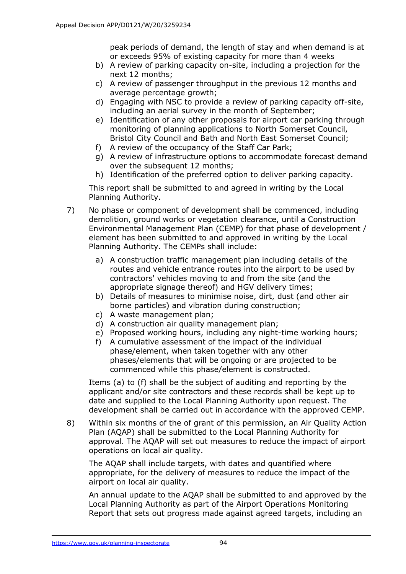peak periods of demand, the length of stay and when demand is at or exceeds 95% of existing capacity for more than 4 weeks

- b) A review of parking capacity on-site, including a projection for the next 12 months;
- c) A review of passenger throughput in the previous 12 months and average percentage growth;
- d) Engaging with NSC to provide a review of parking capacity off-site, including an aerial survey in the month of September;
- e) Identification of any other proposals for airport car parking through monitoring of planning applications to North Somerset Council, Bristol City Council and Bath and North East Somerset Council;
- f) A review of the occupancy of the Staff Car Park;
- g) A review of infrastructure options to accommodate forecast demand over the subsequent 12 months;
- h) Identification of the preferred option to deliver parking capacity.

This report shall be submitted to and agreed in writing by the Local Planning Authority.

- 7) No phase or component of development shall be commenced, including demolition, ground works or vegetation clearance, until a Construction Environmental Management Plan (CEMP) for that phase of development / element has been submitted to and approved in writing by the Local Planning Authority. The CEMPs shall include:
	- a) A construction traffic management plan including details of the routes and vehicle entrance routes into the airport to be used by contractors' vehicles moving to and from the site (and the appropriate signage thereof) and HGV delivery times;
	- b) Details of measures to minimise noise, dirt, dust (and other air borne particles) and vibration during construction;
	- c) A waste management plan;
	- d) A construction air quality management plan;
	- e) Proposed working hours, including any night-time working hours;
	- f) A cumulative assessment of the impact of the individual phase/element, when taken together with any other phases/elements that will be ongoing or are projected to be commenced while this phase/element is constructed.

Items (a) to (f) shall be the subject of auditing and reporting by the applicant and/or site contractors and these records shall be kept up to date and supplied to the Local Planning Authority upon request. The development shall be carried out in accordance with the approved CEMP.

8) Within six months of the of grant of this permission, an Air Quality Action Plan (AQAP) shall be submitted to the Local Planning Authority for approval. The AQAP will set out measures to reduce the impact of airport operations on local air quality.

The AQAP shall include targets, with dates and quantified where appropriate, for the delivery of measures to reduce the impact of the airport on local air quality.

An annual update to the AQAP shall be submitted to and approved by the Local Planning Authority as part of the Airport Operations Monitoring Report that sets out progress made against agreed targets, including an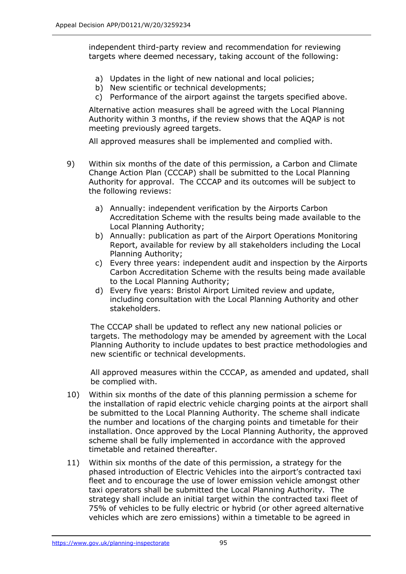independent third-party review and recommendation for reviewing targets where deemed necessary, taking account of the following:

- a) Updates in the light of new national and local policies;
- b) New scientific or technical developments;
- c) Performance of the airport against the targets specified above.

Alternative action measures shall be agreed with the Local Planning Authority within 3 months, if the review shows that the AQAP is not meeting previously agreed targets.

All approved measures shall be implemented and complied with.

- 9) Within six months of the date of this permission, a Carbon and Climate Change Action Plan (CCCAP) shall be submitted to the Local Planning Authority for approval. The CCCAP and its outcomes will be subject to the following reviews:
	- a) Annually: independent verification by the Airports Carbon Accreditation Scheme with the results being made available to the Local Planning Authority;
	- b) Annually: publication as part of the Airport Operations Monitoring Report, available for review by all stakeholders including the Local Planning Authority;
	- c) Every three years: independent audit and inspection by the Airports Carbon Accreditation Scheme with the results being made available to the Local Planning Authority;
	- d) Every five years: Bristol Airport Limited review and update, including consultation with the Local Planning Authority and other stakeholders.

The CCCAP shall be updated to reflect any new national policies or targets. The methodology may be amended by agreement with the Local Planning Authority to include updates to best practice methodologies and new scientific or technical developments.

All approved measures within the CCCAP, as amended and updated, shall be complied with.

- 10) Within six months of the date of this planning permission a scheme for the installation of rapid electric vehicle charging points at the airport shall be submitted to the Local Planning Authority. The scheme shall indicate the number and locations of the charging points and timetable for their installation. Once approved by the Local Planning Authority, the approved scheme shall be fully implemented in accordance with the approved timetable and retained thereafter.
- 11) Within six months of the date of this permission, a strategy for the phased introduction of Electric Vehicles into the airport's contracted taxi fleet and to encourage the use of lower emission vehicle amongst other taxi operators shall be submitted the Local Planning Authority. The strategy shall include an initial target within the contracted taxi fleet of 75% of vehicles to be fully electric or hybrid (or other agreed alternative vehicles which are zero emissions) within a timetable to be agreed in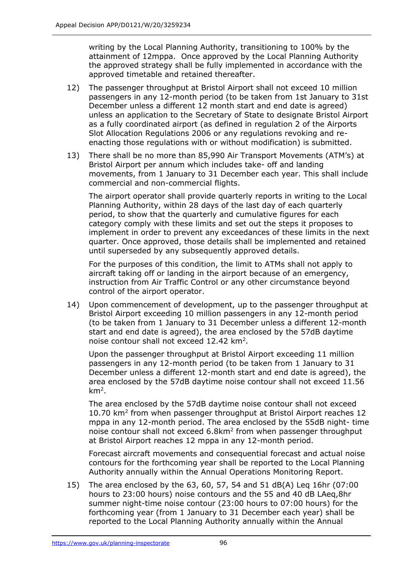writing by the Local Planning Authority, transitioning to 100% by the attainment of 12mppa. Once approved by the Local Planning Authority the approved strategy shall be fully implemented in accordance with the approved timetable and retained thereafter.

- 12) The passenger throughput at Bristol Airport shall not exceed 10 million passengers in any 12-month period (to be taken from 1st January to 31st December unless a different 12 month start and end date is agreed) unless an application to the Secretary of State to designate Bristol Airport as a fully coordinated airport (as defined in regulation 2 of the Airports Slot Allocation Regulations 2006 or any regulations revoking and reenacting those regulations with or without modification) is submitted.
- 13) There shall be no more than 85,990 Air Transport Movements (ATM's) at Bristol Airport per annum which includes take- off and landing movements, from 1 January to 31 December each year. This shall include commercial and non-commercial flights.

The airport operator shall provide quarterly reports in writing to the Local Planning Authority, within 28 days of the last day of each quarterly period, to show that the quarterly and cumulative figures for each category comply with these limits and set out the steps it proposes to implement in order to prevent any exceedances of these limits in the next quarter. Once approved, those details shall be implemented and retained until superseded by any subsequently approved details.

For the purposes of this condition, the limit to ATMs shall not apply to aircraft taking off or landing in the airport because of an emergency, instruction from Air Traffic Control or any other circumstance beyond control of the airport operator.

14) Upon commencement of development, up to the passenger throughput at Bristol Airport exceeding 10 million passengers in any 12-month period (to be taken from 1 January to 31 December unless a different 12-month start and end date is agreed), the area enclosed by the 57dB daytime noise contour shall not exceed  $12.42 \text{ km}^2$ .

Upon the passenger throughput at Bristol Airport exceeding 11 million passengers in any 12-month period (to be taken from 1 January to 31 December unless a different 12-month start and end date is agreed), the area enclosed by the 57dB daytime noise contour shall not exceed 11.56 km<sup>2</sup> .

The area enclosed by the 57dB daytime noise contour shall not exceed 10.70 km<sup>2</sup> from when passenger throughput at Bristol Airport reaches 12 mppa in any 12-month period. The area enclosed by the 55dB night- time noise contour shall not exceed 6.8km<sup>2</sup> from when passenger throughput at Bristol Airport reaches 12 mppa in any 12-month period.

Forecast aircraft movements and consequential forecast and actual noise contours for the forthcoming year shall be reported to the Local Planning Authority annually within the Annual Operations Monitoring Report.

15) The area enclosed by the 63, 60, 57, 54 and 51 dB(A) Leq 16hr (07:00 hours to 23:00 hours) noise contours and the 55 and 40 dB LAeq,8hr summer night-time noise contour (23:00 hours to 07:00 hours) for the forthcoming year (from 1 January to 31 December each year) shall be reported to the Local Planning Authority annually within the Annual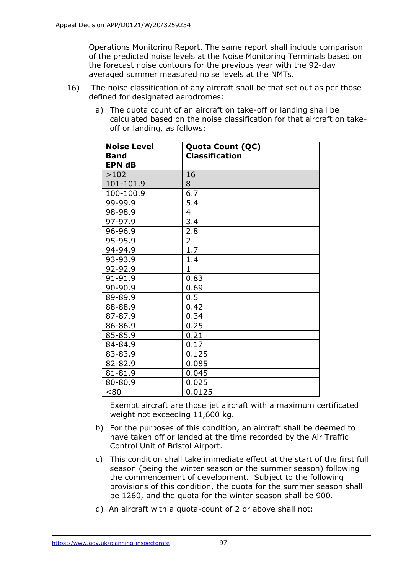Operations Monitoring Report. The same report shall include comparison of the predicted noise levels at the Noise Monitoring Terminals based on the forecast noise contours for the previous year with the 92-day averaged summer measured noise levels at the NMTs.

- 16) The noise classification of any aircraft shall be that set out as per those defined for designated aerodromes:
	- a) The quota count of an aircraft on take-off or landing shall be calculated based on the noise classification for that aircraft on takeoff or landing, as follows:

| <b>Noise Level</b><br><b>Band</b> | Quota Count (QC)<br><b>Classification</b> |
|-----------------------------------|-------------------------------------------|
| <b>EPN dB</b>                     |                                           |
| >102                              | 16                                        |
| 101-101.9                         | 8                                         |
| 100-100.9                         | 6.7                                       |
| 99-99.9                           | 5.4                                       |
| 98-98.9                           | 4                                         |
| 97-97.9                           | 3.4                                       |
| 96-96.9                           | 2.8                                       |
| 95-95.9                           | $\overline{2}$                            |
| 94-94.9                           | $\overline{1.7}$                          |
| 93-93.9                           | 1.4                                       |
| 92-92.9                           | $\mathbf{1}$                              |
| 91-91.9                           | 0.83                                      |
| 90-90.9                           | 0.69                                      |
| 89-89.9                           | 0.5                                       |
| 88-88.9                           | 0.42                                      |
| 87-87.9                           | 0.34                                      |
| 86-86.9                           | 0.25                                      |
| 85-85.9                           | 0.21                                      |
| 84-84.9                           | 0.17                                      |
| 83-83.9                           | 0.125                                     |
| 82-82.9                           | 0.085                                     |
| 81-81.9                           | 0.045                                     |
| 80-80.9                           | 0.025                                     |
| < 80                              | 0.0125                                    |

Exempt aircraft are those jet aircraft with a maximum certificated weight not exceeding 11,600 kg.

- b) For the purposes of this condition, an aircraft shall be deemed to have taken off or landed at the time recorded by the Air Traffic Control Unit of Bristol Airport.
- c) This condition shall take immediate effect at the start of the first full season (being the winter season or the summer season) following the commencement of development. Subject to the following provisions of this condition, the quota for the summer season shall be 1260, and the quota for the winter season shall be 900.
- d) An aircraft with a quota-count of 2 or above shall not: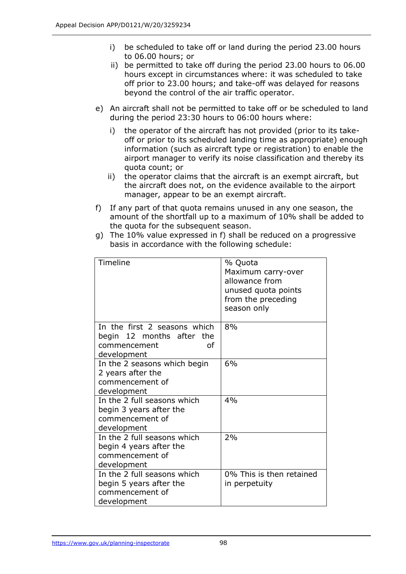- i) be scheduled to take off or land during the period 23.00 hours to 06.00 hours; or
- ii) be permitted to take off during the period 23.00 hours to 06.00 hours except in circumstances where: it was scheduled to take off prior to 23.00 hours; and take-off was delayed for reasons beyond the control of the air traffic operator.
- e) An aircraft shall not be permitted to take off or be scheduled to land during the period 23:30 hours to 06:00 hours where:
	- i) the operator of the aircraft has not provided (prior to its takeoff or prior to its scheduled landing time as appropriate) enough information (such as aircraft type or registration) to enable the airport manager to verify its noise classification and thereby its quota count; or
	- ii) the operator claims that the aircraft is an exempt aircraft, but the aircraft does not, on the evidence available to the airport manager, appear to be an exempt aircraft.
- f) If any part of that quota remains unused in any one season, the amount of the shortfall up to a maximum of 10% shall be added to the quota for the subsequent season.
- g) The 10% value expressed in f) shall be reduced on a progressive basis in accordance with the following schedule:

| Timeline                                                                                       | % Quota<br>Maximum carry-over<br>allowance from<br>unused quota points<br>from the preceding<br>season only |
|------------------------------------------------------------------------------------------------|-------------------------------------------------------------------------------------------------------------|
| In the first 2 seasons which<br>begin 12 months after the<br>of<br>commencement<br>development | 8%                                                                                                          |
| In the 2 seasons which begin<br>2 years after the<br>commencement of<br>development            | 6%                                                                                                          |
| In the 2 full seasons which<br>begin 3 years after the<br>commencement of<br>development       | 4%                                                                                                          |
| In the 2 full seasons which<br>begin 4 years after the<br>commencement of<br>development       | 2%                                                                                                          |
| In the 2 full seasons which<br>begin 5 years after the<br>commencement of<br>development       | 0% This is then retained<br>in perpetuity                                                                   |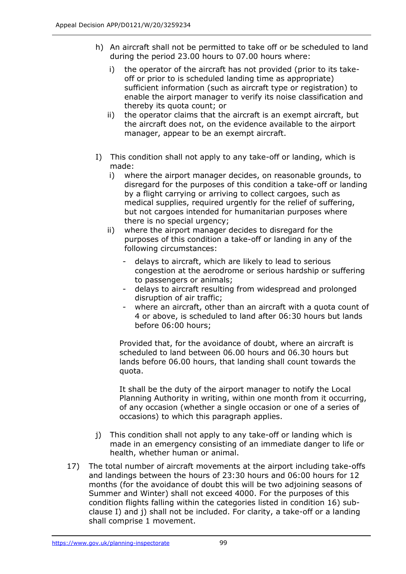- h) An aircraft shall not be permitted to take off or be scheduled to land during the period 23.00 hours to 07.00 hours where:
	- i) the operator of the aircraft has not provided (prior to its takeoff or prior to is scheduled landing time as appropriate) sufficient information (such as aircraft type or registration) to enable the airport manager to verify its noise classification and thereby its quota count; or
	- ii) the operator claims that the aircraft is an exempt aircraft, but the aircraft does not, on the evidence available to the airport manager, appear to be an exempt aircraft.
- I) This condition shall not apply to any take-off or landing, which is made:
	- i) where the airport manager decides, on reasonable grounds, to disregard for the purposes of this condition a take-off or landing by a flight carrying or arriving to collect cargoes, such as medical supplies, required urgently for the relief of suffering, but not cargoes intended for humanitarian purposes where there is no special urgency;
	- ii) where the airport manager decides to disregard for the purposes of this condition a take-off or landing in any of the following circumstances:
		- delays to aircraft, which are likely to lead to serious congestion at the aerodrome or serious hardship or suffering to passengers or animals;
		- delays to aircraft resulting from widespread and prolonged disruption of air traffic;
		- where an aircraft, other than an aircraft with a quota count of 4 or above, is scheduled to land after 06:30 hours but lands before 06:00 hours;

Provided that, for the avoidance of doubt, where an aircraft is scheduled to land between 06.00 hours and 06.30 hours but lands before 06.00 hours, that landing shall count towards the quota.

It shall be the duty of the airport manager to notify the Local Planning Authority in writing, within one month from it occurring, of any occasion (whether a single occasion or one of a series of occasions) to which this paragraph applies.

- j) This condition shall not apply to any take-off or landing which is made in an emergency consisting of an immediate danger to life or health, whether human or animal.
- 17) The total number of aircraft movements at the airport including take-offs and landings between the hours of 23:30 hours and 06:00 hours for 12 months (for the avoidance of doubt this will be two adjoining seasons of Summer and Winter) shall not exceed 4000. For the purposes of this condition flights falling within the categories listed in condition 16) subclause I) and j) shall not be included. For clarity, a take-off or a landing shall comprise 1 movement.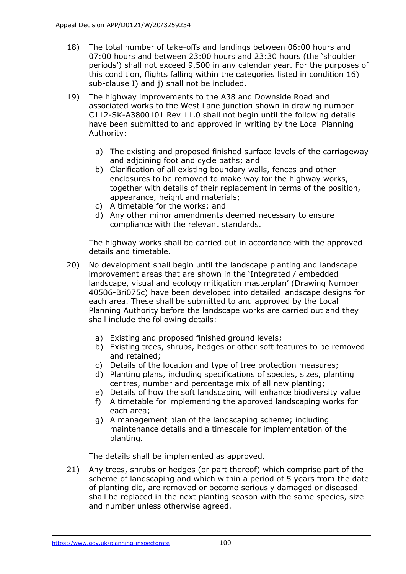- 18) The total number of take-offs and landings between 06:00 hours and 07:00 hours and between 23:00 hours and 23:30 hours (the 'shoulder periods') shall not exceed 9,500 in any calendar year. For the purposes of this condition, flights falling within the categories listed in condition 16) sub-clause I) and j) shall not be included.
- 19) The highway improvements to the A38 and Downside Road and associated works to the West Lane junction shown in drawing number C112-SK-A3800101 Rev 11.0 shall not begin until the following details have been submitted to and approved in writing by the Local Planning Authority:
	- a) The existing and proposed finished surface levels of the carriageway and adjoining foot and cycle paths; and
	- b) Clarification of all existing boundary walls, fences and other enclosures to be removed to make way for the highway works, together with details of their replacement in terms of the position, appearance, height and materials;
	- c) A timetable for the works; and
	- d) Any other minor amendments deemed necessary to ensure compliance with the relevant standards.

The highway works shall be carried out in accordance with the approved details and timetable.

- 20) No development shall begin until the landscape planting and landscape improvement areas that are shown in the 'Integrated / embedded landscape, visual and ecology mitigation masterplan' (Drawing Number 40506-Bri075c) have been developed into detailed landscape designs for each area. These shall be submitted to and approved by the Local Planning Authority before the landscape works are carried out and they shall include the following details:
	- a) Existing and proposed finished ground levels;
	- b) Existing trees, shrubs, hedges or other soft features to be removed and retained;
	- c) Details of the location and type of tree protection measures;
	- d) Planting plans, including specifications of species, sizes, planting centres, number and percentage mix of all new planting;
	- e) Details of how the soft landscaping will enhance biodiversity value
	- f) A timetable for implementing the approved landscaping works for each area;
	- g) A management plan of the landscaping scheme; including maintenance details and a timescale for implementation of the planting.

The details shall be implemented as approved.

21) Any trees, shrubs or hedges (or part thereof) which comprise part of the scheme of landscaping and which within a period of 5 years from the date of planting die, are removed or become seriously damaged or diseased shall be replaced in the next planting season with the same species, size and number unless otherwise agreed.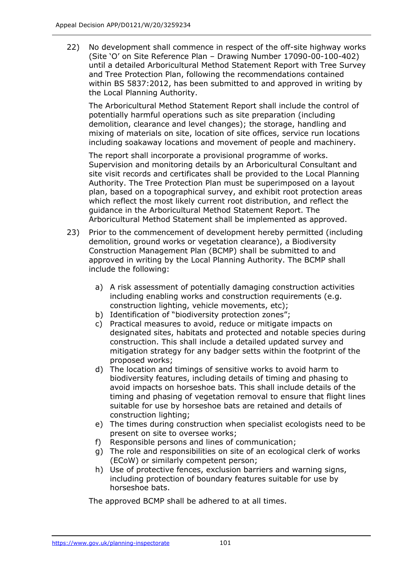22) No development shall commence in respect of the off-site highway works (Site 'O' on Site Reference Plan – Drawing Number 17090-00-100-402) until a detailed Arboricultural Method Statement Report with Tree Survey and Tree Protection Plan, following the recommendations contained within BS 5837:2012, has been submitted to and approved in writing by the Local Planning Authority.

The Arboricultural Method Statement Report shall include the control of potentially harmful operations such as site preparation (including demolition, clearance and level changes); the storage, handling and mixing of materials on site, location of site offices, service run locations including soakaway locations and movement of people and machinery.

The report shall incorporate a provisional programme of works. Supervision and monitoring details by an Arboricultural Consultant and site visit records and certificates shall be provided to the Local Planning Authority. The Tree Protection Plan must be superimposed on a layout plan, based on a topographical survey, and exhibit root protection areas which reflect the most likely current root distribution, and reflect the guidance in the Arboricultural Method Statement Report. The Arboricultural Method Statement shall be implemented as approved.

- 23) Prior to the commencement of development hereby permitted (including demolition, ground works or vegetation clearance), a Biodiversity Construction Management Plan (BCMP) shall be submitted to and approved in writing by the Local Planning Authority. The BCMP shall include the following:
	- a) A risk assessment of potentially damaging construction activities including enabling works and construction requirements (e.g. construction lighting, vehicle movements, etc);
	- b) Identification of "biodiversity protection zones";
	- c) Practical measures to avoid, reduce or mitigate impacts on designated sites, habitats and protected and notable species during construction. This shall include a detailed updated survey and mitigation strategy for any badger setts within the footprint of the proposed works;
	- d) The location and timings of sensitive works to avoid harm to biodiversity features, including details of timing and phasing to avoid impacts on horseshoe bats. This shall include details of the timing and phasing of vegetation removal to ensure that flight lines suitable for use by horseshoe bats are retained and details of construction lighting;
	- e) The times during construction when specialist ecologists need to be present on site to oversee works;
	- f) Responsible persons and lines of communication;
	- g) The role and responsibilities on site of an ecological clerk of works (ECoW) or similarly competent person;
	- h) Use of protective fences, exclusion barriers and warning signs, including protection of boundary features suitable for use by horseshoe bats.

The approved BCMP shall be adhered to at all times.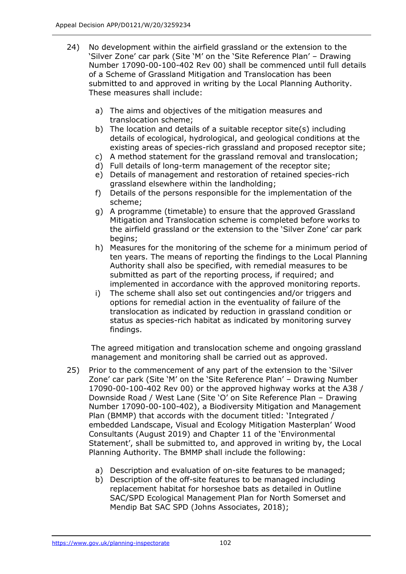- 24) No development within the airfield grassland or the extension to the 'Silver Zone' car park (Site 'M' on the 'Site Reference Plan' – Drawing Number 17090-00-100-402 Rev 00) shall be commenced until full details of a Scheme of Grassland Mitigation and Translocation has been submitted to and approved in writing by the Local Planning Authority. These measures shall include:
	- a) The aims and objectives of the mitigation measures and translocation scheme;
	- b) The location and details of a suitable receptor site(s) including details of ecological, hydrological, and geological conditions at the existing areas of species-rich grassland and proposed receptor site;
	- c) A method statement for the grassland removal and translocation;
	- d) Full details of long-term management of the receptor site;
	- e) Details of management and restoration of retained species-rich grassland elsewhere within the landholding;
	- f) Details of the persons responsible for the implementation of the scheme;
	- g) A programme (timetable) to ensure that the approved Grassland Mitigation and Translocation scheme is completed before works to the airfield grassland or the extension to the 'Silver Zone' car park begins;
	- h) Measures for the monitoring of the scheme for a minimum period of ten years. The means of reporting the findings to the Local Planning Authority shall also be specified, with remedial measures to be submitted as part of the reporting process, if required; and implemented in accordance with the approved monitoring reports.
	- i) The scheme shall also set out contingencies and/or triggers and options for remedial action in the eventuality of failure of the translocation as indicated by reduction in grassland condition or status as species-rich habitat as indicated by monitoring survey findings.

The agreed mitigation and translocation scheme and ongoing grassland management and monitoring shall be carried out as approved.

- 25) Prior to the commencement of any part of the extension to the 'Silver Zone' car park (Site 'M' on the 'Site Reference Plan' – Drawing Number 17090-00-100-402 Rev 00) or the approved highway works at the A38 / Downside Road / West Lane (Site 'O' on Site Reference Plan – Drawing Number 17090-00-100-402), a Biodiversity Mitigation and Management Plan (BMMP) that accords with the document titled: 'Integrated / embedded Landscape, Visual and Ecology Mitigation Masterplan' Wood Consultants (August 2019) and Chapter 11 of the 'Environmental Statement', shall be submitted to, and approved in writing by, the Local Planning Authority. The BMMP shall include the following:
	- a) Description and evaluation of on-site features to be managed;
	- b) Description of the off-site features to be managed including replacement habitat for horseshoe bats as detailed in Outline SAC/SPD Ecological Management Plan for North Somerset and Mendip Bat SAC SPD (Johns Associates, 2018);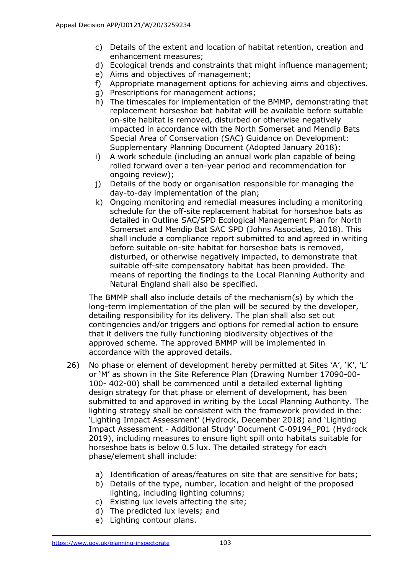- c) Details of the extent and location of habitat retention, creation and enhancement measures;
- d) Ecological trends and constraints that might influence management;
- e) Aims and objectives of management;
- f) Appropriate management options for achieving aims and objectives.
- g) Prescriptions for management actions;
- h) The timescales for implementation of the BMMP, demonstrating that replacement horseshoe bat habitat will be available before suitable on-site habitat is removed, disturbed or otherwise negatively impacted in accordance with the North Somerset and Mendip Bats Special Area of Conservation (SAC) Guidance on Development: Supplementary Planning Document (Adopted January 2018);
- i) A work schedule (including an annual work plan capable of being rolled forward over a ten-year period and recommendation for ongoing review);
- j) Details of the body or organisation responsible for managing the day-to-day implementation of the plan;
- k) Ongoing monitoring and remedial measures including a monitoring schedule for the off-site replacement habitat for horseshoe bats as detailed in Outline SAC/SPD Ecological Management Plan for North Somerset and Mendip Bat SAC SPD (Johns Associates, 2018). This shall include a compliance report submitted to and agreed in writing before suitable on-site habitat for horseshoe bats is removed, disturbed, or otherwise negatively impacted, to demonstrate that suitable off-site compensatory habitat has been provided. The means of reporting the findings to the Local Planning Authority and Natural England shall also be specified.

The BMMP shall also include details of the mechanism(s) by which the long-term implementation of the plan will be secured by the developer, detailing responsibility for its delivery. The plan shall also set out contingencies and/or triggers and options for remedial action to ensure that it delivers the fully functioning biodiversity objectives of the approved scheme. The approved BMMP will be implemented in accordance with the approved details.

- 26) No phase or element of development hereby permitted at Sites 'A', 'K', 'L' or 'M' as shown in the Site Reference Plan (Drawing Number 17090-00- 100- 402-00) shall be commenced until a detailed external lighting design strategy for that phase or element of development, has been submitted to and approved in writing by the Local Planning Authority. The lighting strategy shall be consistent with the framework provided in the: 'Lighting Impact Assessment' (Hydrock, December 2018) and 'Lighting Impact Assessment - Additional Study' Document C-09194\_P01 (Hydrock 2019), including measures to ensure light spill onto habitats suitable for horseshoe bats is below 0.5 lux. The detailed strategy for each phase/element shall include:
	- a) Identification of areas/features on site that are sensitive for bats;
	- b) Details of the type, number, location and height of the proposed lighting, including lighting columns;
	- c) Existing lux levels affecting the site;
	- d) The predicted lux levels; and
	- e) Lighting contour plans.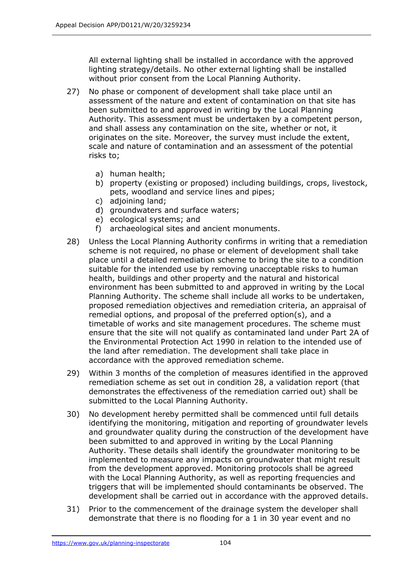All external lighting shall be installed in accordance with the approved lighting strategy/details. No other external lighting shall be installed without prior consent from the Local Planning Authority.

- 27) No phase or component of development shall take place until an assessment of the nature and extent of contamination on that site has been submitted to and approved in writing by the Local Planning Authority. This assessment must be undertaken by a competent person, and shall assess any contamination on the site, whether or not, it originates on the site. Moreover, the survey must include the extent, scale and nature of contamination and an assessment of the potential risks to;
	- a) human health;
	- b) property (existing or proposed) including buildings, crops, livestock, pets, woodland and service lines and pipes;
	- c) adjoining land;
	- d) groundwaters and surface waters;
	- e) ecological systems; and
	- f) archaeological sites and ancient monuments.
- 28) Unless the Local Planning Authority confirms in writing that a remediation scheme is not required, no phase or element of development shall take place until a detailed remediation scheme to bring the site to a condition suitable for the intended use by removing unacceptable risks to human health, buildings and other property and the natural and historical environment has been submitted to and approved in writing by the Local Planning Authority. The scheme shall include all works to be undertaken, proposed remediation objectives and remediation criteria, an appraisal of remedial options, and proposal of the preferred option(s), and a timetable of works and site management procedures. The scheme must ensure that the site will not qualify as contaminated land under Part 2A of the Environmental Protection Act 1990 in relation to the intended use of the land after remediation. The development shall take place in accordance with the approved remediation scheme.
- 29) Within 3 months of the completion of measures identified in the approved remediation scheme as set out in condition 28, a validation report (that demonstrates the effectiveness of the remediation carried out) shall be submitted to the Local Planning Authority.
- 30) No development hereby permitted shall be commenced until full details identifying the monitoring, mitigation and reporting of groundwater levels and groundwater quality during the construction of the development have been submitted to and approved in writing by the Local Planning Authority. These details shall identify the groundwater monitoring to be implemented to measure any impacts on groundwater that might result from the development approved. Monitoring protocols shall be agreed with the Local Planning Authority, as well as reporting frequencies and triggers that will be implemented should contaminants be observed. The development shall be carried out in accordance with the approved details.
- 31) Prior to the commencement of the drainage system the developer shall demonstrate that there is no flooding for a 1 in 30 year event and no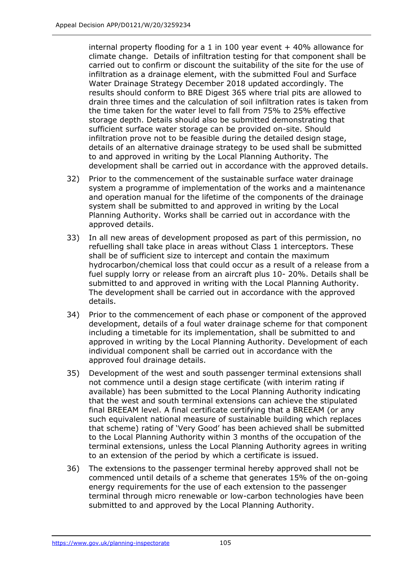internal property flooding for a 1 in 100 year event  $+$  40% allowance for climate change. Details of infiltration testing for that component shall be carried out to confirm or discount the suitability of the site for the use of infiltration as a drainage element, with the submitted Foul and Surface Water Drainage Strategy December 2018 updated accordingly. The results should conform to BRE Digest 365 where trial pits are allowed to drain three times and the calculation of soil infiltration rates is taken from the time taken for the water level to fall from 75% to 25% effective storage depth. Details should also be submitted demonstrating that sufficient surface water storage can be provided on-site. Should infiltration prove not to be feasible during the detailed design stage, details of an alternative drainage strategy to be used shall be submitted to and approved in writing by the Local Planning Authority. The development shall be carried out in accordance with the approved details.

- 32) Prior to the commencement of the sustainable surface water drainage system a programme of implementation of the works and a maintenance and operation manual for the lifetime of the components of the drainage system shall be submitted to and approved in writing by the Local Planning Authority. Works shall be carried out in accordance with the approved details.
- 33) In all new areas of development proposed as part of this permission, no refuelling shall take place in areas without Class 1 interceptors. These shall be of sufficient size to intercept and contain the maximum hydrocarbon/chemical loss that could occur as a result of a release from a fuel supply lorry or release from an aircraft plus 10- 20%. Details shall be submitted to and approved in writing with the Local Planning Authority. The development shall be carried out in accordance with the approved details.
- 34) Prior to the commencement of each phase or component of the approved development, details of a foul water drainage scheme for that component including a timetable for its implementation, shall be submitted to and approved in writing by the Local Planning Authority. Development of each individual component shall be carried out in accordance with the approved foul drainage details.
- 35) Development of the west and south passenger terminal extensions shall not commence until a design stage certificate (with interim rating if available) has been submitted to the Local Planning Authority indicating that the west and south terminal extensions can achieve the stipulated final BREEAM level. A final certificate certifying that a BREEAM (or any such equivalent national measure of sustainable building which replaces that scheme) rating of 'Very Good' has been achieved shall be submitted to the Local Planning Authority within 3 months of the occupation of the terminal extensions, unless the Local Planning Authority agrees in writing to an extension of the period by which a certificate is issued.
- 36) The extensions to the passenger terminal hereby approved shall not be commenced until details of a scheme that generates 15% of the on-going energy requirements for the use of each extension to the passenger terminal through micro renewable or low-carbon technologies have been submitted to and approved by the Local Planning Authority.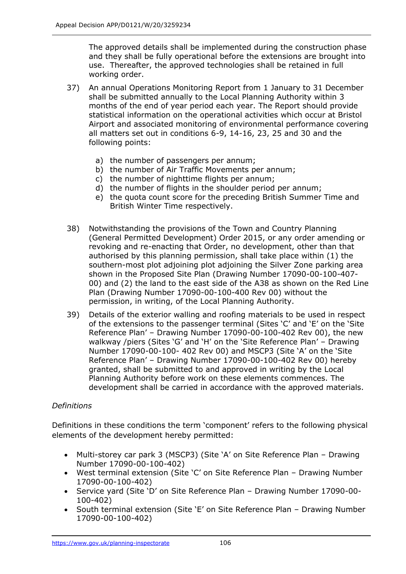The approved details shall be implemented during the construction phase and they shall be fully operational before the extensions are brought into use. Thereafter, the approved technologies shall be retained in full working order.

- 37) An annual Operations Monitoring Report from 1 January to 31 December shall be submitted annually to the Local Planning Authority within 3 months of the end of year period each year. The Report should provide statistical information on the operational activities which occur at Bristol Airport and associated monitoring of environmental performance covering all matters set out in conditions 6-9, 14-16, 23, 25 and 30 and the following points:
	- a) the number of passengers per annum;
	- b) the number of Air Traffic Movements per annum;
	- c) the number of nighttime flights per annum;
	- d) the number of flights in the shoulder period per annum;
	- e) the quota count score for the preceding British Summer Time and British Winter Time respectively.
- 38) Notwithstanding the provisions of the Town and Country Planning (General Permitted Development) Order 2015, or any order amending or revoking and re-enacting that Order, no development, other than that authorised by this planning permission, shall take place within (1) the southern-most plot adjoining plot adjoining the Silver Zone parking area shown in the Proposed Site Plan (Drawing Number 17090-00-100-407- 00) and (2) the land to the east side of the A38 as shown on the Red Line Plan (Drawing Number 17090-00-100-400 Rev 00) without the permission, in writing, of the Local Planning Authority.
- 39) Details of the exterior walling and roofing materials to be used in respect of the extensions to the passenger terminal (Sites 'C' and 'E' on the 'Site Reference Plan' – Drawing Number 17090-00-100-402 Rev 00), the new walkway /piers (Sites 'G' and 'H' on the 'Site Reference Plan' – Drawing Number 17090-00-100- 402 Rev 00) and MSCP3 (Site 'A' on the 'Site Reference Plan' – Drawing Number 17090-00-100-402 Rev 00) hereby granted, shall be submitted to and approved in writing by the Local Planning Authority before work on these elements commences. The development shall be carried in accordance with the approved materials.

#### *Definitions*

Definitions in these conditions the term 'component' refers to the following physical elements of the development hereby permitted:

- Multi-storey car park 3 (MSCP3) (Site 'A' on Site Reference Plan Drawing Number 17090-00-100-402)
- West terminal extension (Site 'C' on Site Reference Plan Drawing Number 17090-00-100-402)
- Service yard (Site 'D' on Site Reference Plan Drawing Number 17090-00- 100-402)
- South terminal extension (Site 'E' on Site Reference Plan Drawing Number 17090-00-100-402)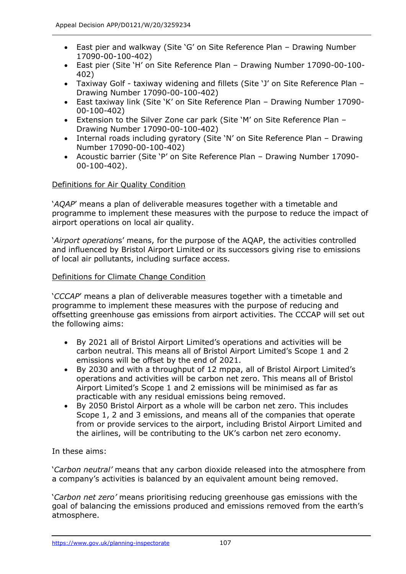- East pier and walkway (Site 'G' on Site Reference Plan Drawing Number 17090-00-100-402)
- East pier (Site 'H' on Site Reference Plan Drawing Number 17090-00-100- 402)
- Taxiway Golf taxiway widening and fillets (Site 'J' on Site Reference Plan Drawing Number 17090-00-100-402)
- East taxiway link (Site 'K' on Site Reference Plan Drawing Number 17090- 00-100-402)
- Extension to the Silver Zone car park (Site 'M' on Site Reference Plan Drawing Number 17090-00-100-402)
- Internal roads including gyratory (Site 'N' on Site Reference Plan Drawing Number 17090-00-100-402)
- Acoustic barrier (Site 'P' on Site Reference Plan Drawing Number 17090- 00-100-402).

#### Definitions for Air Quality Condition

'*AQAP*' means a plan of deliverable measures together with a timetable and programme to implement these measures with the purpose to reduce the impact of airport operations on local air quality.

'*Airport operation*s' means, for the purpose of the AQAP, the activities controlled and influenced by Bristol Airport Limited or its successors giving rise to emissions of local air pollutants, including surface access.

#### Definitions for Climate Change Condition

'*CCCAP*' means a plan of deliverable measures together with a timetable and programme to implement these measures with the purpose of reducing and offsetting greenhouse gas emissions from airport activities. The CCCAP will set out the following aims:

- By 2021 all of Bristol Airport Limited's operations and activities will be carbon neutral. This means all of Bristol Airport Limited's Scope 1 and 2 emissions will be offset by the end of 2021.
- By 2030 and with a throughput of 12 mppa, all of Bristol Airport Limited's operations and activities will be carbon net zero. This means all of Bristol Airport Limited's Scope 1 and 2 emissions will be minimised as far as practicable with any residual emissions being removed.
- By 2050 Bristol Airport as a whole will be carbon net zero. This includes Scope 1, 2 and 3 emissions, and means all of the companies that operate from or provide services to the airport, including Bristol Airport Limited and the airlines, will be contributing to the UK's carbon net zero economy.

#### In these aims:

'*Carbon neutral'* means that any carbon dioxide released into the atmosphere from a company's activities is balanced by an equivalent amount being removed.

'*Carbon net zero'* means prioritising reducing greenhouse gas emissions with the goal of balancing the emissions produced and emissions removed from the earth's atmosphere.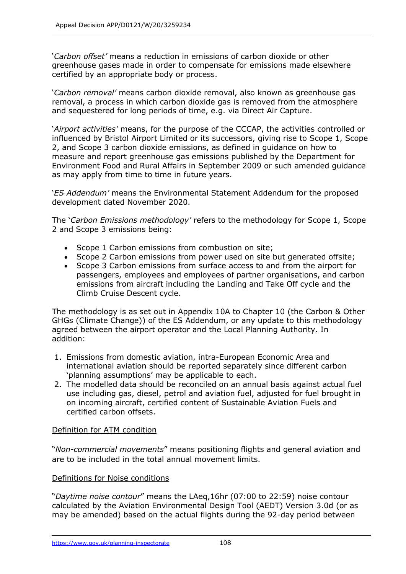'*Carbon offset'* means a reduction in emissions of carbon dioxide or other greenhouse gases made in order to compensate for emissions made elsewhere certified by an appropriate body or process.

'*Carbon removal'* means carbon dioxide removal, also known as greenhouse gas removal, a process in which carbon dioxide gas is removed from the atmosphere and sequestered for long periods of time, e.g. via Direct Air Capture.

'*Airport activities'* means, for the purpose of the CCCAP, the activities controlled or influenced by Bristol Airport Limited or its successors, giving rise to Scope 1, Scope 2, and Scope 3 carbon dioxide emissions, as defined in guidance on how to measure and report greenhouse gas emissions published by the Department for Environment Food and Rural Affairs in September 2009 or such amended guidance as may apply from time to time in future years.

'*ES Addendum'* means the Environmental Statement Addendum for the proposed development dated November 2020.

The '*Carbon Emissions methodology'* refers to the methodology for Scope 1, Scope 2 and Scope 3 emissions being:

- Scope 1 Carbon emissions from combustion on site;
- Scope 2 Carbon emissions from power used on site but generated offsite;
- Scope 3 Carbon emissions from surface access to and from the airport for passengers, employees and employees of partner organisations, and carbon emissions from aircraft including the Landing and Take Off cycle and the Climb Cruise Descent cycle.

The methodology is as set out in Appendix 10A to Chapter 10 (the Carbon & Other GHGs (Climate Change)) of the ES Addendum, or any update to this methodology agreed between the airport operator and the Local Planning Authority. In addition:

- 1. Emissions from domestic aviation, intra-European Economic Area and international aviation should be reported separately since different carbon 'planning assumptions' may be applicable to each.
- 2. The modelled data should be reconciled on an annual basis against actual fuel use including gas, diesel, petrol and aviation fuel, adjusted for fuel brought in on incoming aircraft, certified content of Sustainable Aviation Fuels and certified carbon offsets.

#### Definition for ATM condition

"*Non-commercial movements*" means positioning flights and general aviation and are to be included in the total annual movement limits.

#### Definitions for Noise conditions

"*Daytime noise contour*" means the LAeq,16hr (07:00 to 22:59) noise contour calculated by the Aviation Environmental Design Tool (AEDT) Version 3.0d (or as may be amended) based on the actual flights during the 92-day period between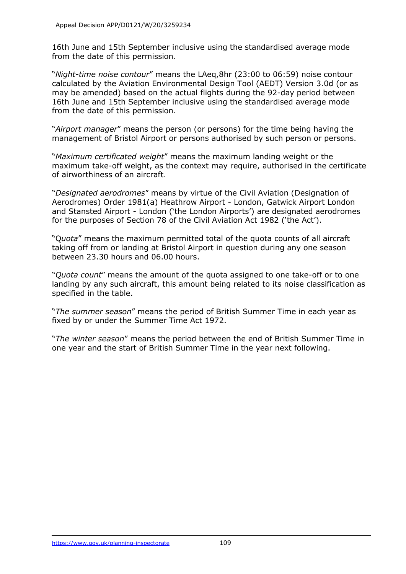16th June and 15th September inclusive using the standardised average mode from the date of this permission.

"*Night-time noise contour*" means the LAeq,8hr (23:00 to 06:59) noise contour calculated by the Aviation Environmental Design Tool (AEDT) Version 3.0d (or as may be amended) based on the actual flights during the 92-day period between 16th June and 15th September inclusive using the standardised average mode from the date of this permission.

"*Airport manager*" means the person (or persons) for the time being having the management of Bristol Airport or persons authorised by such person or persons.

"*Maximum certificated weight*" means the maximum landing weight or the maximum take-off weight, as the context may require, authorised in the certificate of airworthiness of an aircraft.

"*Designated aerodromes*" means by virtue of the Civil Aviation (Designation of Aerodromes) Order 1981(a) Heathrow Airport - London, Gatwick Airport London and Stansted Airport - London ('the London Airports') are designated aerodromes for the purposes of Section 78 of the Civil Aviation Act 1982 ('the Act').

"Q*uota*" means the maximum permitted total of the quota counts of all aircraft taking off from or landing at Bristol Airport in question during any one season between 23.30 hours and 06.00 hours.

"*Quota count*" means the amount of the quota assigned to one take-off or to one landing by any such aircraft, this amount being related to its noise classification as specified in the table.

"*The summer season*" means the period of British Summer Time in each year as fixed by or under the Summer Time Act 1972.

"*The winter season*" means the period between the end of British Summer Time in one year and the start of British Summer Time in the year next following.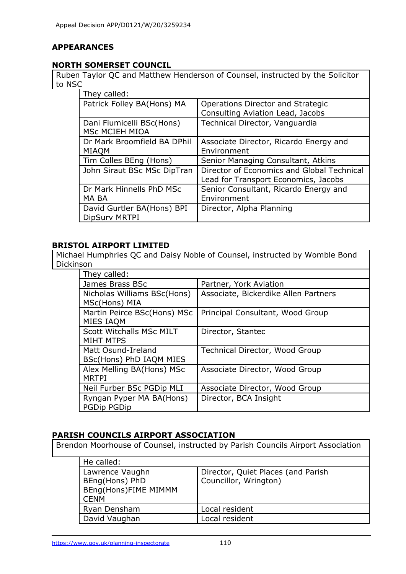## **APPEARANCES**

### **NORTH SOMERSET COUNCIL**

Ruben Taylor QC and Matthew Henderson of Counsel, instructed by the Solicitor to NSC

| They called:                |                                            |
|-----------------------------|--------------------------------------------|
| Patrick Folley BA(Hons) MA  | Operations Director and Strategic          |
|                             | Consulting Aviation Lead, Jacobs           |
| Dani Fiumicelli BSc(Hons)   | Technical Director, Vanguardia             |
| MSc MCIEH MIOA              |                                            |
| Dr Mark Broomfield BA DPhil | Associate Director, Ricardo Energy and     |
| <b>MIAQM</b>                | Environment                                |
| Tim Colles BEng (Hons)      | Senior Managing Consultant, Atkins         |
| John Siraut BSc MSc DipTran | Director of Economics and Global Technical |
|                             | Lead for Transport Economics, Jacobs       |
| Dr Mark Hinnells PhD MSc    | Senior Consultant, Ricardo Energy and      |
| MA BA                       | Environment                                |
| David Gurtler BA(Hons) BPI  | Director, Alpha Planning                   |
| <b>DipSurv MRTPI</b>        |                                            |

## **BRISTOL AIRPORT LIMITED**

Michael Humphries QC and Daisy Noble of Counsel, instructed by Womble Bond Dickinson

| They called:                                   |                                      |
|------------------------------------------------|--------------------------------------|
| James Brass BSc                                | Partner, York Aviation               |
| Nicholas Williams BSc(Hons)<br>MSc(Hons) MIA   | Associate, Bickerdike Allen Partners |
| Martin Peirce BSc(Hons) MSc<br>MIES IAQM       | Principal Consultant, Wood Group     |
| Scott Witchalls MSc MILT<br><b>MIHT MTPS</b>   | Director, Stantec                    |
| Matt Osund-Ireland<br>BSc(Hons) PhD IAQM MIES  | Technical Director, Wood Group       |
| Alex Melling BA(Hons) MSc<br><b>MRTPI</b>      | Associate Director, Wood Group       |
| Neil Furber BSc PGDip MLI                      | Associate Director, Wood Group       |
| Ryngan Pyper MA BA(Hons)<br><b>PGDip PGDip</b> | Director, BCA Insight                |

### **PARISH COUNCILS AIRPORT ASSOCIATION**

Brendon Moorhouse of Counsel, instructed by Parish Councils Airport Association

| He called:                                                               |                                                             |
|--------------------------------------------------------------------------|-------------------------------------------------------------|
| Lawrence Vaughn<br>BEng(Hons) PhD<br>BEng(Hons)FIME MIMMM<br><b>CENM</b> | Director, Quiet Places (and Parish<br>Councillor, Wrington) |
| Ryan Densham                                                             | Local resident                                              |
| David Vaughan                                                            | Local resident                                              |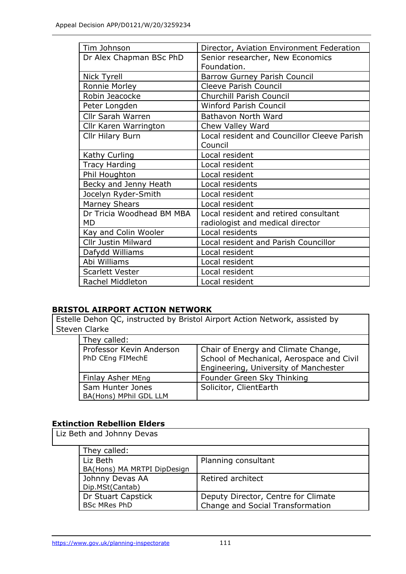| Tim Johnson               | Director, Aviation Environment Federation   |
|---------------------------|---------------------------------------------|
| Dr Alex Chapman BSc PhD   | Senior researcher, New Economics            |
|                           | Foundation.                                 |
| Nick Tyrell               | Barrow Gurney Parish Council                |
| Ronnie Morley             | <b>Cleeve Parish Council</b>                |
| Robin Jeacocke            | <b>Churchill Parish Council</b>             |
| Peter Longden             | <b>Winford Parish Council</b>               |
| Cllr Sarah Warren         | Bathavon North Ward                         |
| Cllr Karen Warrington     | Chew Valley Ward                            |
| <b>Cllr Hilary Burn</b>   | Local resident and Councillor Cleeve Parish |
|                           | Council                                     |
| Kathy Curling             | Local resident                              |
| <b>Tracy Harding</b>      | Local resident                              |
| Phil Houghton             | Local resident                              |
| Becky and Jenny Heath     | Local residents                             |
| Jocelyn Ryder-Smith       | Local resident                              |
| <b>Marney Shears</b>      | Local resident                              |
| Dr Tricia Woodhead BM MBA | Local resident and retired consultant       |
| <b>MD</b>                 | radiologist and medical director            |
| Kay and Colin Wooler      | Local residents                             |
| Cllr Justin Milward       | Local resident and Parish Councillor        |
| Dafydd Williams           | Local resident                              |
| Abi Williams              | Local resident                              |
| <b>Scarlett Vester</b>    | Local resident                              |
| Rachel Middleton          | Local resident                              |

## **BRISTOL AIRPORT ACTION NETWORK**

Estelle Dehon QC, instructed by Bristol Airport Action Network, assisted by Steven Clarke

| They called:                                 |                                                                                  |
|----------------------------------------------|----------------------------------------------------------------------------------|
| Professor Kevin Anderson<br>PhD CEng FIMechE | Chair of Energy and Climate Change,<br>School of Mechanical, Aerospace and Civil |
|                                              | Engineering, University of Manchester                                            |
| Finlay Asher MEng                            | Founder Green Sky Thinking                                                       |
| Sam Hunter Jones<br>BA(Hons) MPhil GDL LLM   | Solicitor, ClientEarth                                                           |

## **Extinction Rebellion Elders**

Liz Beth and Johnny Devas They called:

| They called:                |                                     |
|-----------------------------|-------------------------------------|
| Liz Beth                    | Planning consultant                 |
| BA(Hons) MA MRTPI DipDesign |                                     |
| Johnny Devas AA             | Retired architect                   |
| Dip.MSt(Cantab)             |                                     |
| Dr Stuart Capstick          | Deputy Director, Centre for Climate |
| <b>BSc MRes PhD</b>         | Change and Social Transformation    |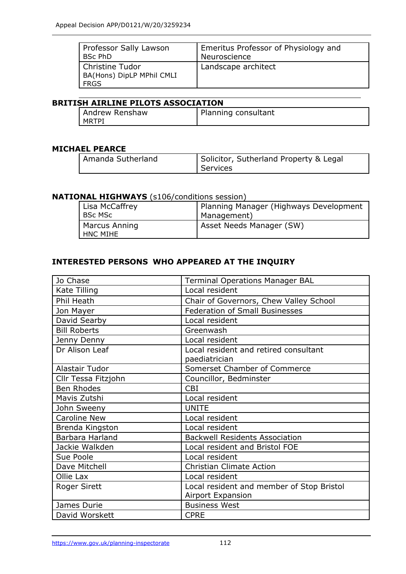| Professor Sally Lawson                                 | <b>Emeritus Professor of Physiology and</b> |
|--------------------------------------------------------|---------------------------------------------|
| <b>BSc PhD</b>                                         | Neuroscience                                |
| Christine Tudor<br>  BA(Hons) DipLP MPhil CMLI<br>FRGS | Landscape architect                         |

### **BRITISH AIRLINE PILOTS ASSOCIATION**

| Andrew Renshaw | Planning consultant |
|----------------|---------------------|
| I MRTPI        |                     |

#### **MICHAEL PEARCE**

| Amanda Sutherland | Solicitor, Sutherland Property & Legal<br>Services |
|-------------------|----------------------------------------------------|
|                   |                                                    |

#### **NATIONAL HIGHWAYS** (s106/conditions session)

| Lisa McCaffrey | Planning Manager (Highways Development |
|----------------|----------------------------------------|
| BSc MSc        | Management)                            |
| Marcus Anning  | Asset Needs Manager (SW)               |
| HNC MIHE       |                                        |

## **INTERESTED PERSONS WHO APPEARED AT THE INQUIRY**

| Jo Chase            | <b>Terminal Operations Manager BAL</b>    |
|---------------------|-------------------------------------------|
| Kate Tilling        | Local resident                            |
| Phil Heath          | Chair of Governors, Chew Valley School    |
| Jon Mayer           | <b>Federation of Small Businesses</b>     |
| David Searby        | Local resident                            |
| <b>Bill Roberts</b> | Greenwash                                 |
| Jenny Denny         | Local resident                            |
| Dr Alison Leaf      | Local resident and retired consultant     |
|                     | paediatrician                             |
| Alastair Tudor      | Somerset Chamber of Commerce              |
| Cllr Tessa Fitzjohn | Councillor, Bedminster                    |
| <b>Ben Rhodes</b>   | <b>CBI</b>                                |
| Mavis Zutshi        | Local resident                            |
| John Sweeny         | <b>UNITE</b>                              |
| <b>Caroline New</b> | Local resident                            |
| Brenda Kingston     | Local resident                            |
| Barbara Harland     | <b>Backwell Residents Association</b>     |
| Jackie Walkden      | Local resident and Bristol FOE            |
| Sue Poole           | Local resident                            |
| Dave Mitchell       | <b>Christian Climate Action</b>           |
| Ollie Lax           | Local resident                            |
| <b>Roger Sirett</b> | Local resident and member of Stop Bristol |
|                     | <b>Airport Expansion</b>                  |
| James Durie         | <b>Business West</b>                      |
| David Worskett      | <b>CPRE</b>                               |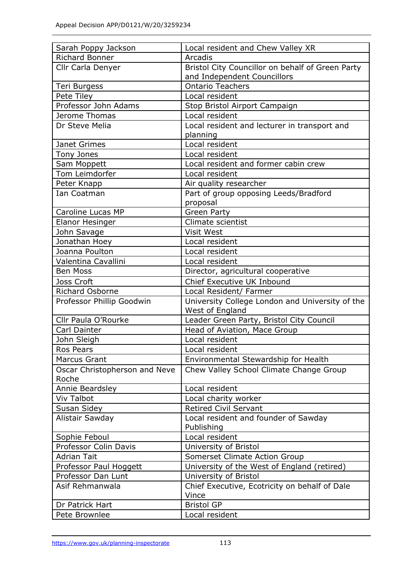| Sarah Poppy Jackson           | Local resident and Chew Valley XR                |
|-------------------------------|--------------------------------------------------|
| <b>Richard Bonner</b>         | Arcadis                                          |
| Cllr Carla Denyer             | Bristol City Councillor on behalf of Green Party |
|                               | and Independent Councillors                      |
| Teri Burgess                  | <b>Ontario Teachers</b>                          |
| Pete Tiley                    | Local resident                                   |
| Professor John Adams          | Stop Bristol Airport Campaign                    |
| Jerome Thomas                 | Local resident                                   |
| Dr Steve Melia                | Local resident and lecturer in transport and     |
|                               | planning                                         |
| Janet Grimes                  | Local resident                                   |
| Tony Jones                    | Local resident                                   |
| Sam Moppett                   | Local resident and former cabin crew             |
| Tom Leimdorfer                | Local resident                                   |
| Peter Knapp                   | Air quality researcher                           |
| Ian Coatman                   | Part of group opposing Leeds/Bradford            |
|                               | proposal                                         |
| <b>Caroline Lucas MP</b>      | <b>Green Party</b>                               |
| Elanor Hesinger               | Climate scientist                                |
| John Savage                   | Visit West                                       |
| Jonathan Hoey                 | Local resident                                   |
| Joanna Poulton                | Local resident                                   |
| Valentina Cavallini           | Local resident                                   |
| <b>Ben Moss</b>               | Director, agricultural cooperative               |
| Joss Croft                    | Chief Executive UK Inbound                       |
| Richard Osborne               | Local Resident/ Farmer                           |
| Professor Phillip Goodwin     | University College London and University of the  |
|                               | West of England                                  |
| Cllr Paula O'Rourke           | Leader Green Party, Bristol City Council         |
| Carl Dainter                  | Head of Aviation, Mace Group                     |
| John Sleigh                   | Local resident                                   |
| Ros Pears                     | Local resident                                   |
| <b>Marcus Grant</b>           | Environmental Stewardship for Health             |
| Oscar Christopherson and Neve | Chew Valley School Climate Change Group          |
| Roche                         |                                                  |
| Annie Beardsley               | Local resident                                   |
| <b>Viv Talbot</b>             | Local charity worker                             |
| Susan Sidey                   | <b>Retired Civil Servant</b>                     |
| Alistair Sawday               | Local resident and founder of Sawday             |
|                               | Publishing                                       |
| Sophie Feboul                 | Local resident                                   |
| Professor Colin Davis         | University of Bristol                            |
| <b>Adrian Tait</b>            | Somerset Climate Action Group                    |
| Professor Paul Hoggett        | University of the West of England (retired)      |
| Professor Dan Lunt            | University of Bristol                            |
| Asif Rehmanwala               | Chief Executive, Ecotricity on behalf of Dale    |
|                               | Vince                                            |
| Dr Patrick Hart               | <b>Bristol GP</b>                                |
| Pete Brownlee                 | Local resident                                   |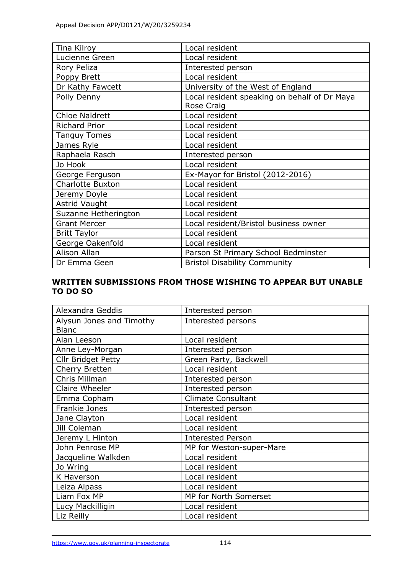| Tina Kilroy             | Local resident                                             |
|-------------------------|------------------------------------------------------------|
| Lucienne Green          | Local resident                                             |
| Rory Peliza             | Interested person                                          |
| Poppy Brett             | Local resident                                             |
| Dr Kathy Fawcett        | University of the West of England                          |
| Polly Denny             | Local resident speaking on behalf of Dr Maya<br>Rose Craig |
| <b>Chloe Naldrett</b>   | Local resident                                             |
| <b>Richard Prior</b>    | Local resident                                             |
| <b>Tanguy Tomes</b>     | Local resident                                             |
| James Ryle              | Local resident                                             |
| Raphaela Rasch          | Interested person                                          |
| Jo Hook                 | Local resident                                             |
| George Ferguson         | Ex-Mayor for Bristol (2012-2016)                           |
| <b>Charlotte Buxton</b> | Local resident                                             |
| Jeremy Doyle            | Local resident                                             |
| Astrid Vaught           | Local resident                                             |
| Suzanne Hetherington    | Local resident                                             |
| <b>Grant Mercer</b>     | Local resident/Bristol business owner                      |
| <b>Britt Taylor</b>     | Local resident                                             |
| George Oakenfold        | Local resident                                             |
| Alison Allan            | Parson St Primary School Bedminster                        |
| Dr Emma Geen            | <b>Bristol Disability Community</b>                        |

### **WRITTEN SUBMISSIONS FROM THOSE WISHING TO APPEAR BUT UNABLE TO DO SO**

| Alexandra Geddis                         | Interested person         |
|------------------------------------------|---------------------------|
| Alysun Jones and Timothy<br><b>Blanc</b> | Interested persons        |
| Alan Leeson                              | Local resident            |
| Anne Ley-Morgan                          | Interested person         |
| <b>Cllr Bridget Petty</b>                | Green Party, Backwell     |
| Cherry Bretten                           | Local resident            |
| Chris Millman                            | Interested person         |
| Claire Wheeler                           | Interested person         |
| Emma Copham                              | <b>Climate Consultant</b> |
| Frankie Jones                            | Interested person         |
| Jane Clayton                             | Local resident            |
| Jill Coleman                             | Local resident            |
| Jeremy L Hinton                          | <b>Interested Person</b>  |
| John Penrose MP                          | MP for Weston-super-Mare  |
| Jacqueline Walkden                       | Local resident            |
| Jo Wring                                 | Local resident            |
| K Haverson                               | Local resident            |
| Leiza Alpass                             | Local resident            |
| Liam Fox MP                              | MP for North Somerset     |
| Lucy Mackilligin                         | Local resident            |
| Liz Reilly                               | Local resident            |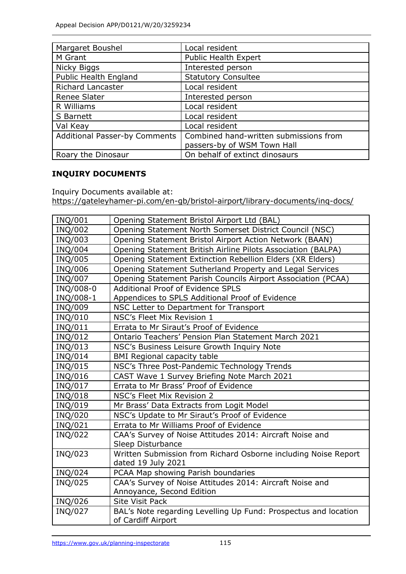| Margaret Boushel                     | Local resident                         |
|--------------------------------------|----------------------------------------|
| M Grant                              | <b>Public Health Expert</b>            |
| Nicky Biggs                          | Interested person                      |
| Public Health England                | <b>Statutory Consultee</b>             |
| <b>Richard Lancaster</b>             | Local resident                         |
| Renee Slater                         | Interested person                      |
| R Williams                           | Local resident                         |
| S Barnett                            | Local resident                         |
| Val Keay                             | Local resident                         |
| <b>Additional Passer-by Comments</b> | Combined hand-written submissions from |
|                                      | passers-by of WSM Town Hall            |
| Roary the Dinosaur                   | On behalf of extinct dinosaurs         |

## **INQUIRY DOCUMENTS**

Inquiry Documents available at:

<https://gateleyhamer-pi.com/en-gb/bristol-airport/library-documents/inq-docs/>

| INQ/001   | Opening Statement Bristol Airport Ltd (BAL)                     |
|-----------|-----------------------------------------------------------------|
| INQ/002   | Opening Statement North Somerset District Council (NSC)         |
| INQ/003   | Opening Statement Bristol Airport Action Network (BAAN)         |
| INQ/004   | Opening Statement British Airline Pilots Association (BALPA)    |
| INQ/005   | Opening Statement Extinction Rebellion Elders (XR Elders)       |
| INQ/006   | Opening Statement Sutherland Property and Legal Services        |
| INQ/007   | Opening Statement Parish Councils Airport Association (PCAA)    |
| INQ/008-0 | <b>Additional Proof of Evidence SPLS</b>                        |
| INQ/008-1 | Appendices to SPLS Additional Proof of Evidence                 |
| INQ/009   | NSC Letter to Department for Transport                          |
| INQ/010   | NSC's Fleet Mix Revision 1                                      |
| INQ/011   | Errata to Mr Siraut's Proof of Evidence                         |
| INQ/012   | Ontario Teachers' Pension Plan Statement March 2021             |
| INQ/013   | NSC's Business Leisure Growth Inquiry Note                      |
| INQ/014   | <b>BMI Regional capacity table</b>                              |
| INQ/015   | NSC's Three Post-Pandemic Technology Trends                     |
| INQ/016   | CAST Wave 1 Survey Briefing Note March 2021                     |
| INQ/017   | Errata to Mr Brass' Proof of Evidence                           |
| INQ/018   | NSC's Fleet Mix Revision 2                                      |
| INQ/019   | Mr Brass' Data Extracts from Logit Model                        |
| INQ/020   | NSC's Update to Mr Siraut's Proof of Evidence                   |
| INQ/021   | Errata to Mr Williams Proof of Evidence                         |
| INQ/022   | CAA's Survey of Noise Attitudes 2014: Aircraft Noise and        |
|           | Sleep Disturbance                                               |
| INQ/023   | Written Submission from Richard Osborne including Noise Report  |
|           | dated 19 July 2021                                              |
| INQ/024   | PCAA Map showing Parish boundaries                              |
| INQ/025   | CAA's Survey of Noise Attitudes 2014: Aircraft Noise and        |
|           | Annoyance, Second Edition                                       |
| INQ/026   | <b>Site Visit Pack</b>                                          |
| INQ/027   | BAL's Note regarding Levelling Up Fund: Prospectus and location |
|           | of Cardiff Airport                                              |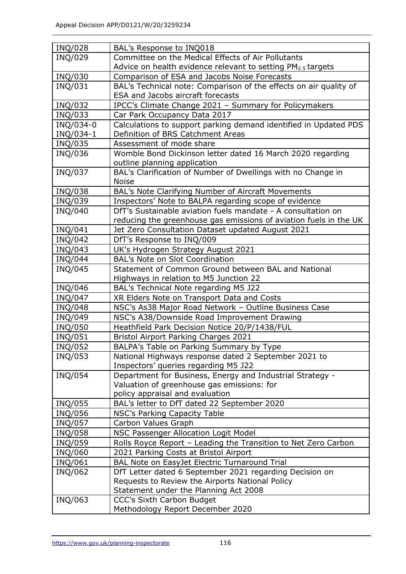| INQ/028        | BAL's Response to INQ018                                                                                      |
|----------------|---------------------------------------------------------------------------------------------------------------|
| INQ/029        | Committee on the Medical Effects of Air Pollutants                                                            |
|                | Advice on health evidence relevant to setting PM <sub>2.5</sub> targets                                       |
| INQ/030        | Comparison of ESA and Jacobs Noise Forecasts                                                                  |
| INQ/031        | BAL's Technical note: Comparison of the effects on air quality of<br><b>ESA and Jacobs aircraft forecasts</b> |
| INQ/032        | IPCC's Climate Change 2021 - Summary for Policymakers                                                         |
| INQ/033        | Car Park Occupancy Data 2017                                                                                  |
| INQ/034-0      | Calculations to support parking demand identified in Updated PDS                                              |
| INQ/034-1      | Definition of BRS Catchment Areas                                                                             |
| INQ/035        | Assessment of mode share                                                                                      |
| INQ/036        | Womble Bond Dickinson letter dated 16 March 2020 regarding                                                    |
|                | outline planning application                                                                                  |
| INQ/037        | BAL's Clarification of Number of Dwellings with no Change in                                                  |
|                | <b>Noise</b>                                                                                                  |
| INQ/038        | BAL's Note Clarifying Number of Aircraft Movements                                                            |
| INQ/039        | Inspectors' Note to BALPA regarding scope of evidence                                                         |
| <b>INQ/040</b> | DfT's Sustainable aviation fuels mandate - A consultation on                                                  |
|                | reducing the greenhouse gas emissions of aviation fuels in the UK                                             |
| INQ/041        | Jet Zero Consultation Dataset updated August 2021                                                             |
| <b>INQ/042</b> | DfT's Response to INQ/009                                                                                     |
| INQ/043        | UK's Hydrogen Strategy August 2021                                                                            |
| INQ/044        | <b>BAL's Note on Slot Coordination</b>                                                                        |
| INQ/045        | Statement of Common Ground between BAL and National                                                           |
|                | Highways in relation to M5 Junction 22                                                                        |
| INQ/046        | BAL's Technical Note regarding M5 J22                                                                         |
| INQ/047        | XR Elders Note on Transport Data and Costs                                                                    |
| INQ/048        | NSC's As38 Major Road Network - Outline Business Case                                                         |
| INQ/049        | NSC's A38/Downside Road Improvement Drawing                                                                   |
| <b>INQ/050</b> | Heathfield Park Decision Notice 20/P/1438/FUL                                                                 |
| INQ/051        | <b>Bristol Airport Parking Charges 2021</b>                                                                   |
| INQ/052        | BALPA's Table on Parking Summary by Type                                                                      |
| INQ/053        | National Highways response dated 2 September 2021 to                                                          |
|                | Inspectors' queries regarding M5 J22                                                                          |
| INQ/054        | Department for Business, Energy and Industrial Strategy -                                                     |
|                | Valuation of greenhouse gas emissions: for                                                                    |
|                | policy appraisal and evaluation                                                                               |
| INQ/055        | BAL's letter to DfT dated 22 September 2020                                                                   |
| INQ/056        | NSC's Parking Capacity Table                                                                                  |
| INQ/057        | Carbon Values Graph                                                                                           |
| INQ/058        | NSC Passenger Allocation Logit Model                                                                          |
| INQ/059        | Rolls Royce Report - Leading the Transition to Net Zero Carbon                                                |
| INQ/060        | 2021 Parking Costs at Bristol Airport                                                                         |
| INQ/061        | BAL Note on EasyJet Electric Turnaround Trial                                                                 |
| INQ/062        | DfT Letter dated 6 September 2021 regarding Decision on                                                       |
|                | Requests to Review the Airports National Policy                                                               |
|                | Statement under the Planning Act 2008                                                                         |
| INQ/063        | CCC's Sixth Carbon Budget                                                                                     |
|                | Methodology Report December 2020                                                                              |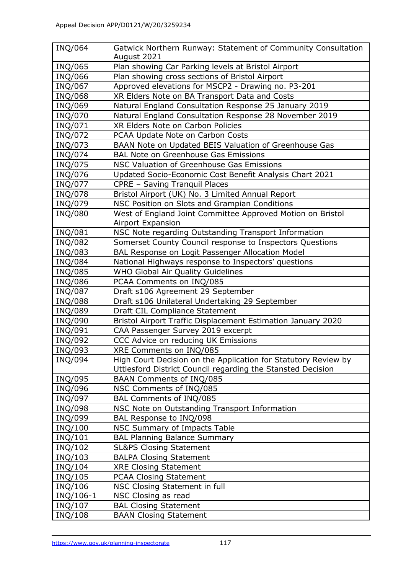| <b>INQ/064</b>     | Gatwick Northern Runway: Statement of Community Consultation<br>August 2021                 |
|--------------------|---------------------------------------------------------------------------------------------|
| INQ/065            | Plan showing Car Parking levels at Bristol Airport                                          |
| INQ/066            | Plan showing cross sections of Bristol Airport                                              |
| INQ/067            | Approved elevations for MSCP2 - Drawing no. P3-201                                          |
| <b>INQ/068</b>     | XR Elders Note on BA Transport Data and Costs                                               |
| INQ/069            |                                                                                             |
|                    | Natural England Consultation Response 25 January 2019                                       |
| INQ/070            | Natural England Consultation Response 28 November 2019<br>XR Elders Note on Carbon Policies |
| INQ/071<br>INQ/072 |                                                                                             |
|                    | PCAA Update Note on Carbon Costs                                                            |
| INQ/073            | BAAN Note on Updated BEIS Valuation of Greenhouse Gas                                       |
| INQ/074            | <b>BAL Note on Greenhouse Gas Emissions</b>                                                 |
| INQ/075            | NSC Valuation of Greenhouse Gas Emissions                                                   |
| INQ/076            | Updated Socio-Economic Cost Benefit Analysis Chart 2021                                     |
| <b>INQ/077</b>     | CPRE - Saving Tranquil Places                                                               |
| INQ/078            | Bristol Airport (UK) No. 3 Limited Annual Report                                            |
| INQ/079            | NSC Position on Slots and Grampian Conditions                                               |
| <b>INQ/080</b>     | West of England Joint Committee Approved Motion on Bristol<br><b>Airport Expansion</b>      |
| INQ/081            | NSC Note regarding Outstanding Transport Information                                        |
| <b>INQ/082</b>     | Somerset County Council response to Inspectors Questions                                    |
| INQ/083            | BAL Response on Logit Passenger Allocation Model                                            |
| <b>INQ/084</b>     | National Highways response to Inspectors' questions                                         |
| <b>INQ/085</b>     | WHO Global Air Quality Guidelines                                                           |
| <b>INQ/086</b>     | PCAA Comments on INQ/085                                                                    |
| <b>INQ/087</b>     | Draft s106 Agreement 29 September                                                           |
| INQ/088            | Draft s106 Unilateral Undertaking 29 September                                              |
| <b>INQ/089</b>     | Draft CIL Compliance Statement                                                              |
| <b>INQ/090</b>     | Bristol Airport Traffic Displacement Estimation January 2020                                |
| INQ/091            | CAA Passenger Survey 2019 excerpt                                                           |
| INQ/092            | CCC Advice on reducing UK Emissions                                                         |
| INQ/093            | XRE Comments on INQ/085                                                                     |
| INQ/094            | High Court Decision on the Application for Statutory Review by                              |
|                    | Uttlesford District Council regarding the Stansted Decision                                 |
| INQ/095            | BAAN Comments of INQ/085                                                                    |
| INQ/096            | NSC Comments of INQ/085                                                                     |
| INQ/097            | BAL Comments of INQ/085                                                                     |
| INQ/098            | NSC Note on Outstanding Transport Information                                               |
| INQ/099            | BAL Response to INQ/098                                                                     |
| INQ/100            | NSC Summary of Impacts Table                                                                |
| INQ/101            | <b>BAL Planning Balance Summary</b>                                                         |
| INQ/102            | <b>SL&amp;PS Closing Statement</b>                                                          |
| INQ/103            | <b>BALPA Closing Statement</b>                                                              |
| INQ/104            | <b>XRE Closing Statement</b>                                                                |
| INQ/105            | <b>PCAA Closing Statement</b>                                                               |
| INQ/106            | NSC Closing Statement in full                                                               |
| INQ/106-1          | NSC Closing as read                                                                         |
| INQ/107            | <b>BAL Closing Statement</b>                                                                |
| INQ/108            | <b>BAAN Closing Statement</b>                                                               |